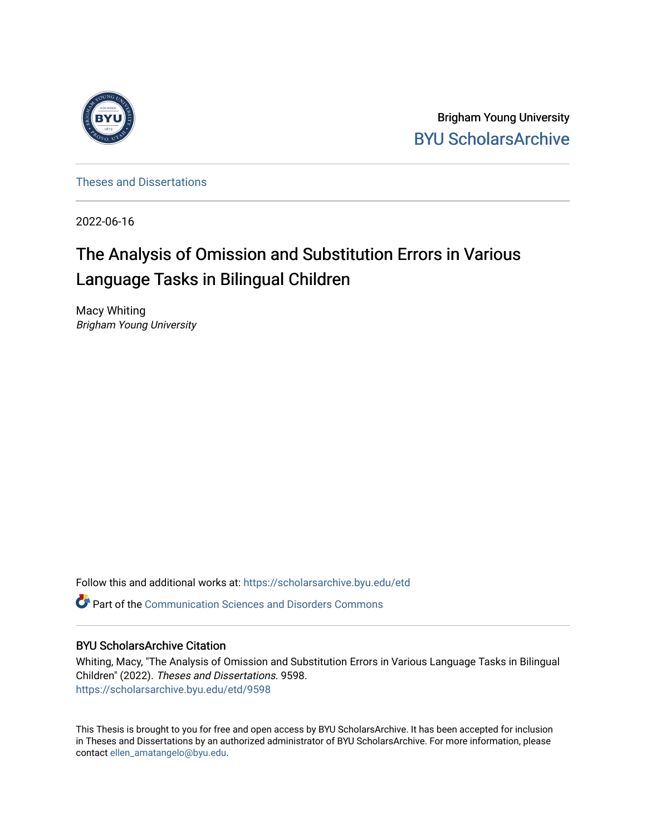

Brigham Young University [BYU ScholarsArchive](https://scholarsarchive.byu.edu/) 

[Theses and Dissertations](https://scholarsarchive.byu.edu/etd)

2022-06-16

# The Analysis of Omission and Substitution Errors in Various Language Tasks in Bilingual Children

Macy Whiting Brigham Young University

Follow this and additional works at: [https://scholarsarchive.byu.edu/etd](https://scholarsarchive.byu.edu/etd?utm_source=scholarsarchive.byu.edu%2Fetd%2F9598&utm_medium=PDF&utm_campaign=PDFCoverPages)

**P** Part of the [Communication Sciences and Disorders Commons](https://network.bepress.com/hgg/discipline/1019?utm_source=scholarsarchive.byu.edu%2Fetd%2F9598&utm_medium=PDF&utm_campaign=PDFCoverPages)

## BYU ScholarsArchive Citation

Whiting, Macy, "The Analysis of Omission and Substitution Errors in Various Language Tasks in Bilingual Children" (2022). Theses and Dissertations. 9598. [https://scholarsarchive.byu.edu/etd/9598](https://scholarsarchive.byu.edu/etd/9598?utm_source=scholarsarchive.byu.edu%2Fetd%2F9598&utm_medium=PDF&utm_campaign=PDFCoverPages) 

This Thesis is brought to you for free and open access by BYU ScholarsArchive. It has been accepted for inclusion in Theses and Dissertations by an authorized administrator of BYU ScholarsArchive. For more information, please contact [ellen\\_amatangelo@byu.edu.](mailto:ellen_amatangelo@byu.edu)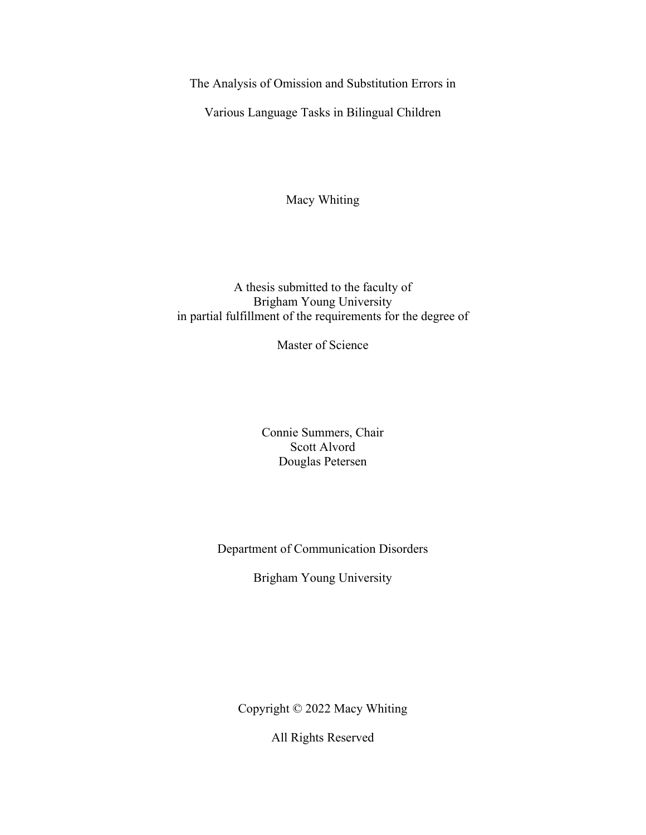<span id="page-1-0"></span>The Analysis of Omission and Substitution Errors in

Various Language Tasks in Bilingual Children

Macy Whiting

A thesis submitted to the faculty of Brigham Young University in partial fulfillment of the requirements for the degree of

Master of Science

Connie Summers, Chair Scott Alvord Douglas Petersen

Department of Communication Disorders

Brigham Young University

Copyright © 2022 Macy Whiting

All Rights Reserved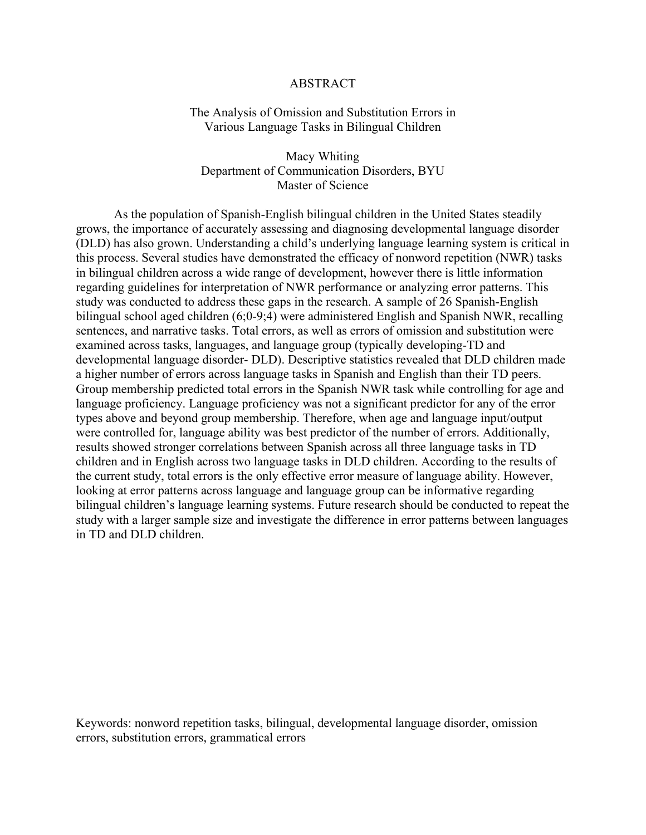#### ABSTRACT

## <span id="page-2-0"></span>The Analysis of Omission and Substitution Errors in Various Language Tasks in Bilingual Children

Macy Whiting Department of Communication Disorders, BYU Master of Science

As the population of Spanish-English bilingual children in the United States steadily grows, the importance of accurately assessing and diagnosing developmental language disorder (DLD) has also grown. Understanding a child's underlying language learning system is critical in this process. Several studies have demonstrated the efficacy of nonword repetition (NWR) tasks in bilingual children across a wide range of development, however there is little information regarding guidelines for interpretation of NWR performance or analyzing error patterns. This study was conducted to address these gaps in the research. A sample of 26 Spanish-English bilingual school aged children (6;0-9;4) were administered English and Spanish NWR, recalling sentences, and narrative tasks. Total errors, as well as errors of omission and substitution were examined across tasks, languages, and language group (typically developing-TD and developmental language disorder- DLD). Descriptive statistics revealed that DLD children made a higher number of errors across language tasks in Spanish and English than their TD peers. Group membership predicted total errors in the Spanish NWR task while controlling for age and language proficiency. Language proficiency was not a significant predictor for any of the error types above and beyond group membership. Therefore, when age and language input/output were controlled for, language ability was best predictor of the number of errors. Additionally, results showed stronger correlations between Spanish across all three language tasks in TD children and in English across two language tasks in DLD children. According to the results of the current study, total errors is the only effective error measure of language ability. However, looking at error patterns across language and language group can be informative regarding bilingual children's language learning systems. Future research should be conducted to repeat the study with a larger sample size and investigate the difference in error patterns between languages in TD and DLD children.

Keywords: nonword repetition tasks, bilingual, developmental language disorder, omission errors, substitution errors, grammatical errors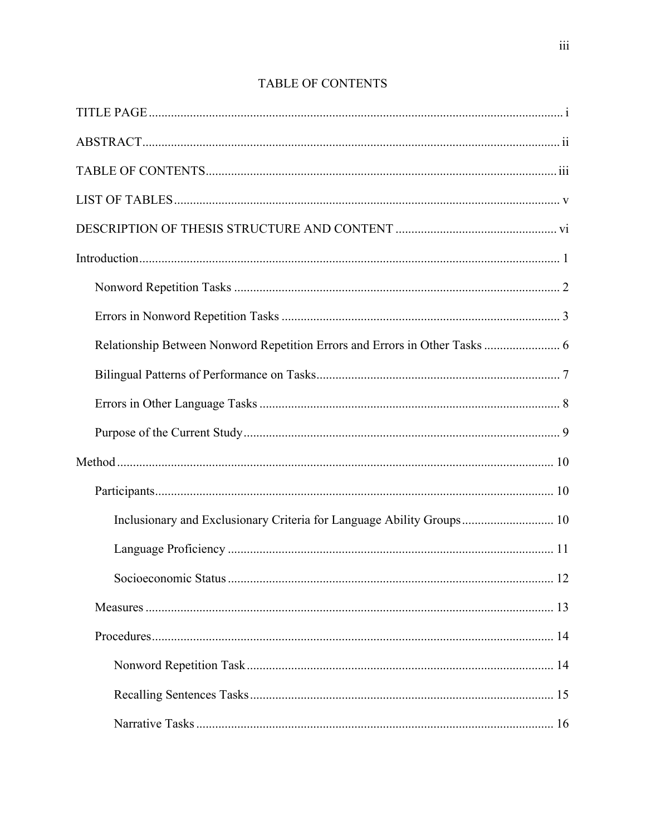<span id="page-3-0"></span>

| Relationship Between Nonword Repetition Errors and Errors in Other Tasks  6 |
|-----------------------------------------------------------------------------|
|                                                                             |
|                                                                             |
|                                                                             |
|                                                                             |
|                                                                             |
|                                                                             |
| Inclusionary and Exclusionary Criteria for Language Ability Groups 10       |
|                                                                             |
|                                                                             |
|                                                                             |
|                                                                             |
|                                                                             |
|                                                                             |

# TABLE OF CONTENTS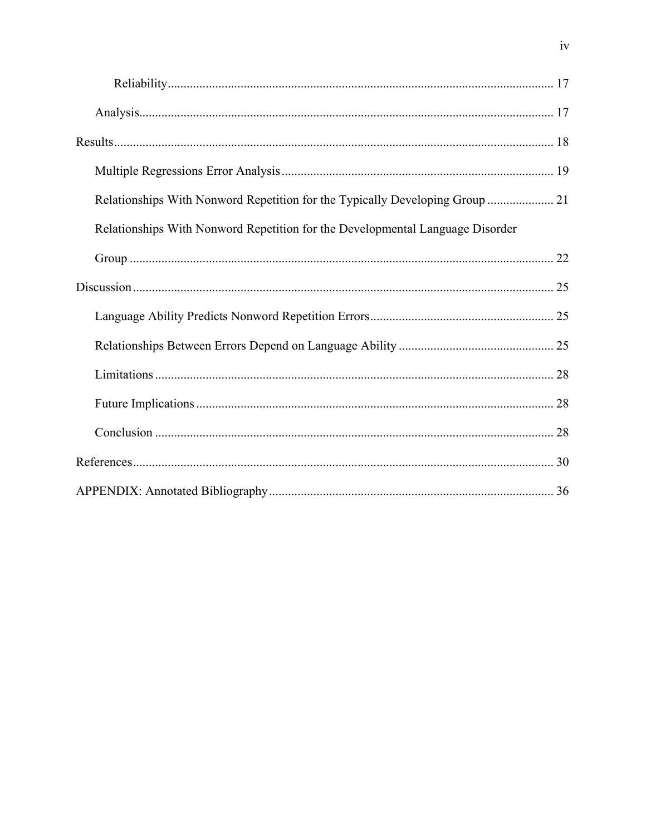| Relationships With Nonword Repetition for the Typically Developing Group  21  |
|-------------------------------------------------------------------------------|
| Relationships With Nonword Repetition for the Developmental Language Disorder |
|                                                                               |
|                                                                               |
|                                                                               |
|                                                                               |
|                                                                               |
|                                                                               |
|                                                                               |
|                                                                               |
|                                                                               |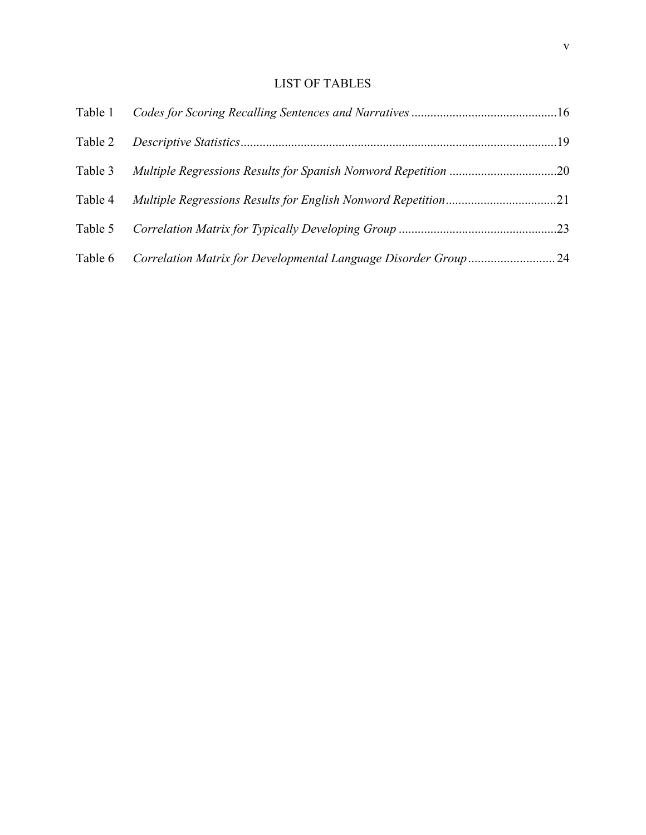# LIST OF TABLES

<span id="page-5-0"></span>

| Table 1 |  |
|---------|--|
| Table 2 |  |
| Table 3 |  |
| Table 4 |  |
| Table 5 |  |
| Table 6 |  |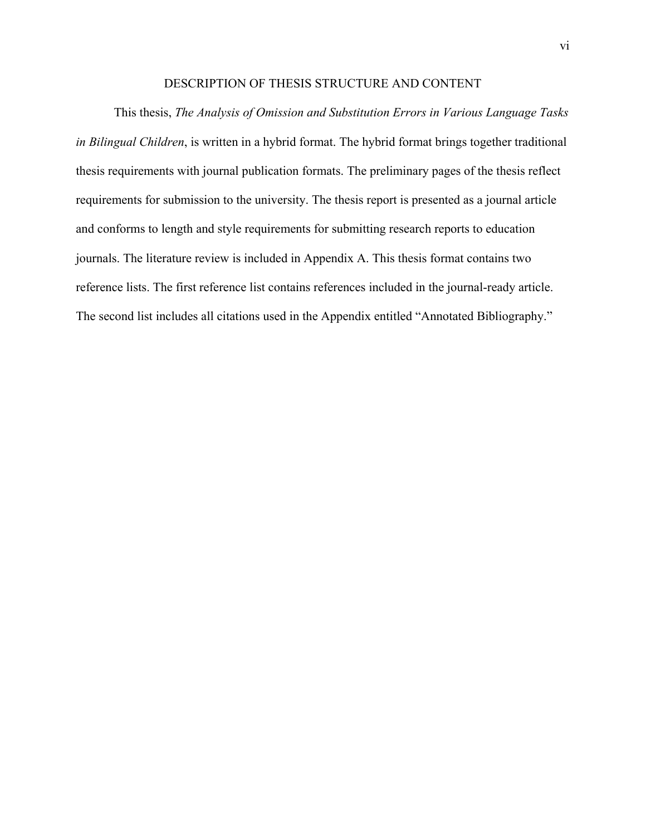## DESCRIPTION OF THESIS STRUCTURE AND CONTENT

<span id="page-6-0"></span> This thesis, *The Analysis of Omission and Substitution Errors in Various Language Tasks in Bilingual Children*, is written in a hybrid format. The hybrid format brings together traditional thesis requirements with journal publication formats. The preliminary pages of the thesis reflect requirements for submission to the university. The thesis report is presented as a journal article and conforms to length and style requirements for submitting research reports to education journals. The literature review is included in Appendix A. This thesis format contains two reference lists. The first reference list contains references included in the journal-ready article. The second list includes all citations used in the Appendix entitled "Annotated Bibliography."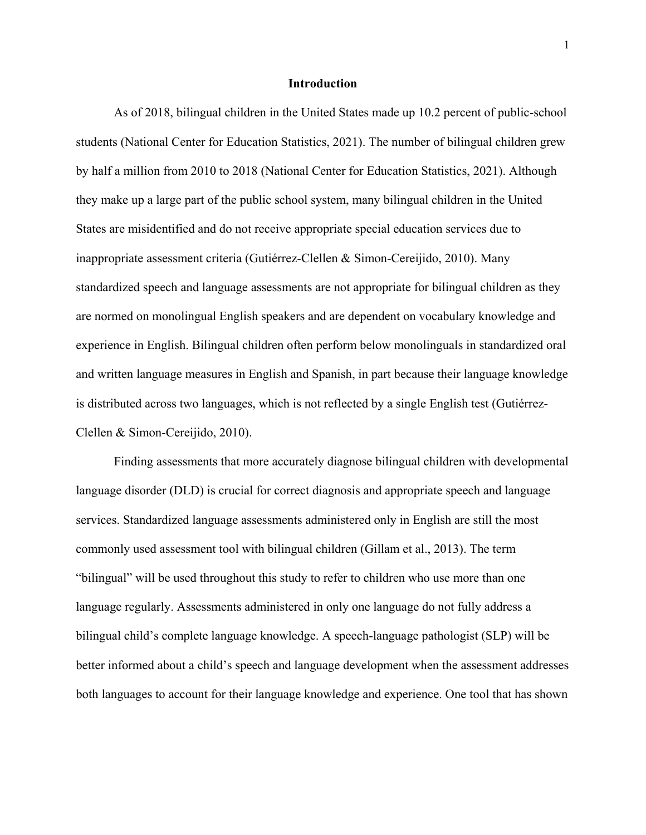#### **Introduction**

<span id="page-7-0"></span>As of 2018, bilingual children in the United States made up 10.2 percent of public-school students (National Center for Education Statistics, 2021). The number of bilingual children grew by half a million from 2010 to 2018 (National Center for Education Statistics, 2021). Although they make up a large part of the public school system, many bilingual children in the United States are misidentified and do not receive appropriate special education services due to inappropriate assessment criteria (Gutiérrez-Clellen & Simon-Cereijido, 2010). Many standardized speech and language assessments are not appropriate for bilingual children as they are normed on monolingual English speakers and are dependent on vocabulary knowledge and experience in English. Bilingual children often perform below monolinguals in standardized oral and written language measures in English and Spanish, in part because their language knowledge is distributed across two languages, which is not reflected by a single English test (Gutiérrez-Clellen & Simon-Cereijido, 2010).

Finding assessments that more accurately diagnose bilingual children with developmental language disorder (DLD) is crucial for correct diagnosis and appropriate speech and language services. Standardized language assessments administered only in English are still the most commonly used assessment tool with bilingual children (Gillam et al., 2013). The term "bilingual" will be used throughout this study to refer to children who use more than one language regularly. Assessments administered in only one language do not fully address a bilingual child's complete language knowledge. A speech-language pathologist (SLP) will be better informed about a child's speech and language development when the assessment addresses both languages to account for their language knowledge and experience. One tool that has shown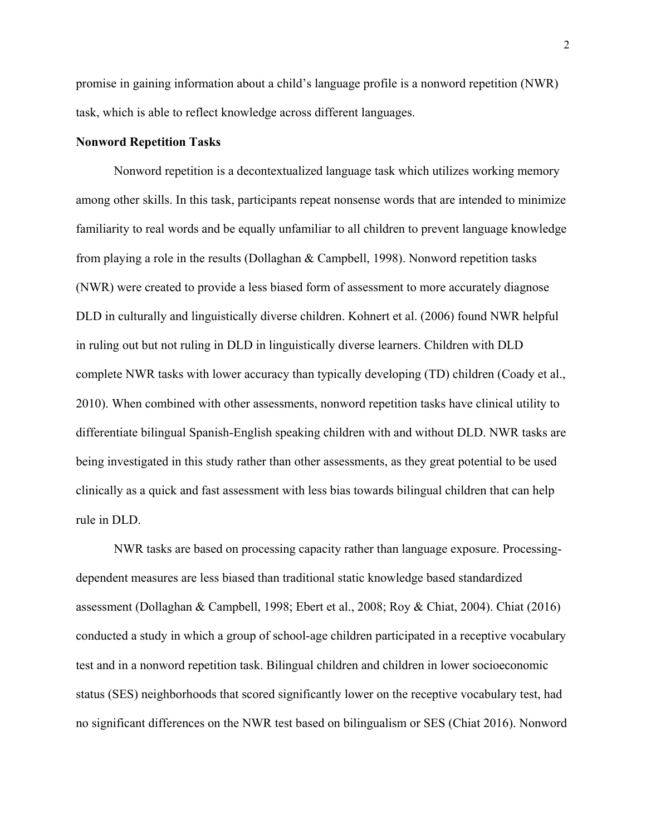promise in gaining information about a child's language profile is a nonword repetition (NWR) task, which is able to reflect knowledge across different languages.

#### <span id="page-8-0"></span>**Nonword Repetition Tasks**

Nonword repetition is a decontextualized language task which utilizes working memory among other skills. In this task, participants repeat nonsense words that are intended to minimize familiarity to real words and be equally unfamiliar to all children to prevent language knowledge from playing a role in the results (Dollaghan & Campbell, 1998). Nonword repetition tasks (NWR) were created to provide a less biased form of assessment to more accurately diagnose DLD in culturally and linguistically diverse children. Kohnert et al. (2006) found NWR helpful in ruling out but not ruling in DLD in linguistically diverse learners. Children with DLD complete NWR tasks with lower accuracy than typically developing (TD) children (Coady et al., 2010). When combined with other assessments, nonword repetition tasks have clinical utility to differentiate bilingual Spanish-English speaking children with and without DLD. NWR tasks are being investigated in this study rather than other assessments, as they great potential to be used clinically as a quick and fast assessment with less bias towards bilingual children that can help rule in DLD.

NWR tasks are based on processing capacity rather than language exposure. Processingdependent measures are less biased than traditional static knowledge based standardized assessment (Dollaghan & Campbell, 1998; Ebert et al., 2008; Roy & Chiat, 2004). Chiat (2016) conducted a study in which a group of school-age children participated in a receptive vocabulary test and in a nonword repetition task. Bilingual children and children in lower socioeconomic status (SES) neighborhoods that scored significantly lower on the receptive vocabulary test, had no significant differences on the NWR test based on bilingualism or SES (Chiat 2016). Nonword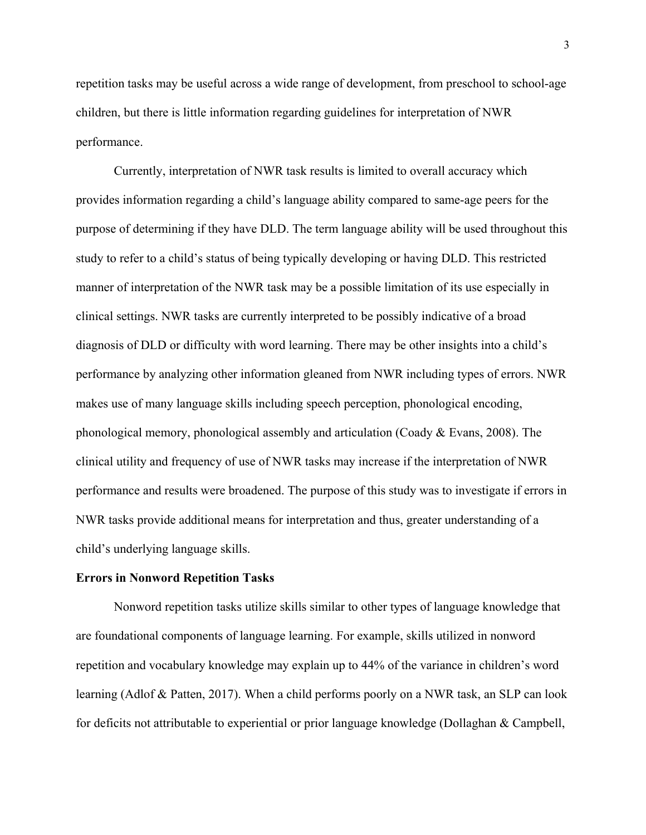repetition tasks may be useful across a wide range of development, from preschool to school-age children, but there is little information regarding guidelines for interpretation of NWR performance.

Currently, interpretation of NWR task results is limited to overall accuracy which provides information regarding a child's language ability compared to same-age peers for the purpose of determining if they have DLD. The term language ability will be used throughout this study to refer to a child's status of being typically developing or having DLD. This restricted manner of interpretation of the NWR task may be a possible limitation of its use especially in clinical settings. NWR tasks are currently interpreted to be possibly indicative of a broad diagnosis of DLD or difficulty with word learning. There may be other insights into a child's performance by analyzing other information gleaned from NWR including types of errors. NWR makes use of many language skills including speech perception, phonological encoding, phonological memory, phonological assembly and articulation (Coady & Evans, 2008). The clinical utility and frequency of use of NWR tasks may increase if the interpretation of NWR performance and results were broadened. The purpose of this study was to investigate if errors in NWR tasks provide additional means for interpretation and thus, greater understanding of a child's underlying language skills.

## <span id="page-9-0"></span>**Errors in Nonword Repetition Tasks**

Nonword repetition tasks utilize skills similar to other types of language knowledge that are foundational components of language learning. For example, skills utilized in nonword repetition and vocabulary knowledge may explain up to 44% of the variance in children's word learning (Adlof & Patten, 2017). When a child performs poorly on a NWR task, an SLP can look for deficits not attributable to experiential or prior language knowledge (Dollaghan & Campbell,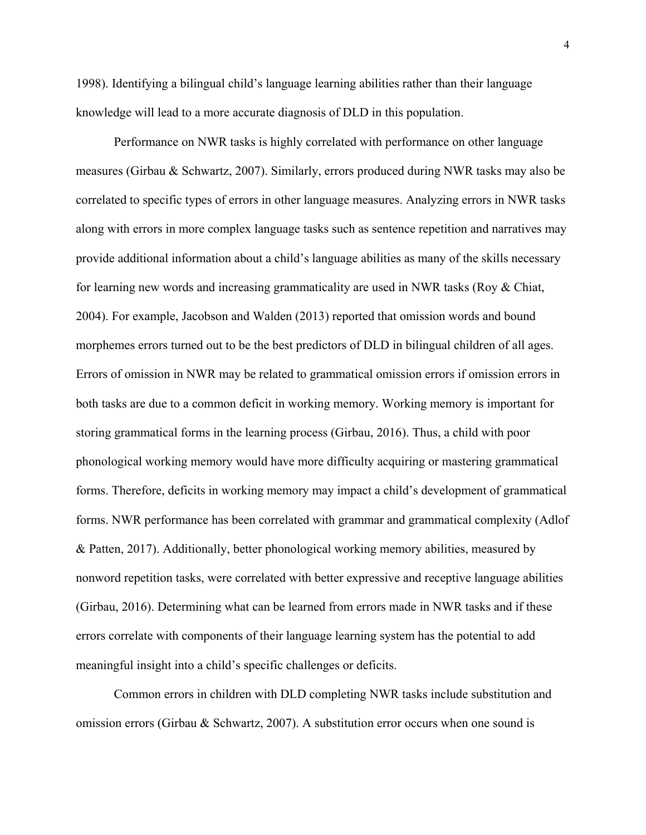1998). Identifying a bilingual child's language learning abilities rather than their language knowledge will lead to a more accurate diagnosis of DLD in this population.

Performance on NWR tasks is highly correlated with performance on other language measures (Girbau & Schwartz, 2007). Similarly, errors produced during NWR tasks may also be correlated to specific types of errors in other language measures. Analyzing errors in NWR tasks along with errors in more complex language tasks such as sentence repetition and narratives may provide additional information about a child's language abilities as many of the skills necessary for learning new words and increasing grammaticality are used in NWR tasks (Roy & Chiat, 2004). For example, Jacobson and Walden (2013) reported that omission words and bound morphemes errors turned out to be the best predictors of DLD in bilingual children of all ages. Errors of omission in NWR may be related to grammatical omission errors if omission errors in both tasks are due to a common deficit in working memory. Working memory is important for storing grammatical forms in the learning process (Girbau, 2016). Thus, a child with poor phonological working memory would have more difficulty acquiring or mastering grammatical forms. Therefore, deficits in working memory may impact a child's development of grammatical forms. NWR performance has been correlated with grammar and grammatical complexity (Adlof & Patten, 2017). Additionally, better phonological working memory abilities, measured by nonword repetition tasks, were correlated with better expressive and receptive language abilities (Girbau, 2016). Determining what can be learned from errors made in NWR tasks and if these errors correlate with components of their language learning system has the potential to add meaningful insight into a child's specific challenges or deficits.

Common errors in children with DLD completing NWR tasks include substitution and omission errors (Girbau & Schwartz, 2007). A substitution error occurs when one sound is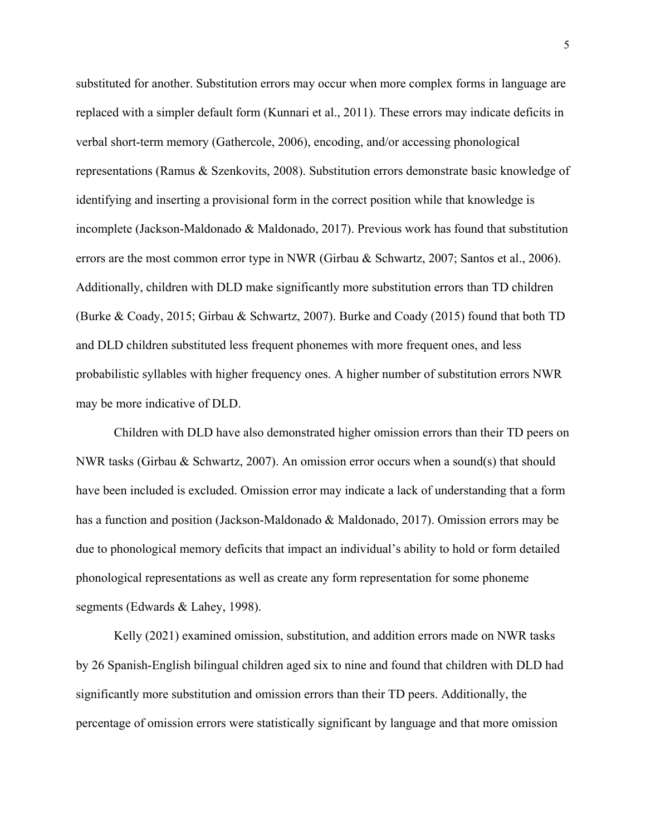substituted for another. Substitution errors may occur when more complex forms in language are replaced with a simpler default form (Kunnari et al., 2011). These errors may indicate deficits in verbal short-term memory (Gathercole, 2006), encoding, and/or accessing phonological representations (Ramus & Szenkovits, 2008). Substitution errors demonstrate basic knowledge of identifying and inserting a provisional form in the correct position while that knowledge is incomplete (Jackson-Maldonado & Maldonado, 2017). Previous work has found that substitution errors are the most common error type in NWR (Girbau & Schwartz, 2007; Santos et al., 2006). Additionally, children with DLD make significantly more substitution errors than TD children (Burke & Coady, 2015; Girbau & Schwartz, 2007). Burke and Coady (2015) found that both TD and DLD children substituted less frequent phonemes with more frequent ones, and less probabilistic syllables with higher frequency ones. A higher number of substitution errors NWR may be more indicative of DLD.

Children with DLD have also demonstrated higher omission errors than their TD peers on NWR tasks (Girbau & Schwartz, 2007). An omission error occurs when a sound(s) that should have been included is excluded. Omission error may indicate a lack of understanding that a form has a function and position (Jackson-Maldonado & Maldonado, 2017). Omission errors may be due to phonological memory deficits that impact an individual's ability to hold or form detailed phonological representations as well as create any form representation for some phoneme segments (Edwards & Lahey, 1998).

Kelly (2021) examined omission, substitution, and addition errors made on NWR tasks by 26 Spanish-English bilingual children aged six to nine and found that children with DLD had significantly more substitution and omission errors than their TD peers. Additionally, the percentage of omission errors were statistically significant by language and that more omission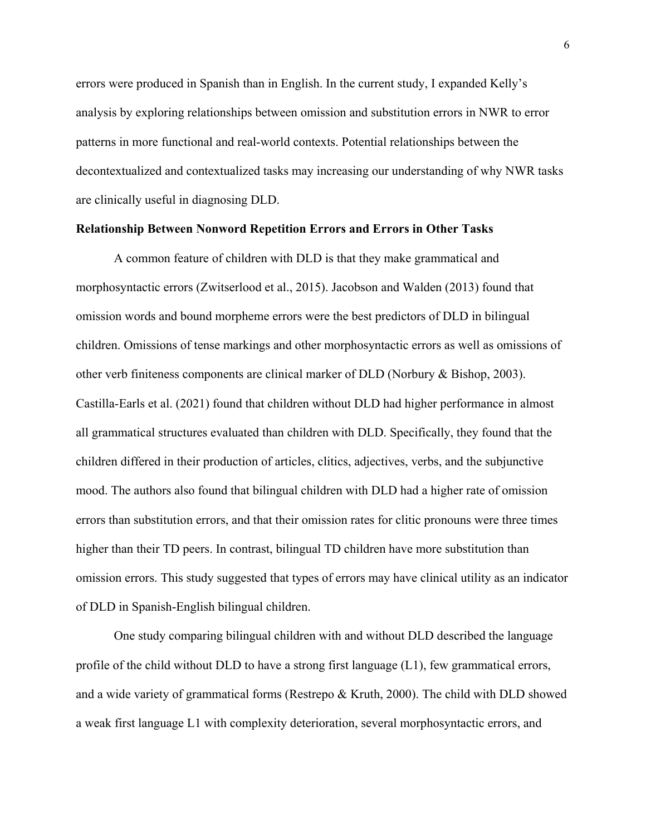errors were produced in Spanish than in English. In the current study, I expanded Kelly's analysis by exploring relationships between omission and substitution errors in NWR to error patterns in more functional and real-world contexts. Potential relationships between the decontextualized and contextualized tasks may increasing our understanding of why NWR tasks are clinically useful in diagnosing DLD.

## <span id="page-12-0"></span>**Relationship Between Nonword Repetition Errors and Errors in Other Tasks**

A common feature of children with DLD is that they make grammatical and morphosyntactic errors (Zwitserlood et al., 2015). Jacobson and Walden (2013) found that omission words and bound morpheme errors were the best predictors of DLD in bilingual children. Omissions of tense markings and other morphosyntactic errors as well as omissions of other verb finiteness components are clinical marker of DLD (Norbury & Bishop, 2003). Castilla-Earls et al. (2021) found that children without DLD had higher performance in almost all grammatical structures evaluated than children with DLD. Specifically, they found that the children differed in their production of articles, clitics, adjectives, verbs, and the subjunctive mood. The authors also found that bilingual children with DLD had a higher rate of omission errors than substitution errors, and that their omission rates for clitic pronouns were three times higher than their TD peers. In contrast, bilingual TD children have more substitution than omission errors. This study suggested that types of errors may have clinical utility as an indicator of DLD in Spanish-English bilingual children.

One study comparing bilingual children with and without DLD described the language profile of the child without DLD to have a strong first language (L1), few grammatical errors, and a wide variety of grammatical forms (Restrepo & Kruth, 2000). The child with DLD showed a weak first language L1 with complexity deterioration, several morphosyntactic errors, and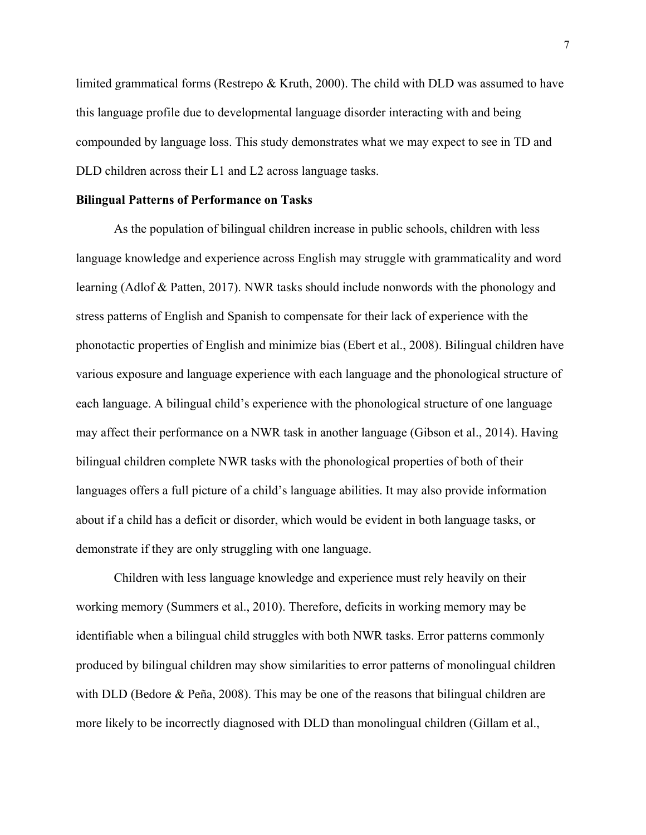limited grammatical forms (Restrepo & Kruth, 2000). The child with DLD was assumed to have this language profile due to developmental language disorder interacting with and being compounded by language loss. This study demonstrates what we may expect to see in TD and DLD children across their L1 and L2 across language tasks.

#### <span id="page-13-0"></span>**Bilingual Patterns of Performance on Tasks**

As the population of bilingual children increase in public schools, children with less language knowledge and experience across English may struggle with grammaticality and word learning (Adlof & Patten, 2017). NWR tasks should include nonwords with the phonology and stress patterns of English and Spanish to compensate for their lack of experience with the phonotactic properties of English and minimize bias (Ebert et al., 2008). Bilingual children have various exposure and language experience with each language and the phonological structure of each language. A bilingual child's experience with the phonological structure of one language may affect their performance on a NWR task in another language (Gibson et al., 2014). Having bilingual children complete NWR tasks with the phonological properties of both of their languages offers a full picture of a child's language abilities. It may also provide information about if a child has a deficit or disorder, which would be evident in both language tasks, or demonstrate if they are only struggling with one language.

Children with less language knowledge and experience must rely heavily on their working memory (Summers et al., 2010). Therefore, deficits in working memory may be identifiable when a bilingual child struggles with both NWR tasks. Error patterns commonly produced by bilingual children may show similarities to error patterns of monolingual children with DLD (Bedore & Peña, 2008). This may be one of the reasons that bilingual children are more likely to be incorrectly diagnosed with DLD than monolingual children (Gillam et al.,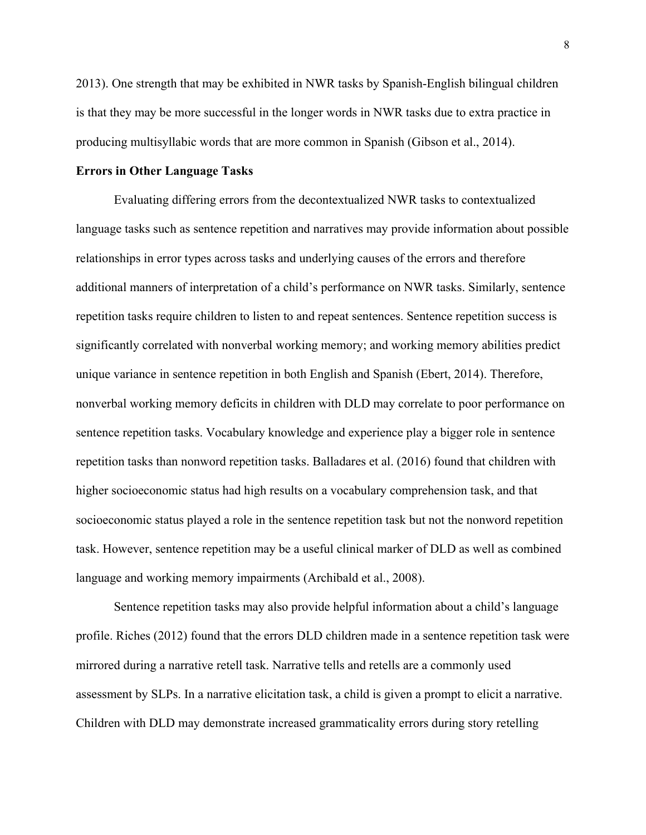2013). One strength that may be exhibited in NWR tasks by Spanish-English bilingual children is that they may be more successful in the longer words in NWR tasks due to extra practice in producing multisyllabic words that are more common in Spanish (Gibson et al., 2014).

## <span id="page-14-0"></span>**Errors in Other Language Tasks**

Evaluating differing errors from the decontextualized NWR tasks to contextualized language tasks such as sentence repetition and narratives may provide information about possible relationships in error types across tasks and underlying causes of the errors and therefore additional manners of interpretation of a child's performance on NWR tasks. Similarly, sentence repetition tasks require children to listen to and repeat sentences. Sentence repetition success is significantly correlated with nonverbal working memory; and working memory abilities predict unique variance in sentence repetition in both English and Spanish (Ebert, 2014). Therefore, nonverbal working memory deficits in children with DLD may correlate to poor performance on sentence repetition tasks. Vocabulary knowledge and experience play a bigger role in sentence repetition tasks than nonword repetition tasks. Balladares et al. (2016) found that children with higher socioeconomic status had high results on a vocabulary comprehension task, and that socioeconomic status played a role in the sentence repetition task but not the nonword repetition task. However, sentence repetition may be a useful clinical marker of DLD as well as combined language and working memory impairments (Archibald et al., 2008).

Sentence repetition tasks may also provide helpful information about a child's language profile. Riches (2012) found that the errors DLD children made in a sentence repetition task were mirrored during a narrative retell task. Narrative tells and retells are a commonly used assessment by SLPs. In a narrative elicitation task, a child is given a prompt to elicit a narrative. Children with DLD may demonstrate increased grammaticality errors during story retelling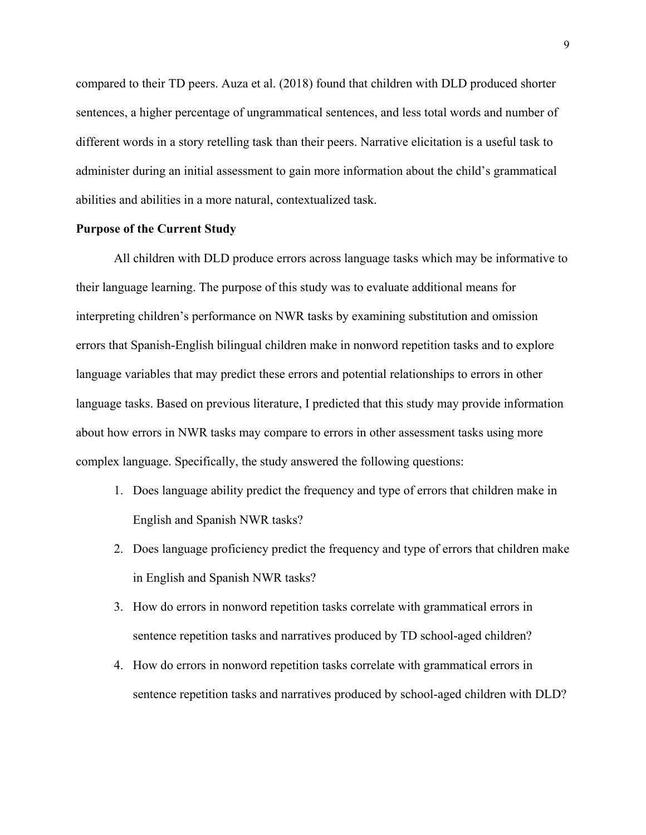compared to their TD peers. Auza et al. (2018) found that children with DLD produced shorter sentences, a higher percentage of ungrammatical sentences, and less total words and number of different words in a story retelling task than their peers. Narrative elicitation is a useful task to administer during an initial assessment to gain more information about the child's grammatical abilities and abilities in a more natural, contextualized task.

## <span id="page-15-0"></span>**Purpose of the Current Study**

All children with DLD produce errors across language tasks which may be informative to their language learning. The purpose of this study was to evaluate additional means for interpreting children's performance on NWR tasks by examining substitution and omission errors that Spanish-English bilingual children make in nonword repetition tasks and to explore language variables that may predict these errors and potential relationships to errors in other language tasks. Based on previous literature, I predicted that this study may provide information about how errors in NWR tasks may compare to errors in other assessment tasks using more complex language. Specifically, the study answered the following questions:

- 1. Does language ability predict the frequency and type of errors that children make in English and Spanish NWR tasks?
- 2. Does language proficiency predict the frequency and type of errors that children make in English and Spanish NWR tasks?
- 3. How do errors in nonword repetition tasks correlate with grammatical errors in sentence repetition tasks and narratives produced by TD school-aged children?
- 4. How do errors in nonword repetition tasks correlate with grammatical errors in sentence repetition tasks and narratives produced by school-aged children with DLD?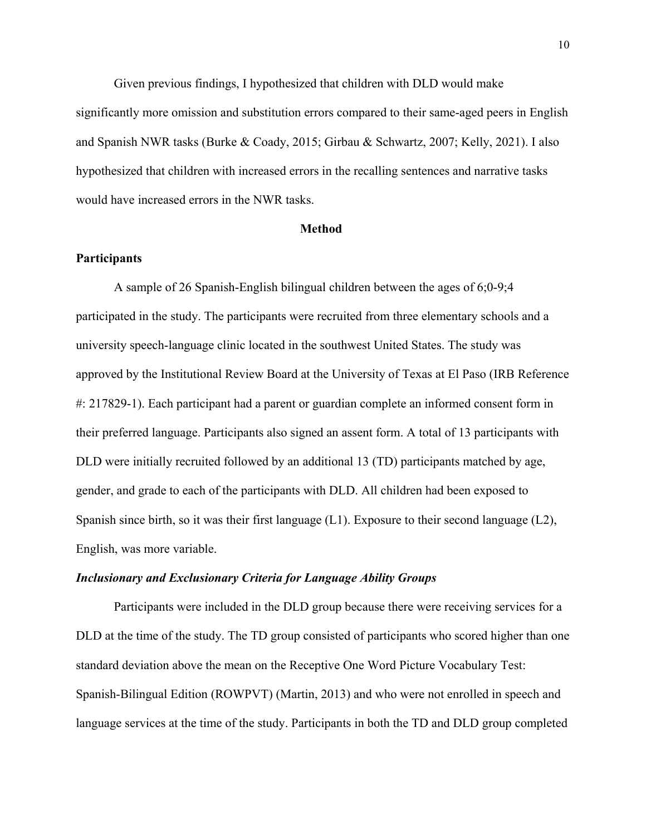Given previous findings, I hypothesized that children with DLD would make significantly more omission and substitution errors compared to their same-aged peers in English and Spanish NWR tasks (Burke & Coady, 2015; Girbau & Schwartz, 2007; Kelly, 2021). I also hypothesized that children with increased errors in the recalling sentences and narrative tasks would have increased errors in the NWR tasks.

#### **Method**

## <span id="page-16-1"></span><span id="page-16-0"></span>**Participants**

A sample of 26 Spanish-English bilingual children between the ages of 6;0-9;4 participated in the study. The participants were recruited from three elementary schools and a university speech-language clinic located in the southwest United States. The study was approved by the Institutional Review Board at the University of Texas at El Paso (IRB Reference #: 217829-1). Each participant had a parent or guardian complete an informed consent form in their preferred language. Participants also signed an assent form. A total of 13 participants with DLD were initially recruited followed by an additional 13 (TD) participants matched by age, gender, and grade to each of the participants with DLD. All children had been exposed to Spanish since birth, so it was their first language (L1). Exposure to their second language (L2), English, was more variable.

#### <span id="page-16-2"></span>*Inclusionary and Exclusionary Criteria for Language Ability Groups*

Participants were included in the DLD group because there were receiving services for a DLD at the time of the study. The TD group consisted of participants who scored higher than one standard deviation above the mean on the Receptive One Word Picture Vocabulary Test: Spanish-Bilingual Edition (ROWPVT) (Martin, 2013) and who were not enrolled in speech and language services at the time of the study. Participants in both the TD and DLD group completed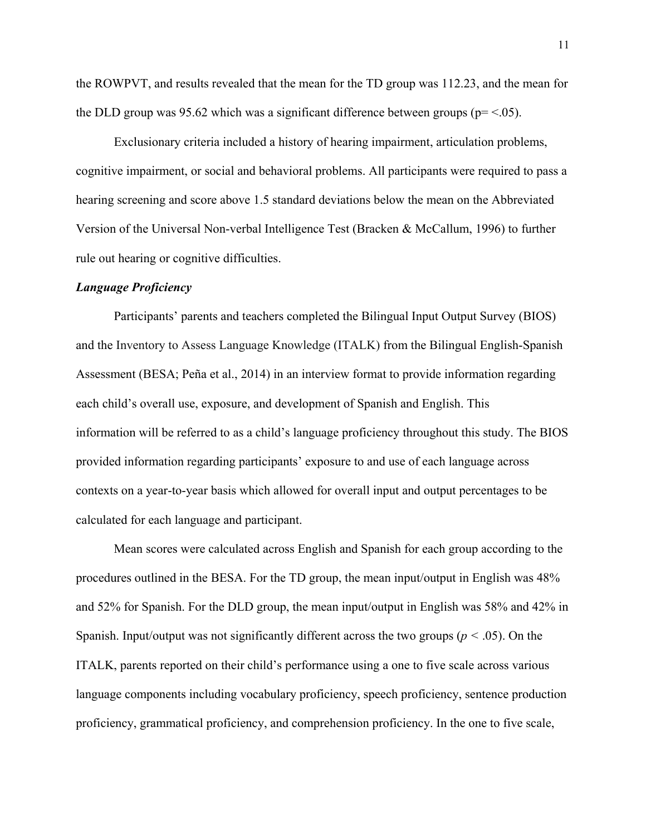the ROWPVT, and results revealed that the mean for the TD group was 112.23, and the mean for the DLD group was 95.62 which was a significant difference between groups ( $p = < .05$ ).

Exclusionary criteria included a history of hearing impairment, articulation problems, cognitive impairment, or social and behavioral problems. All participants were required to pass a hearing screening and score above 1.5 standard deviations below the mean on the Abbreviated Version of the Universal Non-verbal Intelligence Test (Bracken & McCallum, 1996) to further rule out hearing or cognitive difficulties.

#### <span id="page-17-0"></span>*Language Proficiency*

Participants' parents and teachers completed the Bilingual Input Output Survey (BIOS) and the Inventory to Assess Language Knowledge (ITALK) from the Bilingual English-Spanish Assessment (BESA; Peña et al., 2014) in an interview format to provide information regarding each child's overall use, exposure, and development of Spanish and English. This information will be referred to as a child's language proficiency throughout this study. The BIOS provided information regarding participants' exposure to and use of each language across contexts on a year-to-year basis which allowed for overall input and output percentages to be calculated for each language and participant.

Mean scores were calculated across English and Spanish for each group according to the procedures outlined in the BESA. For the TD group, the mean input/output in English was 48% and 52% for Spanish. For the DLD group, the mean input/output in English was 58% and 42% in Spanish. Input/output was not significantly different across the two groups (*p <* .05). On the ITALK, parents reported on their child's performance using a one to five scale across various language components including vocabulary proficiency, speech proficiency, sentence production proficiency, grammatical proficiency, and comprehension proficiency. In the one to five scale,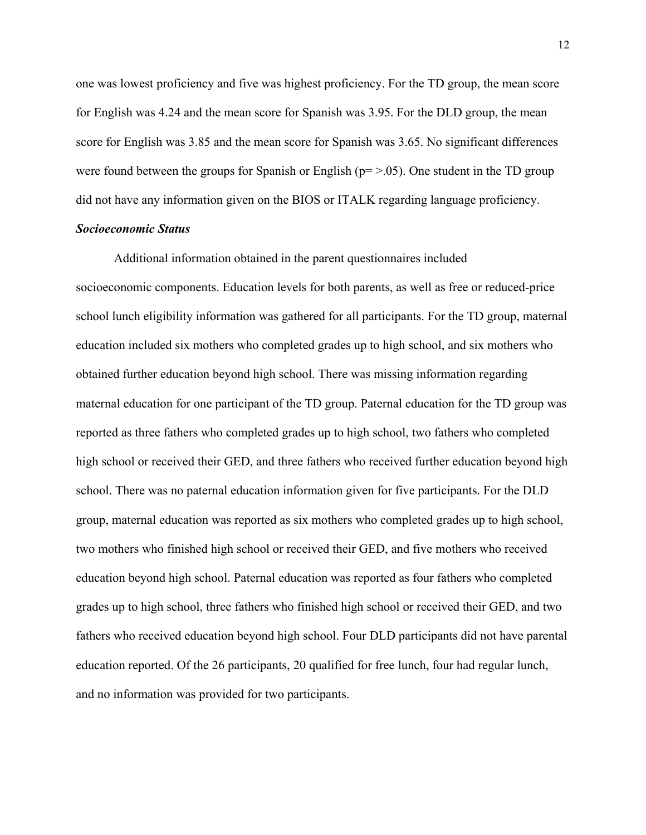one was lowest proficiency and five was highest proficiency. For the TD group, the mean score for English was 4.24 and the mean score for Spanish was 3.95. For the DLD group, the mean score for English was 3.85 and the mean score for Spanish was 3.65. No significant differences were found between the groups for Spanish or English ( $p = > .05$ ). One student in the TD group did not have any information given on the BIOS or ITALK regarding language proficiency.

## <span id="page-18-0"></span>*Socioeconomic Status*

<span id="page-18-1"></span>Additional information obtained in the parent questionnaires included socioeconomic components. Education levels for both parents, as well as free or reduced-price school lunch eligibility information was gathered for all participants. For the TD group, maternal education included six mothers who completed grades up to high school, and six mothers who obtained further education beyond high school. There was missing information regarding maternal education for one participant of the TD group. Paternal education for the TD group was reported as three fathers who completed grades up to high school, two fathers who completed high school or received their GED, and three fathers who received further education beyond high school. There was no paternal education information given for five participants. For the DLD group, maternal education was reported as six mothers who completed grades up to high school, two mothers who finished high school or received their GED, and five mothers who received education beyond high school. Paternal education was reported as four fathers who completed grades up to high school, three fathers who finished high school or received their GED, and two fathers who received education beyond high school. Four DLD participants did not have parental education reported. Of the 26 participants, 20 qualified for free lunch, four had regular lunch, and no information was provided for two participants.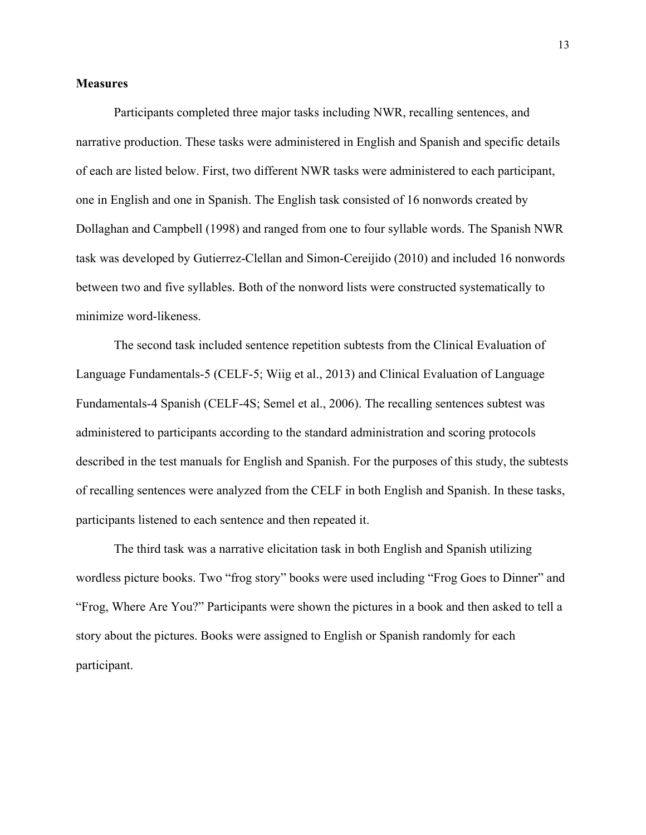## **Measures**

 Participants completed three major tasks including NWR, recalling sentences, and narrative production. These tasks were administered in English and Spanish and specific details of each are listed below. First, two different NWR tasks were administered to each participant, one in English and one in Spanish. The English task consisted of 16 nonwords created by Dollaghan and Campbell (1998) and ranged from one to four syllable words. The Spanish NWR task was developed by Gutierrez-Clellan and Simon-Cereijido (2010) and included 16 nonwords between two and five syllables. Both of the nonword lists were constructed systematically to minimize word-likeness.

The second task included sentence repetition subtests from the Clinical Evaluation of Language Fundamentals-5 (CELF-5; Wiig et al., 2013) and Clinical Evaluation of Language Fundamentals-4 Spanish (CELF-4S; Semel et al., 2006). The recalling sentences subtest was administered to participants according to the standard administration and scoring protocols described in the test manuals for English and Spanish. For the purposes of this study, the subtests of recalling sentences were analyzed from the CELF in both English and Spanish. In these tasks, participants listened to each sentence and then repeated it.

<span id="page-19-0"></span>The third task was a narrative elicitation task in both English and Spanish utilizing wordless picture books. Two "frog story" books were used including "Frog Goes to Dinner" and "Frog, Where Are You?" Participants were shown the pictures in a book and then asked to tell a story about the pictures. Books were assigned to English or Spanish randomly for each participant.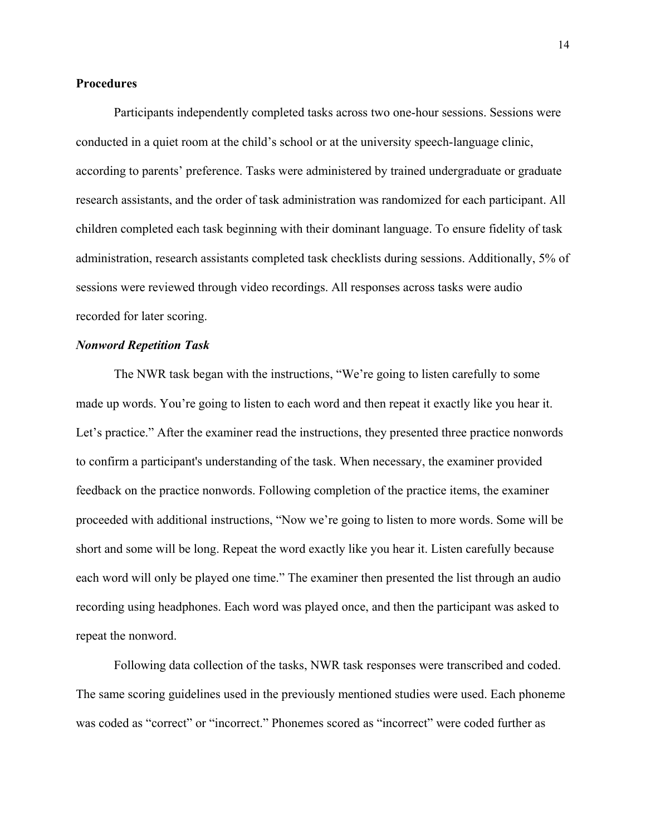## **Procedures**

Participants independently completed tasks across two one-hour sessions. Sessions were conducted in a quiet room at the child's school or at the university speech-language clinic, according to parents' preference. Tasks were administered by trained undergraduate or graduate research assistants, and the order of task administration was randomized for each participant. All children completed each task beginning with their dominant language. To ensure fidelity of task administration, research assistants completed task checklists during sessions. Additionally, 5% of sessions were reviewed through video recordings. All responses across tasks were audio recorded for later scoring.

## <span id="page-20-0"></span>*Nonword Repetition Task*

The NWR task began with the instructions, "We're going to listen carefully to some made up words. You're going to listen to each word and then repeat it exactly like you hear it. Let's practice." After the examiner read the instructions, they presented three practice nonwords to confirm a participant's understanding of the task. When necessary, the examiner provided feedback on the practice nonwords. Following completion of the practice items, the examiner proceeded with additional instructions, "Now we're going to listen to more words. Some will be short and some will be long. Repeat the word exactly like you hear it. Listen carefully because each word will only be played one time." The examiner then presented the list through an audio recording using headphones. Each word was played once, and then the participant was asked to repeat the nonword.

Following data collection of the tasks, NWR task responses were transcribed and coded. The same scoring guidelines used in the previously mentioned studies were used. Each phoneme was coded as "correct" or "incorrect." Phonemes scored as "incorrect" were coded further as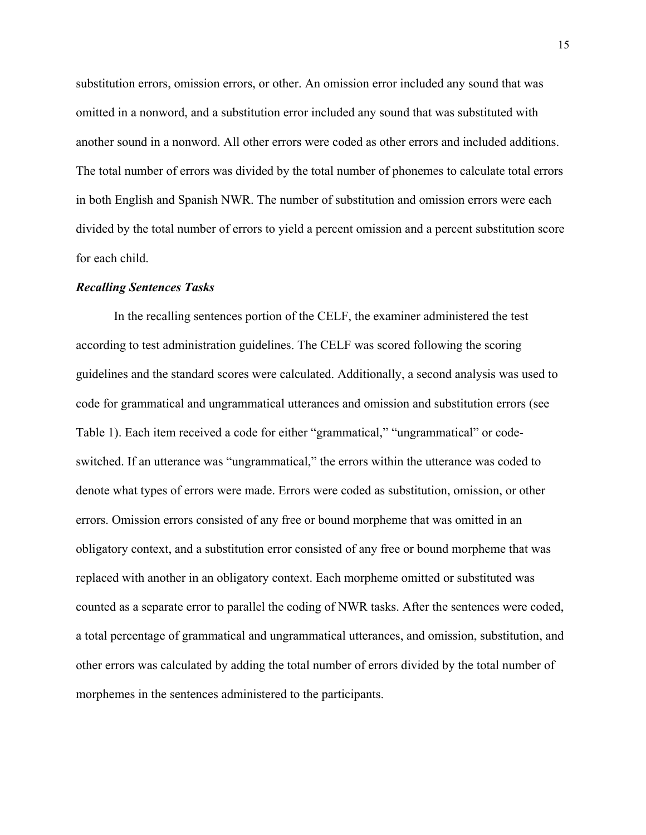substitution errors, omission errors, or other. An omission error included any sound that was omitted in a nonword, and a substitution error included any sound that was substituted with another sound in a nonword. All other errors were coded as other errors and included additions. The total number of errors was divided by the total number of phonemes to calculate total errors in both English and Spanish NWR. The number of substitution and omission errors were each divided by the total number of errors to yield a percent omission and a percent substitution score for each child.

#### <span id="page-21-0"></span>*Recalling Sentences Tasks*

<span id="page-21-1"></span>In the recalling sentences portion of the CELF, the examiner administered the test according to test administration guidelines. The CELF was scored following the scoring guidelines and the standard scores were calculated. Additionally, a second analysis was used to code for grammatical and ungrammatical utterances and omission and substitution errors (see Table 1). Each item received a code for either "grammatical," "ungrammatical" or codeswitched. If an utterance was "ungrammatical," the errors within the utterance was coded to denote what types of errors were made. Errors were coded as substitution, omission, or other errors. Omission errors consisted of any free or bound morpheme that was omitted in an obligatory context, and a substitution error consisted of any free or bound morpheme that was replaced with another in an obligatory context. Each morpheme omitted or substituted was counted as a separate error to parallel the coding of NWR tasks. After the sentences were coded, a total percentage of grammatical and ungrammatical utterances, and omission, substitution, and other errors was calculated by adding the total number of errors divided by the total number of morphemes in the sentences administered to the participants.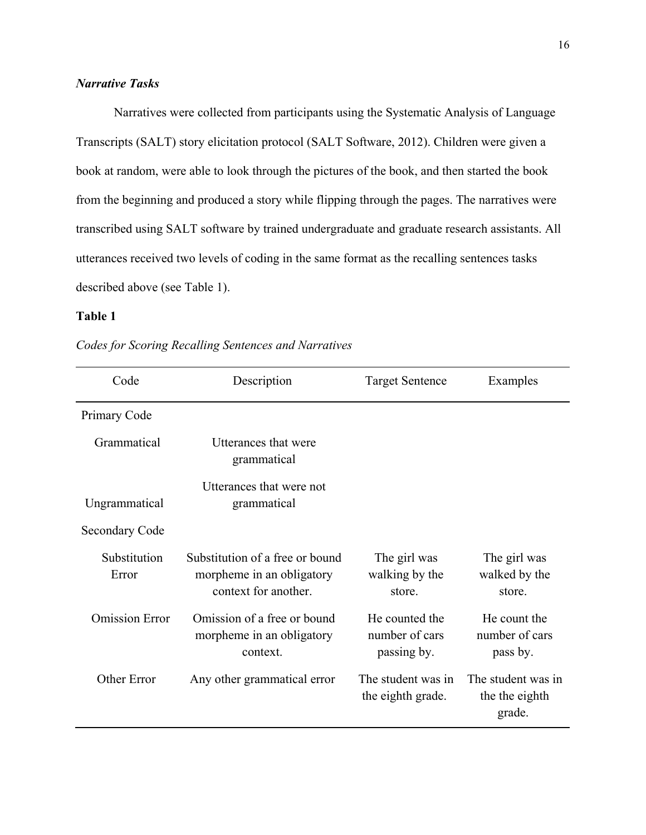## *Narrative Tasks*

Narratives were collected from participants using the Systematic Analysis of Language Transcripts (SALT) story elicitation protocol (SALT Software, 2012). Children were given a book at random, were able to look through the pictures of the book, and then started the book from the beginning and produced a story while flipping through the pages. The narratives were transcribed using SALT software by trained undergraduate and graduate research assistants. All utterances received two levels of coding in the same format as the recalling sentences tasks described above (see Table 1).

## **Table 1**

| Code                  | Description                                                                          | <b>Target Sentence</b>                          | Examples                                       |
|-----------------------|--------------------------------------------------------------------------------------|-------------------------------------------------|------------------------------------------------|
| Primary Code          |                                                                                      |                                                 |                                                |
| Grammatical           | Utterances that were<br>grammatical                                                  |                                                 |                                                |
| Ungrammatical         | Utterances that were not<br>grammatical                                              |                                                 |                                                |
| <b>Secondary Code</b> |                                                                                      |                                                 |                                                |
| Substitution<br>Error | Substitution of a free or bound<br>morpheme in an obligatory<br>context for another. | The girl was<br>walking by the<br>store.        | The girl was<br>walked by the<br>store.        |
| <b>Omission Error</b> | Omission of a free or bound<br>morpheme in an obligatory<br>context.                 | He counted the<br>number of cars<br>passing by. | He count the<br>number of cars<br>pass by.     |
| Other Error           | Any other grammatical error                                                          | The student was in<br>the eighth grade.         | The student was in<br>the the eighth<br>grade. |

*Codes for Scoring Recalling Sentences and Narratives*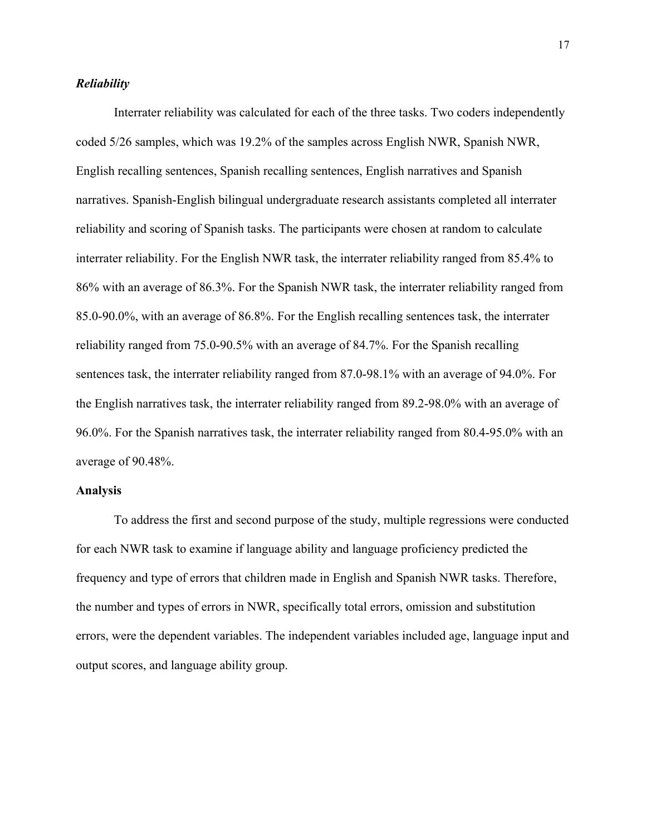## <span id="page-23-0"></span>*Reliability*

Interrater reliability was calculated for each of the three tasks. Two coders independently coded 5/26 samples, which was 19.2% of the samples across English NWR, Spanish NWR, English recalling sentences, Spanish recalling sentences, English narratives and Spanish narratives. Spanish-English bilingual undergraduate research assistants completed all interrater reliability and scoring of Spanish tasks. The participants were chosen at random to calculate interrater reliability. For the English NWR task, the interrater reliability ranged from 85.4% to 86% with an average of 86.3%. For the Spanish NWR task, the interrater reliability ranged from 85.0-90.0%, with an average of 86.8%. For the English recalling sentences task, the interrater reliability ranged from 75.0-90.5% with an average of 84.7%. For the Spanish recalling sentences task, the interrater reliability ranged from 87.0-98.1% with an average of 94.0%. For the English narratives task, the interrater reliability ranged from 89.2-98.0% with an average of 96.0%. For the Spanish narratives task, the interrater reliability ranged from 80.4-95.0% with an average of 90.48%.

#### <span id="page-23-1"></span>**Analysis**

To address the first and second purpose of the study, multiple regressions were conducted for each NWR task to examine if language ability and language proficiency predicted the frequency and type of errors that children made in English and Spanish NWR tasks. Therefore, the number and types of errors in NWR, specifically total errors, omission and substitution errors, were the dependent variables. The independent variables included age, language input and output scores, and language ability group.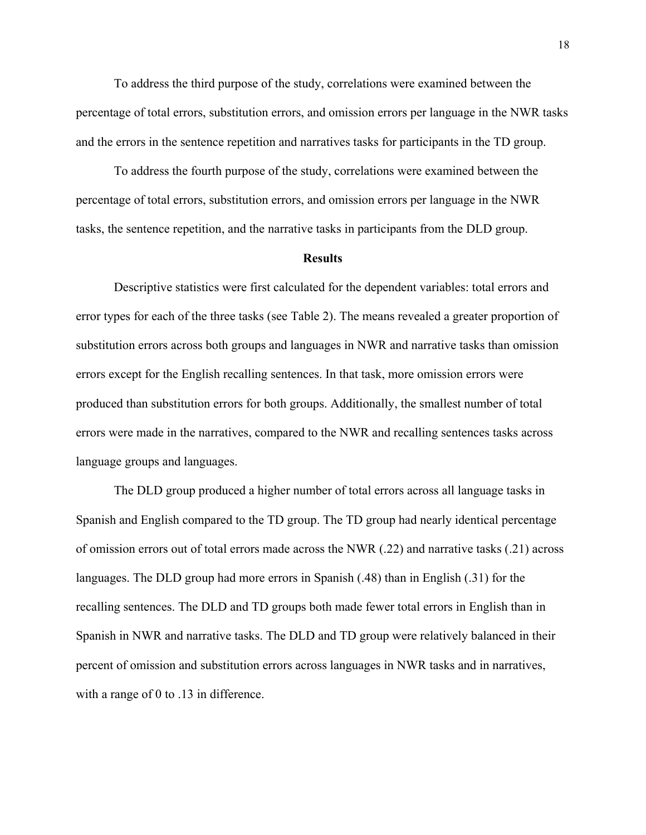To address the third purpose of the study, correlations were examined between the percentage of total errors, substitution errors, and omission errors per language in the NWR tasks and the errors in the sentence repetition and narratives tasks for participants in the TD group.

To address the fourth purpose of the study, correlations were examined between the percentage of total errors, substitution errors, and omission errors per language in the NWR tasks, the sentence repetition, and the narrative tasks in participants from the DLD group.

#### **Results**

<span id="page-24-0"></span>Descriptive statistics were first calculated for the dependent variables: total errors and error types for each of the three tasks (see Table 2). The means revealed a greater proportion of substitution errors across both groups and languages in NWR and narrative tasks than omission errors except for the English recalling sentences. In that task, more omission errors were produced than substitution errors for both groups. Additionally, the smallest number of total errors were made in the narratives, compared to the NWR and recalling sentences tasks across language groups and languages.

The DLD group produced a higher number of total errors across all language tasks in Spanish and English compared to the TD group. The TD group had nearly identical percentage of omission errors out of total errors made across the NWR (.22) and narrative tasks (.21) across languages. The DLD group had more errors in Spanish (.48) than in English (.31) for the recalling sentences. The DLD and TD groups both made fewer total errors in English than in Spanish in NWR and narrative tasks. The DLD and TD group were relatively balanced in their percent of omission and substitution errors across languages in NWR tasks and in narratives, with a range of 0 to .13 in difference.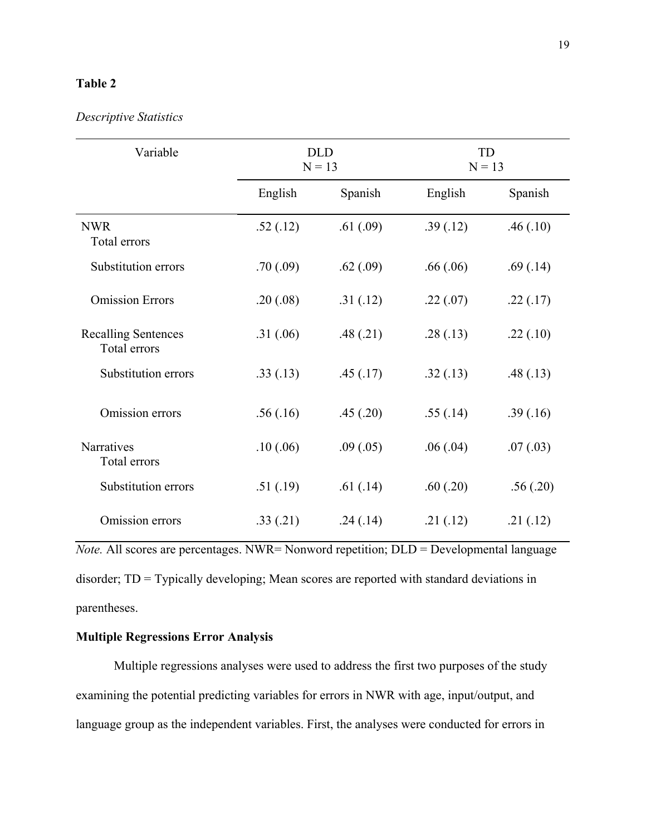## **Table 2**

## *Descriptive Statistics*

| Variable                                   |           | <b>DLD</b><br>$N = 13$ | TD<br>$N = 13$ |           |  |  |  |
|--------------------------------------------|-----------|------------------------|----------------|-----------|--|--|--|
|                                            | English   | Spanish                | English        | Spanish   |  |  |  |
| <b>NWR</b><br>Total errors                 | .52(.12)  | .61(.09)               | .39(.12)       | .46(.10)  |  |  |  |
| Substitution errors                        | .70(.09)  | .62(.09)               | .66(.06)       | .69(.14)  |  |  |  |
| <b>Omission Errors</b>                     | .20(.08)  | .31(.12)               | .22(.07)       | .22(.17)  |  |  |  |
| <b>Recalling Sentences</b><br>Total errors | .31(.06)  | .48(.21)               | .28(.13)       | .22(.10)  |  |  |  |
| Substitution errors                        | .33(.13)  | .45(.17)               | .32(.13)       | .48(.13)  |  |  |  |
| Omission errors                            | .56(.16)  | .45(.20)               | .55(.14)       | .39(.16)  |  |  |  |
| Narratives<br>Total errors                 | .10(0.06) | .09(.05)               | .06(.04)       | .07(0.03) |  |  |  |
| Substitution errors                        | .51(.19)  | .61(.14)               | .60(.20)       | .56(.20)  |  |  |  |
| Omission errors                            | .33(.21)  | .24(.14)               | .21(.12)       | .21(.12)  |  |  |  |

*Note.* All scores are percentages. NWR= Nonword repetition; DLD = Developmental language disorder; TD = Typically developing; Mean scores are reported with standard deviations in parentheses.

## <span id="page-25-0"></span>**Multiple Regressions Error Analysis**

Multiple regressions analyses were used to address the first two purposes of the study examining the potential predicting variables for errors in NWR with age, input/output, and language group as the independent variables. First, the analyses were conducted for errors in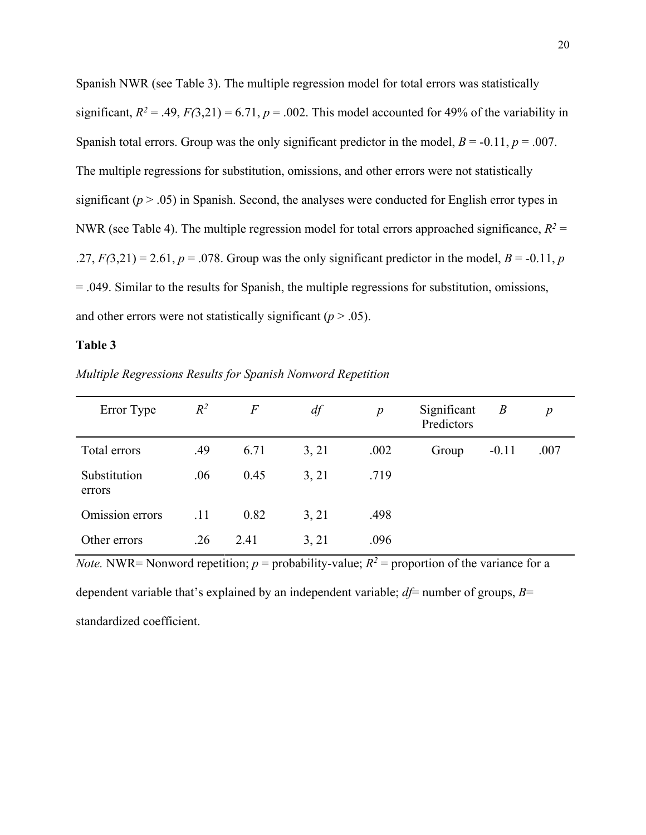Spanish NWR (see Table 3). The multiple regression model for total errors was statistically significant,  $R^2 = .49$ ,  $F(3,21) = 6.71$ ,  $p = .002$ . This model accounted for 49% of the variability in Spanish total errors. Group was the only significant predictor in the model,  $B = -0.11$ ,  $p = .007$ . The multiple regressions for substitution, omissions, and other errors were not statistically significant  $(p > .05)$  in Spanish. Second, the analyses were conducted for English error types in NWR (see Table 4). The multiple regression model for total errors approached significance,  $R^2$  =  $.27, F(3,21) = 2.61, p = .078$ . Group was the only significant predictor in the model,  $B = -0.11, p$ = .049. Similar to the results for Spanish, the multiple regressions for substitution, omissions, and other errors were not statistically significant  $(p > .05)$ .

## **Table 3**

| Error Type             | $R^2$ | F    | df    | $\boldsymbol{p}$ | Significant<br>Predictors | $\boldsymbol{B}$ | $\boldsymbol{p}$ |
|------------------------|-------|------|-------|------------------|---------------------------|------------------|------------------|
| Total errors           | .49   | 6.71 | 3, 21 | .002             | Group                     | $-0.11$          | .007             |
| Substitution<br>errors | .06   | 0.45 | 3, 21 | .719             |                           |                  |                  |
| Omission errors        | .11   | 0.82 | 3, 21 | .498             |                           |                  |                  |
| Other errors           | .26   | 2.41 | 3, 21 | .096             |                           |                  |                  |

*Multiple Regressions Results for Spanish Nonword Repetition* 

*Note.* NWR= Nonword repetition;  $p =$  probability-value;  $R^2 =$  proportion of the variance for a dependent variable that's explained by an independent variable; *df*= number of groups, *B*= standardized coefficient.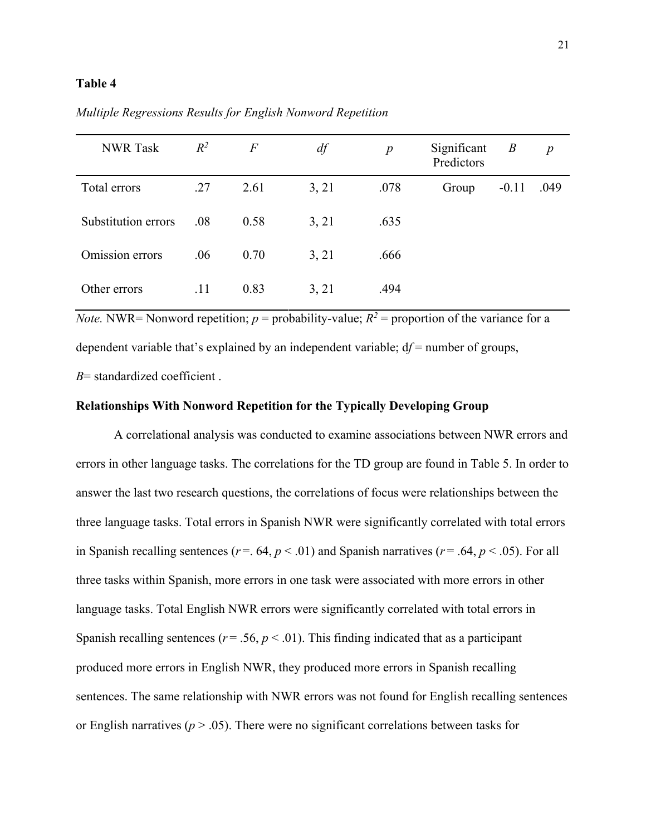#### **Table 4**

| <b>NWR</b> Task     | $R^2$ | $\overline{F}$ | df    | $\boldsymbol{p}$ | Significant<br>Predictors | $\boldsymbol{B}$ | $\boldsymbol{p}$ |
|---------------------|-------|----------------|-------|------------------|---------------------------|------------------|------------------|
| Total errors        | .27   | 2.61           | 3, 21 | .078             | Group                     | $-0.11$          | .049             |
| Substitution errors | .08   | 0.58           | 3, 21 | .635             |                           |                  |                  |
| Omission errors     | .06   | 0.70           | 3, 21 | .666             |                           |                  |                  |
| Other errors        | .11   | 0.83           | 3, 21 | .494             |                           |                  |                  |

*Multiple Regressions Results for English Nonword Repetition* 

*Note.* NWR= Nonword repetition;  $p =$  probability-value;  $R^2 =$  proportion of the variance for a dependent variable that's explained by an independent variable; d*f* = number of groups, *B*= standardized coefficient .

## <span id="page-27-0"></span>**Relationships With Nonword Repetition for the Typically Developing Group**

A correlational analysis was conducted to examine associations between NWR errors and errors in other language tasks. The correlations for the TD group are found in Table 5. In order to answer the last two research questions, the correlations of focus were relationships between the three language tasks. Total errors in Spanish NWR were significantly correlated with total errors in Spanish recalling sentences ( $r = .64$ ,  $p < .01$ ) and Spanish narratives ( $r = .64$ ,  $p < .05$ ). For all three tasks within Spanish, more errors in one task were associated with more errors in other language tasks. Total English NWR errors were significantly correlated with total errors in Spanish recalling sentences ( $r = .56$ ,  $p < .01$ ). This finding indicated that as a participant produced more errors in English NWR, they produced more errors in Spanish recalling sentences. The same relationship with NWR errors was not found for English recalling sentences or English narratives ( $p > .05$ ). There were no significant correlations between tasks for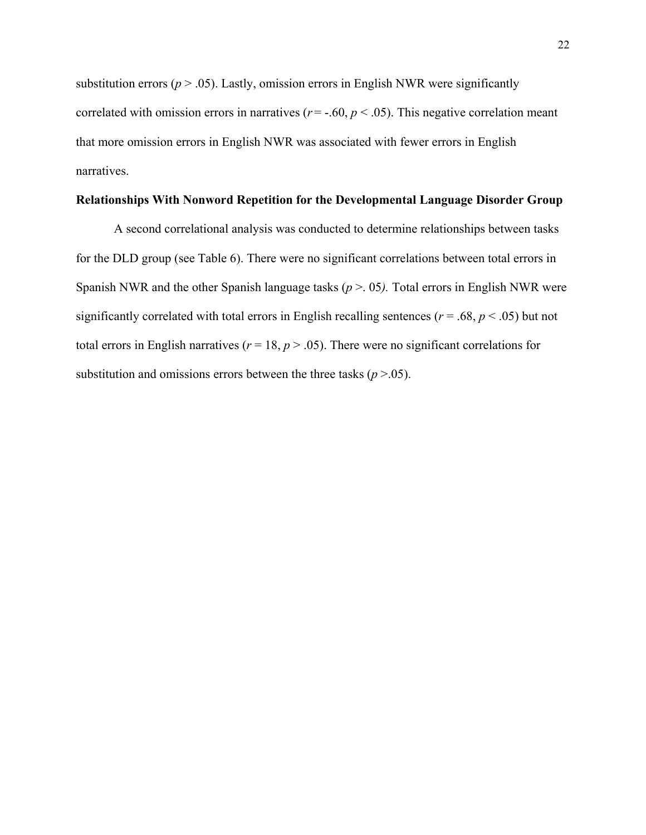substitution errors ( $p > 0.05$ ). Lastly, omission errors in English NWR were significantly correlated with omission errors in narratives ( $r = -.60, p < .05$ ). This negative correlation meant that more omission errors in English NWR was associated with fewer errors in English narratives.

## <span id="page-28-0"></span>**Relationships With Nonword Repetition for the Developmental Language Disorder Group**

A second correlational analysis was conducted to determine relationships between tasks for the DLD group (see Table 6). There were no significant correlations between total errors in Spanish NWR and the other Spanish language tasks (*p* >. 05*).* Total errors in English NWR were significantly correlated with total errors in English recalling sentences (*r* = .68, *p* < .05) but not total errors in English narratives ( $r = 18$ ,  $p > .05$ ). There were no significant correlations for substitution and omissions errors between the three tasks  $(p > .05)$ .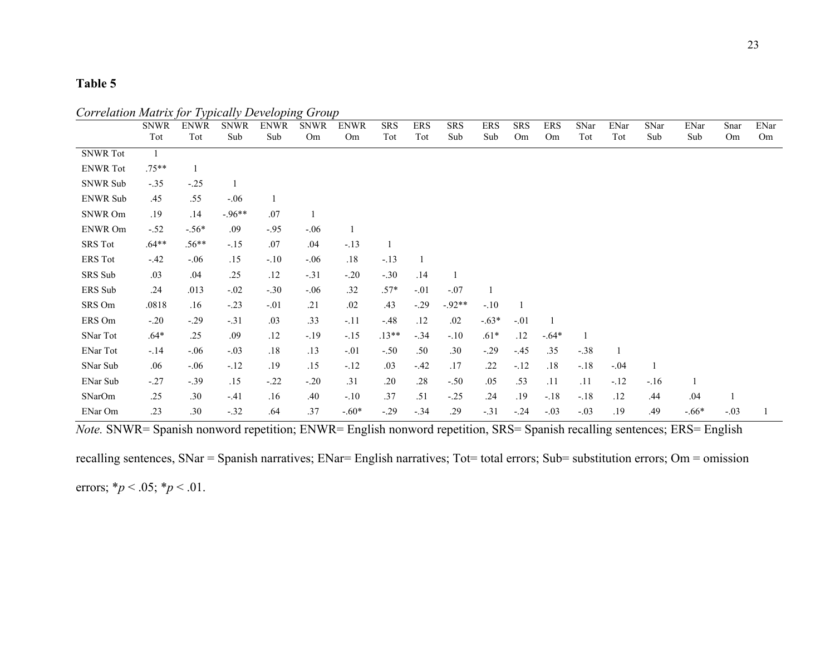# **Table 5**

|                 | Correlation Matrix for Typically Developing Group |             |             |             |             |             |            |        |          |            |            |         |        |              |        |         |        |      |
|-----------------|---------------------------------------------------|-------------|-------------|-------------|-------------|-------------|------------|--------|----------|------------|------------|---------|--------|--------------|--------|---------|--------|------|
|                 | <b>SNWR</b>                                       | <b>ENWR</b> | <b>SNWR</b> | <b>ENWR</b> | <b>SNWR</b> | <b>ENWR</b> | <b>SRS</b> | ERS    | SRS      | <b>ERS</b> | <b>SRS</b> | ERS     | SNar   | ENar         | SNar   | ENar    | Snar   | ENar |
|                 | Tot                                               | Tot         | Sub         | Sub         | Om          | Om          | Tot        | Tot    | Sub      | Sub        | Om         | Om      | Tot    | Tot          | Sub    | Sub     | Om     | Om   |
| <b>SNWR</b> Tot |                                                   |             |             |             |             |             |            |        |          |            |            |         |        |              |        |         |        |      |
| <b>ENWR</b> Tot | $.75**$                                           |             |             |             |             |             |            |        |          |            |            |         |        |              |        |         |        |      |
| SNWR Sub        | $-.35$                                            | $-.25$      |             |             |             |             |            |        |          |            |            |         |        |              |        |         |        |      |
| <b>ENWR Sub</b> | .45                                               | .55         | $-.06$      |             |             |             |            |        |          |            |            |         |        |              |        |         |        |      |
| SNWR Om         | .19                                               | .14         | $-0.96**$   | .07         |             |             |            |        |          |            |            |         |        |              |        |         |        |      |
| ENWR Om         | $-.52$                                            | $-.56*$     | .09         | $-.95$      | $-.06$      |             |            |        |          |            |            |         |        |              |        |         |        |      |
| SRS Tot         | $.64**$                                           | $.56**$     | $-.15$      | .07         | .04         | $-.13$      |            |        |          |            |            |         |        |              |        |         |        |      |
| ERS Tot         | $-.42$                                            | $-.06$      | .15         | $-.10$      | $-.06$      | .18         | $-.13$     |        |          |            |            |         |        |              |        |         |        |      |
| SRS Sub         | .03                                               | .04         | .25         | .12         | $-.31$      | $-.20$      | $-.30$     | .14    |          |            |            |         |        |              |        |         |        |      |
| ERS Sub         | .24                                               | .013        | $-.02$      | $-.30$      | $-.06$      | .32         | $.57*$     | $-.01$ | $-.07$   |            |            |         |        |              |        |         |        |      |
| SRS Om          | .0818                                             | .16         | $-.23$      | $-.01$      | .21         | .02         | .43        | $-.29$ | $-.92**$ | $-.10$     |            |         |        |              |        |         |        |      |
| ERS Om          | $-.20$                                            | $-.29$      | $-.31$      | .03         | .33         | $-.11$      | $-.48$     | .12    | .02      | $-.63*$    | $-.01$     |         |        |              |        |         |        |      |
| SNar Tot        | $.64*$                                            | .25         | .09         | .12         | $-.19$      | $-.15$      | $.13**$    | $-.34$ | $-.10$   | $.61*$     | .12        | $-.64*$ |        |              |        |         |        |      |
| <b>ENar Tot</b> | $-.14$                                            | $-.06$      | $-.03$      | .18         | .13         | $-.01$      | $-.50$     | .50    | .30      | $-.29$     | $-.45$     | .35     | $-.38$ | $\mathbf{1}$ |        |         |        |      |
| SNar Sub        | .06                                               | $-.06$      | $-.12$      | .19         | .15         | $-.12$      | .03        | $-.42$ | .17      | .22        | $-.12$     | .18     | $-.18$ | $-.04$       |        |         |        |      |
| ENar Sub        | $-.27$                                            | $-.39$      | .15         | $-.22$      | $-.20$      | .31         | .20        | .28    | $-.50$   | .05        | .53        | .11     | .11    | $-.12$       | $-.16$ |         |        |      |
| SNarOm          | .25                                               | .30         | $-.41$      | .16         | .40         | $-.10$      | .37        | .51    | $-.25$   | .24        | .19        | $-.18$  | $-.18$ | .12          | .44    | .04     |        |      |
| ENar Om         | .23                                               | .30         | $-.32$      | .64         | .37         | $-.60*$     | $-.29$     | $-.34$ | .29      | $-.31$     | $-.24$     | $-.03$  | $-.03$ | .19          | .49    | $-.66*$ | $-.03$ |      |

*Note.* SNWR= Spanish nonword repetition; ENWR= English nonword repetition, SRS= Spanish recalling sentences; ERS= English

recalling sentences, SNar = Spanish narratives; ENar= English narratives; Tot= total errors; Sub= substitution errors; Om = omission errors;  $*_{p} < .05; *_{p} < .01$ .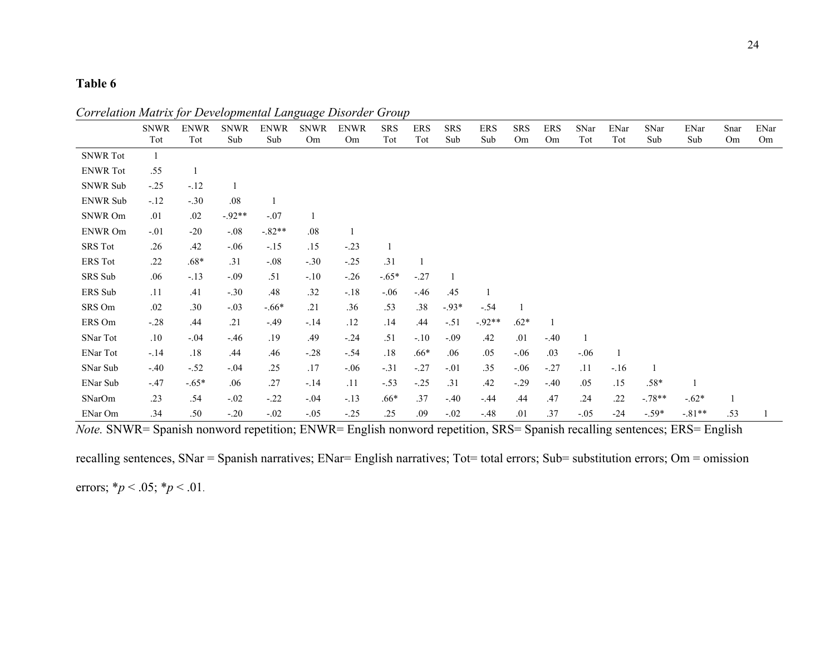# **Table 6**

|                 | <b>SNWR</b> | <b>ENWR</b> | <b>SNWR</b> | <b>ENWR</b> | <b>SNWR</b> | <b>ENWR</b> | <b>SRS</b> | <b>ERS</b> | <b>SRS</b> | ERS          | <b>SRS</b> | ERS    | SNar   | ENar         | SNar     | ENar     | Snar    | ENar |
|-----------------|-------------|-------------|-------------|-------------|-------------|-------------|------------|------------|------------|--------------|------------|--------|--------|--------------|----------|----------|---------|------|
|                 | Tot         | Tot         | Sub         | Sub         | Om          | Om          | Tot        | Tot        | Sub        | Sub          | Om         | Om     | Tot    | Tot          | Sub      | Sub      | Om      | Om   |
| <b>SNWR</b> Tot | 1           |             |             |             |             |             |            |            |            |              |            |        |        |              |          |          |         |      |
| <b>ENWR</b> Tot | .55         | 1           |             |             |             |             |            |            |            |              |            |        |        |              |          |          |         |      |
| SNWR Sub        | $-.25$      | $-12$       |             |             |             |             |            |            |            |              |            |        |        |              |          |          |         |      |
| ENWR Sub        | $-.12$      | $-.30$      | .08         | 1           |             |             |            |            |            |              |            |        |        |              |          |          |         |      |
| SNWR Om         | .01         | .02         | $-.92**$    | $-.07$      |             |             |            |            |            |              |            |        |        |              |          |          |         |      |
| ENWR Om         | $-.01$      | $-20$       | $-.08$      | $-.82**$    | .08         |             |            |            |            |              |            |        |        |              |          |          |         |      |
| SRS Tot         | .26         | .42         | $-.06$      | $-.15$      | .15         | $-.23$      |            |            |            |              |            |        |        |              |          |          |         |      |
| ERS Tot         | .22         | $.68*$      | .31         | $-.08$      | $-.30$      | $-.25$      | .31        |            |            |              |            |        |        |              |          |          |         |      |
| SRS Sub         | .06         | $-.13$      | $-.09$      | .51         | $-.10$      | $-.26$      | $-65*$     | $-.27$     |            |              |            |        |        |              |          |          |         |      |
| ERS Sub         | .11         | .41         | $-.30$      | .48         | .32         | $-.18$      | $-.06$     | $-.46$     | .45        | $\mathbf{1}$ |            |        |        |              |          |          |         |      |
| SRS Om          | .02         | .30         | $-.03$      | $-.66*$     | .21         | .36         | .53        | .38        | $-93*$     | $-.54$       |            |        |        |              |          |          |         |      |
| ERS Om          | $-.28$      | .44         | .21         | $-.49$      | $-.14$      | .12         | .14        | .44        | $-.51$     | $-.92**$     | $.62*$     |        |        |              |          |          |         |      |
| SNar Tot        | $.10\,$     | $-.04$      | $-.46$      | .19         | .49         | $-.24$      | .51        | $-.10$     | $-.09$     | .42          | .01        | $-.40$ |        |              |          |          |         |      |
| ENar Tot        | $-.14$      | .18         | .44         | .46         | $-.28$      | $-.54$      | .18        | $.66*$     | .06        | .05          | $-.06$     | .03    | $-.06$ | $\mathbf{1}$ |          |          |         |      |
| SNar Sub        | $-.40$      | $-.52$      | $-.04$      | .25         | .17         | $-.06$      | $-.31$     | $-.27$     | $-.01$     | .35          | $-.06$     | $-.27$ | .11    | $-.16$       |          |          |         |      |
| ENar Sub        | $-.47$      | $-.65*$     | .06         | .27         | $-.14$      | .11         | $-.53$     | $-.25$     | .31        | .42          | $-.29$     | $-.40$ | .05    | .15          | $.58*$   |          |         |      |
| SNarOm          | .23         | .54         | $-.02$      | $-.22$      | $-.04$      | $-.13$      | $.66*$     | .37        | $-.40$     | $-.44$       | .44        | .47    | .24    | .22          | $-.78**$ | $-.62*$  | $\perp$ |      |
| ENar Om         | .34         | .50         | $-.20$      | $-.02$      | $-.05$      | $-.25$      | .25        | .09        | $-.02$     | $-.48$       | .01        | .37    | $-.05$ | $-24$        | $-.59*$  | $-.81**$ | .53     |      |

*Correlation Matrix for Developmental Language Disorder Group* 

*Note.* SNWR= Spanish nonword repetition; ENWR= English nonword repetition, SRS= Spanish recalling sentences; ERS= English

recalling sentences, SNar = Spanish narratives; ENar= English narratives; Tot= total errors; Sub= substitution errors; Om = omission

errors;  $*_{p} < .05$ ;  $*_{p} < .01$ .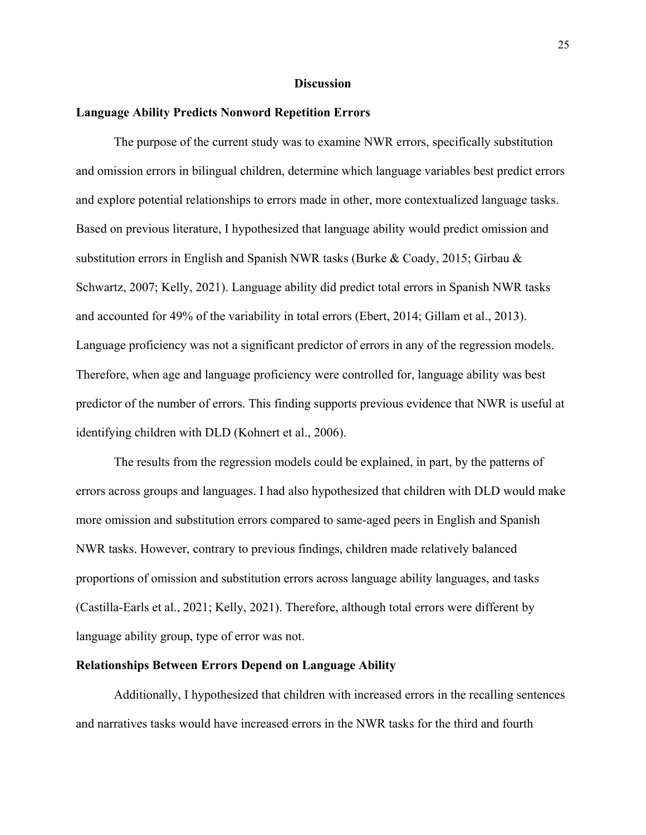#### **Discussion**

#### <span id="page-31-1"></span><span id="page-31-0"></span>**Language Ability Predicts Nonword Repetition Errors**

The purpose of the current study was to examine NWR errors, specifically substitution and omission errors in bilingual children, determine which language variables best predict errors and explore potential relationships to errors made in other, more contextualized language tasks. Based on previous literature, I hypothesized that language ability would predict omission and substitution errors in English and Spanish NWR tasks (Burke & Coady, 2015; Girbau & Schwartz, 2007; Kelly, 2021). Language ability did predict total errors in Spanish NWR tasks and accounted for 49% of the variability in total errors (Ebert, 2014; Gillam et al., 2013). Language proficiency was not a significant predictor of errors in any of the regression models. Therefore, when age and language proficiency were controlled for, language ability was best predictor of the number of errors. This finding supports previous evidence that NWR is useful at identifying children with DLD (Kohnert et al., 2006).

The results from the regression models could be explained, in part, by the patterns of errors across groups and languages. I had also hypothesized that children with DLD would make more omission and substitution errors compared to same-aged peers in English and Spanish NWR tasks. However, contrary to previous findings, children made relatively balanced proportions of omission and substitution errors across language ability languages, and tasks (Castilla-Earls et al., 2021; Kelly, 2021). Therefore, although total errors were different by language ability group, type of error was not.

#### <span id="page-31-2"></span>**Relationships Between Errors Depend on Language Ability**

Additionally, I hypothesized that children with increased errors in the recalling sentences and narratives tasks would have increased errors in the NWR tasks for the third and fourth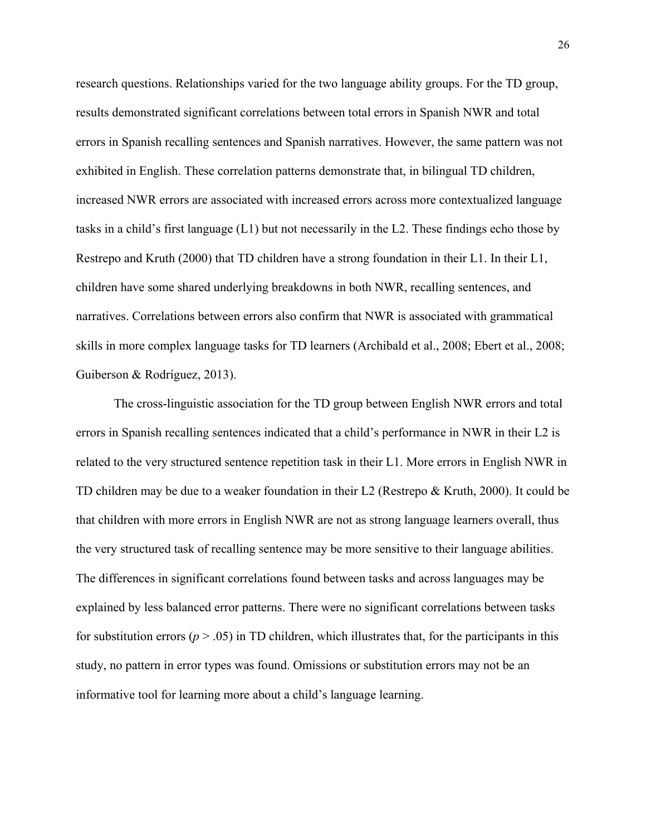research questions. Relationships varied for the two language ability groups. For the TD group, results demonstrated significant correlations between total errors in Spanish NWR and total errors in Spanish recalling sentences and Spanish narratives. However, the same pattern was not exhibited in English. These correlation patterns demonstrate that, in bilingual TD children, increased NWR errors are associated with increased errors across more contextualized language tasks in a child's first language (L1) but not necessarily in the L2. These findings echo those by Restrepo and Kruth (2000) that TD children have a strong foundation in their L1. In their L1, children have some shared underlying breakdowns in both NWR, recalling sentences, and narratives. Correlations between errors also confirm that NWR is associated with grammatical skills in more complex language tasks for TD learners (Archibald et al., 2008; Ebert et al., 2008; Guiberson & Rodríguez, 2013).

The cross-linguistic association for the TD group between English NWR errors and total errors in Spanish recalling sentences indicated that a child's performance in NWR in their L2 is related to the very structured sentence repetition task in their L1. More errors in English NWR in TD children may be due to a weaker foundation in their L2 (Restrepo & Kruth, 2000). It could be that children with more errors in English NWR are not as strong language learners overall, thus the very structured task of recalling sentence may be more sensitive to their language abilities. The differences in significant correlations found between tasks and across languages may be explained by less balanced error patterns. There were no significant correlations between tasks for substitution errors  $(p > .05)$  in TD children, which illustrates that, for the participants in this study, no pattern in error types was found. Omissions or substitution errors may not be an informative tool for learning more about a child's language learning.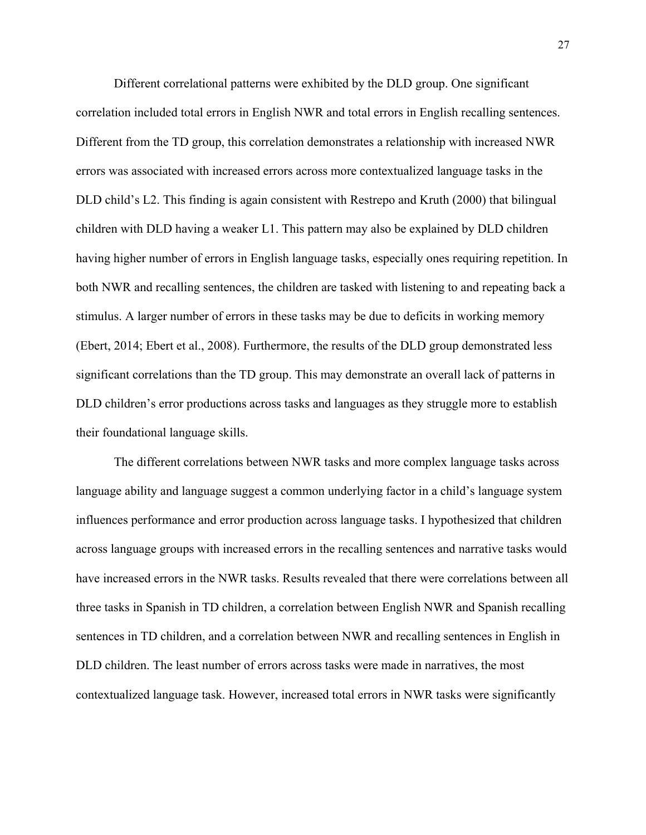Different correlational patterns were exhibited by the DLD group. One significant correlation included total errors in English NWR and total errors in English recalling sentences. Different from the TD group, this correlation demonstrates a relationship with increased NWR errors was associated with increased errors across more contextualized language tasks in the DLD child's L2. This finding is again consistent with Restrepo and Kruth (2000) that bilingual children with DLD having a weaker L1. This pattern may also be explained by DLD children having higher number of errors in English language tasks, especially ones requiring repetition. In both NWR and recalling sentences, the children are tasked with listening to and repeating back a stimulus. A larger number of errors in these tasks may be due to deficits in working memory (Ebert, 2014; Ebert et al., 2008). Furthermore, the results of the DLD group demonstrated less significant correlations than the TD group. This may demonstrate an overall lack of patterns in DLD children's error productions across tasks and languages as they struggle more to establish their foundational language skills.

The different correlations between NWR tasks and more complex language tasks across language ability and language suggest a common underlying factor in a child's language system influences performance and error production across language tasks. I hypothesized that children across language groups with increased errors in the recalling sentences and narrative tasks would have increased errors in the NWR tasks. Results revealed that there were correlations between all three tasks in Spanish in TD children, a correlation between English NWR and Spanish recalling sentences in TD children, and a correlation between NWR and recalling sentences in English in DLD children. The least number of errors across tasks were made in narratives, the most contextualized language task. However, increased total errors in NWR tasks were significantly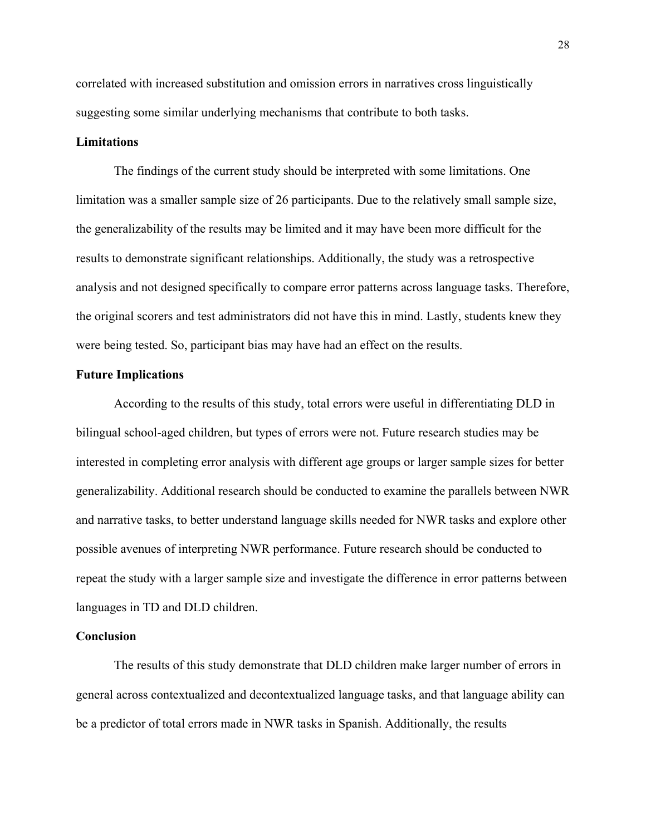correlated with increased substitution and omission errors in narratives cross linguistically suggesting some similar underlying mechanisms that contribute to both tasks.

## <span id="page-34-0"></span>**Limitations**

The findings of the current study should be interpreted with some limitations. One limitation was a smaller sample size of 26 participants. Due to the relatively small sample size, the generalizability of the results may be limited and it may have been more difficult for the results to demonstrate significant relationships. Additionally, the study was a retrospective analysis and not designed specifically to compare error patterns across language tasks. Therefore, the original scorers and test administrators did not have this in mind. Lastly, students knew they were being tested. So, participant bias may have had an effect on the results.

#### <span id="page-34-1"></span>**Future Implications**

According to the results of this study, total errors were useful in differentiating DLD in bilingual school-aged children, but types of errors were not. Future research studies may be interested in completing error analysis with different age groups or larger sample sizes for better generalizability. Additional research should be conducted to examine the parallels between NWR and narrative tasks, to better understand language skills needed for NWR tasks and explore other possible avenues of interpreting NWR performance. Future research should be conducted to repeat the study with a larger sample size and investigate the difference in error patterns between languages in TD and DLD children.

## <span id="page-34-2"></span>**Conclusion**

The results of this study demonstrate that DLD children make larger number of errors in general across contextualized and decontextualized language tasks, and that language ability can be a predictor of total errors made in NWR tasks in Spanish. Additionally, the results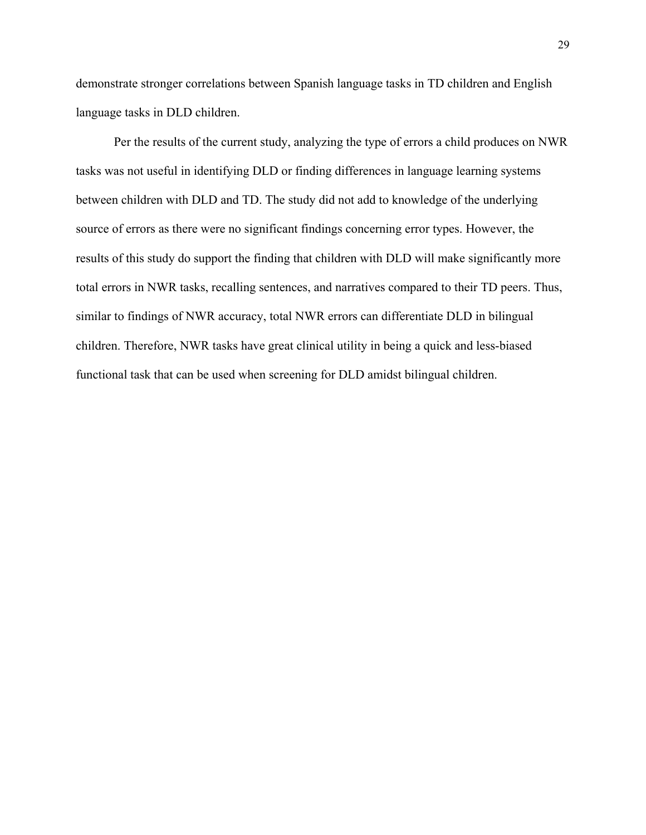demonstrate stronger correlations between Spanish language tasks in TD children and English language tasks in DLD children.

Per the results of the current study, analyzing the type of errors a child produces on NWR tasks was not useful in identifying DLD or finding differences in language learning systems between children with DLD and TD. The study did not add to knowledge of the underlying source of errors as there were no significant findings concerning error types. However, the results of this study do support the finding that children with DLD will make significantly more total errors in NWR tasks, recalling sentences, and narratives compared to their TD peers. Thus, similar to findings of NWR accuracy, total NWR errors can differentiate DLD in bilingual children. Therefore, NWR tasks have great clinical utility in being a quick and less-biased functional task that can be used when screening for DLD amidst bilingual children.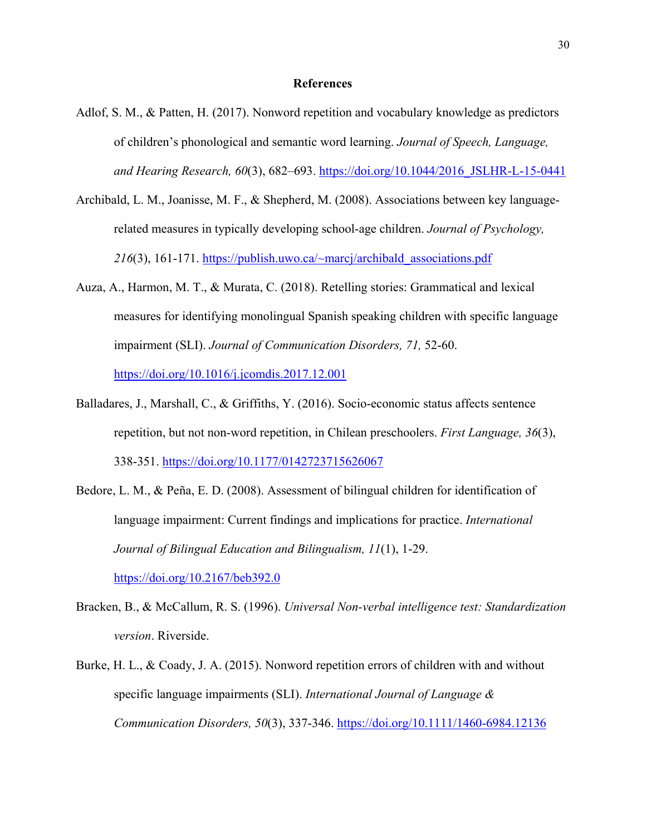#### **References**

- Adlof, S. M., & Patten, H. (2017). Nonword repetition and vocabulary knowledge as predictors of children's phonological and semantic word learning. *Journal of Speech, Language, and Hearing Research, 60*(3), 682–693. [https://doi.org/10.1044/2016\\_JSLHR-L-15-0441](https://doi.org/10.1044/2016_JSLHR-L-15-0441)
- Archibald, L. M., Joanisse, M. F., & Shepherd, M. (2008). Associations between key languagerelated measures in typically developing school-age children. *Journal of Psychology,*  216(3), 161-171. https://publish.uwo.ca/~marcj/archibald\_associations.pdf
- Auza, A., Harmon, M. T., & Murata, C. (2018). Retelling stories: Grammatical and lexical measures for identifying monolingual Spanish speaking children with specific language impairment (SLI). *Journal of Communication Disorders, 71,* 52-60. <https://doi.org/10.1016/j.jcomdis.2017.12.001>
- Balladares, J., Marshall, C., & Griffiths, Y. (2016). Socio-economic status affects sentence repetition, but not non-word repetition, in Chilean preschoolers. *First Language, 36*(3), 338-351.<https://doi.org/10.1177/0142723715626067>
- Bedore, L. M., & Peña, E. D. (2008). Assessment of bilingual children for identification of language impairment: Current findings and implications for practice. *International Journal of Bilingual Education and Bilingualism, 11*(1), 1-29. <https://doi.org/10.2167/beb392.0>
- Bracken, B., & McCallum, R. S. (1996). *Universal Non-verbal intelligence test: Standardization version*. Riverside.
- Burke, H. L., & Coady, J. A. (2015). Nonword repetition errors of children with and without specific language impairments (SLI). *International Journal of Language & Communication Disorders, 50*(3), 337-346.<https://doi.org/10.1111/1460-6984.12136>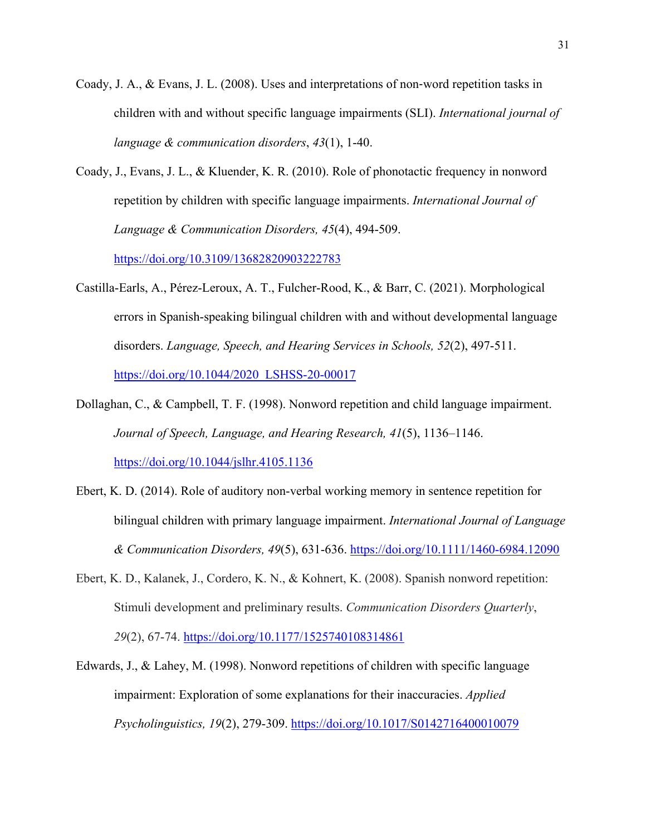- Coady, J. A., & Evans, J. L. (2008). Uses and interpretations of non‐word repetition tasks in children with and without specific language impairments (SLI). *International journal of language & communication disorders*, *43*(1), 1-40.
- Coady, J., Evans, J. L., & Kluender, K. R. (2010). Role of phonotactic frequency in nonword repetition by children with specific language impairments. *International Journal of Language & Communication Disorders, 45*(4), 494-509.

<https://doi.org/10.3109/13682820903222783>

- Castilla-Earls, A., Pérez-Leroux, A. T., Fulcher-Rood, K., & Barr, C. (2021). Morphological errors in Spanish-speaking bilingual children with and without developmental language disorders. *Language, Speech, and Hearing Services in Schools, 52*(2), 497-511. https://doi.org/10.1044/2020\_LSHSS-20-00017
- Dollaghan, C., & Campbell, T. F. (1998). Nonword repetition and child language impairment. *Journal of Speech, Language, and Hearing Research, 41*(5), 1136–1146. <https://doi.org/10.1044/jslhr.4105.1136>
- Ebert, K. D. (2014). Role of auditory non-verbal working memory in sentence repetition for bilingual children with primary language impairment. *International Journal of Language & Communication Disorders, 49*(5), 631-636.<https://doi.org/10.1111/1460-6984.12090>
- Ebert, K. D., Kalanek, J., Cordero, K. N., & Kohnert, K. (2008). Spanish nonword repetition: Stimuli development and preliminary results. *Communication Disorders Quarterly*, *29*(2), 67-74. <https://doi.org/10.1177/1525740108314861>
- Edwards, J., & Lahey, M. (1998). Nonword repetitions of children with specific language impairment: Exploration of some explanations for their inaccuracies. *Applied Psycholinguistics, 19*(2), 279-309.<https://doi.org/10.1017/S0142716400010079>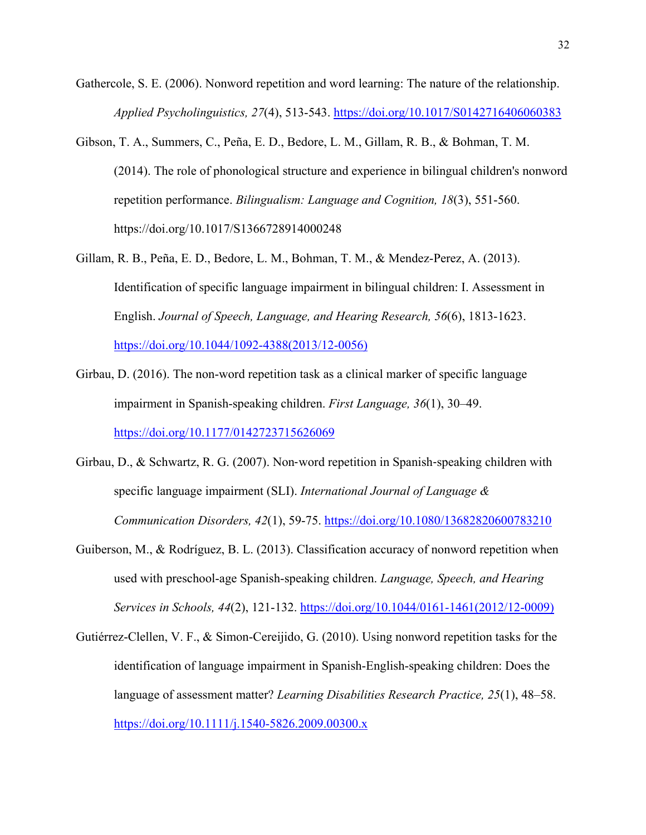- Gathercole, S. E. (2006). Nonword repetition and word learning: The nature of the relationship. *Applied Psycholinguistics, 27*(4), 513-543.<https://doi.org/10.1017/S0142716406060383>
- Gibson, T. A., Summers, C., Peña, E. D., Bedore, L. M., Gillam, R. B., & Bohman, T. M. (2014). The role of phonological structure and experience in bilingual children's nonword repetition performance. *Bilingualism: Language and Cognition, 18*(3), 551-560. https://doi.org/10.1017/S1366728914000248
- Gillam, R. B., Peña, E. D., Bedore, L. M., Bohman, T. M., & Mendez-Perez, A. (2013). Identification of specific language impairment in bilingual children: I. Assessment in English. *Journal of Speech, Language, and Hearing Research, 56*(6), 1813-1623. [https://doi.org/10.1044/1092-4388\(2013/12-0056\)](https://doi.org/10.1044/1092-4388(2013/12-0056))
- Girbau, D. (2016). The non-word repetition task as a clinical marker of specific language impairment in Spanish-speaking children. *First Language, 36*(1), 30–49. <https://doi.org/10.1177/0142723715626069>
- Girbau, D., & Schwartz, R. G. (2007). Non-word repetition in Spanish-speaking children with specific language impairment (SLI). *International Journal of Language & Communication Disorders, 42*(1), 59-75.<https://doi.org/10.1080/13682820600783210>
- Guiberson, M., & Rodríguez, B. L. (2013). Classification accuracy of nonword repetition when used with preschool-age Spanish-speaking children. *Language, Speech, and Hearing Services in Schools, 44*(2), 121-132. [https://doi.org/10.1044/0161-1461\(2012/12-0009\)](https://doi.org/10.1044/0161-1461(2012/12-0009))
- Gutiérrez-Clellen, V. F., & Simon-Cereijido, G. (2010). Using nonword repetition tasks for the identification of language impairment in Spanish-English-speaking children: Does the language of assessment matter? *Learning Disabilities Research Practice, 25*(1), 48–58. <https://doi.org/10.1111/j.1540-5826.2009.00300.x>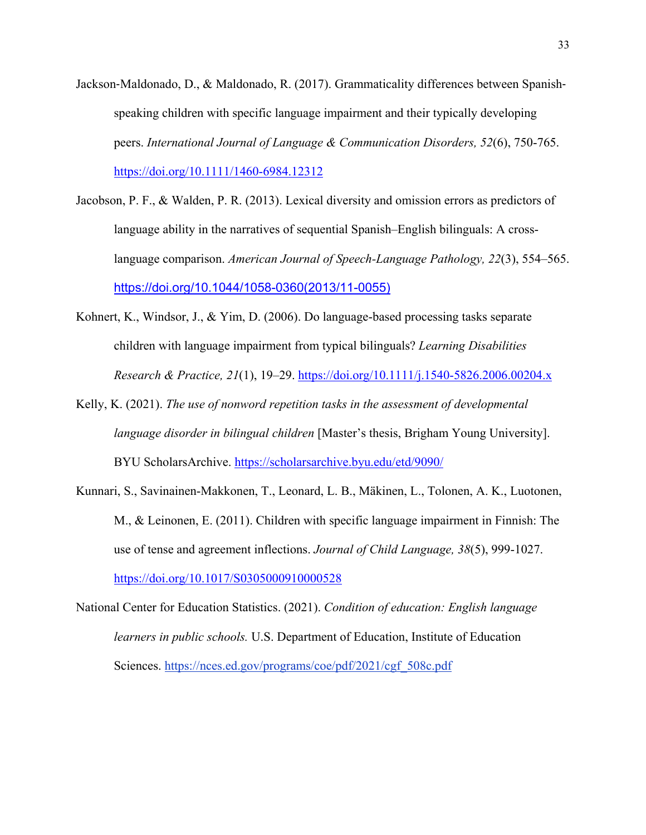- Jackson‐Maldonado, D., & Maldonado, R. (2017). Grammaticality differences between Spanish‐ speaking children with specific language impairment and their typically developing peers. *International Journal of Language & Communication Disorders, 52*(6), 750-765. <https://doi.org/10.1111/1460-6984.12312>
- Jacobson, P. F., & Walden, P. R. (2013). Lexical diversity and omission errors as predictors of language ability in the narratives of sequential Spanish–English bilinguals: A crosslanguage comparison. *American Journal of Speech-Language Pathology, 22*(3), 554–565. [https://doi.org/10.1044/1058-0360\(2013/11-0055\)](https://doi.org/10.1044/1058-0360(2013/11-0055))
- Kohnert, K., Windsor, J., & Yim, D. (2006). Do language-based processing tasks separate children with language impairment from typical bilinguals? *Learning Disabilities Research & Practice, 21*(1), 19–29.<https://doi.org/10.1111/j.1540-5826.2006.00204.x>
- Kelly, K. (2021). *The use of nonword repetition tasks in the assessment of developmental language disorder in bilingual children* [Master's thesis, Brigham Young University]. BYU ScholarsArchive.<https://scholarsarchive.byu.edu/etd/9090/>
- Kunnari, S., Savinainen-Makkonen, T., Leonard, L. B., Mäkinen, L., Tolonen, A. K., Luotonen, M., & Leinonen, E. (2011). Children with specific language impairment in Finnish: The use of tense and agreement inflections. *Journal of Child Language, 38*(5), 999-1027. <https://doi.org/10.1017/S0305000910000528>
- National Center for Education Statistics. (2021). *Condition of education: English language learners in public schools.* U.S. Department of Education, Institute of Education Sciences. [https://nces.ed.gov/programs/coe/pdf/2021/cgf\\_508c.pdf](https://nces.ed.gov/programs/coe/pdf/2021/cgf_508c.pdf)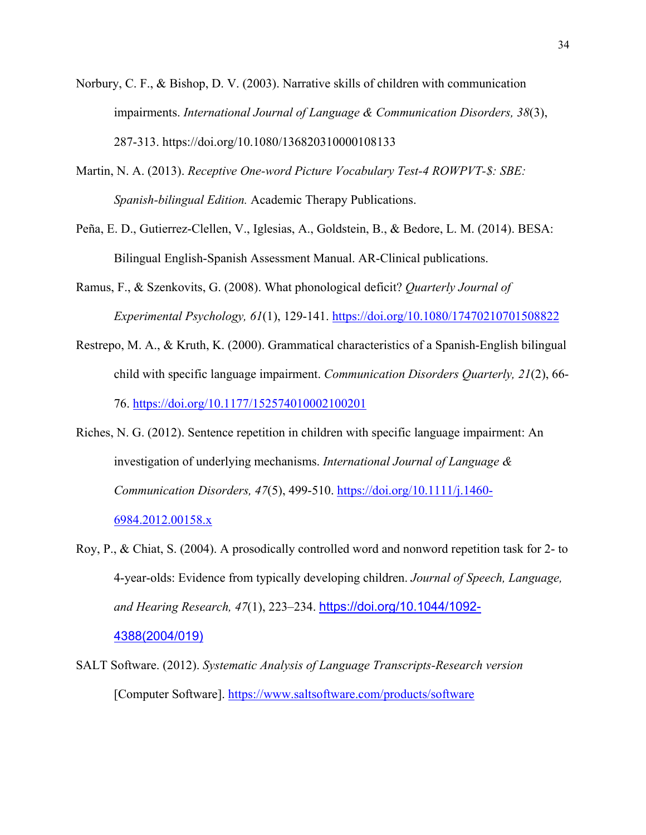- Norbury, C. F., & Bishop, D. V. (2003). Narrative skills of children with communication impairments. *International Journal of Language & Communication Disorders, 38*(3), 287-313. https://doi.org/10.1080/136820310000108133
- Martin, N. A. (2013). *Receptive One-word Picture Vocabulary Test-4 ROWPVT-\$: SBE: Spanish-bilingual Edition.* Academic Therapy Publications.
- Peña, E. D., Gutierrez-Clellen, V., Iglesias, A., Goldstein, B., & Bedore, L. M. (2014). BESA: Bilingual English-Spanish Assessment Manual. AR-Clinical publications.
- Ramus, F., & Szenkovits, G. (2008). What phonological deficit? *Quarterly Journal of Experimental Psychology, 61*(1), 129-141.<https://doi.org/10.1080/17470210701508822>
- Restrepo, M. A., & Kruth, K. (2000). Grammatical characteristics of a Spanish-English bilingual child with specific language impairment. *Communication Disorders Quarterly, 21*(2), 66- 76.<https://doi.org/10.1177/152574010002100201>
- Riches, N. G. (2012). Sentence repetition in children with specific language impairment: An investigation of underlying mechanisms. *International Journal of Language & Communication Disorders, 47*(5), 499-510. [https://doi.org/10.1111/j.1460-](https://doi.org/10.1111/j.1460-6984.2012.00158.x) [6984.2012.00158.x](https://doi.org/10.1111/j.1460-6984.2012.00158.x)
- Roy, P., & Chiat, S. (2004). A prosodically controlled word and nonword repetition task for 2- to 4-year-olds: Evidence from typically developing children. *Journal of Speech, Language, and Hearing Research, 47*(1), 223–234. [https://doi.org/10.1044/1092-](https://doi.org/10.1044/1092-4388(2004/019)) [4388\(2004/019\)](https://doi.org/10.1044/1092-4388(2004/019))
- SALT Software. (2012). *Systematic Analysis of Language Transcripts-Research version* [Computer Software]. <https://www.saltsoftware.com/products/software>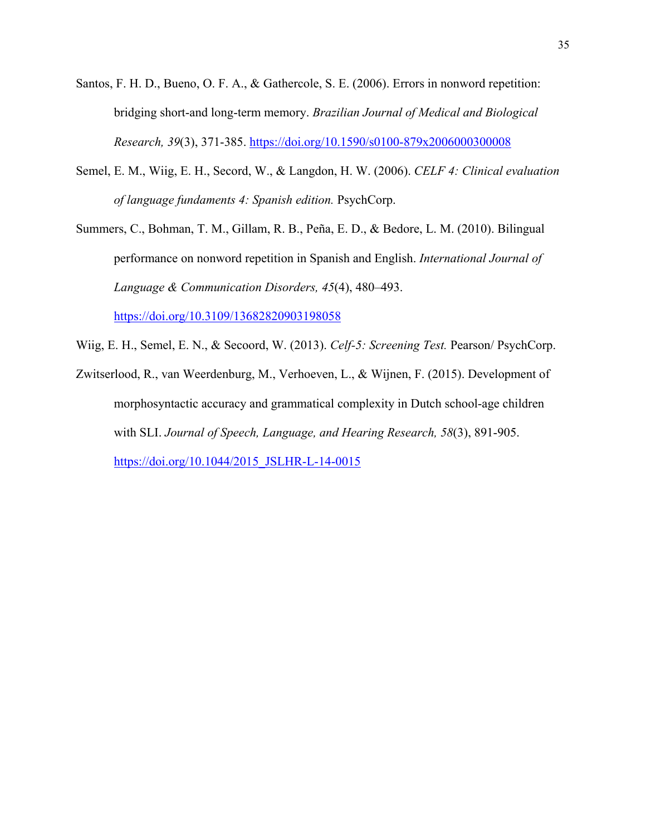- Santos, F. H. D., Bueno, O. F. A., & Gathercole, S. E. (2006). Errors in nonword repetition: bridging short-and long-term memory. *Brazilian Journal of Medical and Biological Research, 39*(3), 371-385.<https://doi.org/10.1590/s0100-879x2006000300008>
- Semel, E. M., Wiig, E. H., Secord, W., & Langdon, H. W. (2006). *CELF 4: Clinical evaluation of language fundaments 4: Spanish edition.* PsychCorp.
- Summers, C., Bohman, T. M., Gillam, R. B., Peña, E. D., & Bedore, L. M. (2010). Bilingual performance on nonword repetition in Spanish and English. *International Journal of Language & Communication Disorders, 45*(4), 480–493. <https://doi.org/10.3109/13682820903198058>

Wiig, E. H., Semel, E. N., & Secoord, W. (2013). *Celf-5: Screening Test.* Pearson/ PsychCorp.

Zwitserlood, R., van Weerdenburg, M., Verhoeven, L., & Wijnen, F. (2015). Development of morphosyntactic accuracy and grammatical complexity in Dutch school-age children with SLI. *Journal of Speech, Language, and Hearing Research, 58*(3), 891-905. https://doi.org/10.1044/2015\_JSLHR-L-14-0015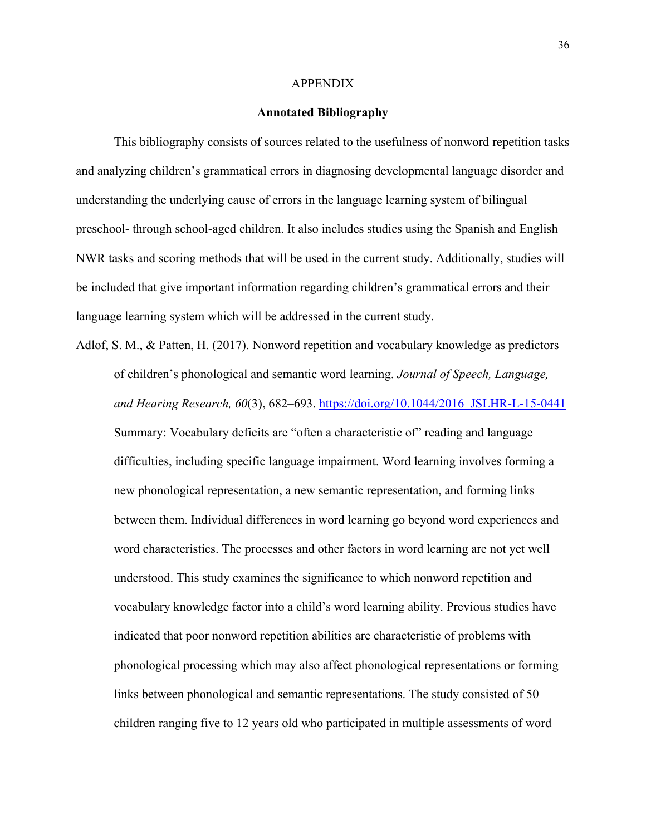#### APPENDIX

### **Annotated Bibliography**

This bibliography consists of sources related to the usefulness of nonword repetition tasks and analyzing children's grammatical errors in diagnosing developmental language disorder and understanding the underlying cause of errors in the language learning system of bilingual preschool- through school-aged children. It also includes studies using the Spanish and English NWR tasks and scoring methods that will be used in the current study. Additionally, studies will be included that give important information regarding children's grammatical errors and their language learning system which will be addressed in the current study.

Adlof, S. M., & Patten, H. (2017). Nonword repetition and vocabulary knowledge as predictors of children's phonological and semantic word learning. *Journal of Speech, Language, and Hearing Research, 60*(3), 682–693. [https://doi.org/10.1044/2016\\_JSLHR-L-15-0441](https://doi.org/10.1044/2016_JSLHR-L-15-0441)  Summary: Vocabulary deficits are "often a characteristic of" reading and language difficulties, including specific language impairment. Word learning involves forming a new phonological representation, a new semantic representation, and forming links between them. Individual differences in word learning go beyond word experiences and word characteristics. The processes and other factors in word learning are not yet well understood. This study examines the significance to which nonword repetition and vocabulary knowledge factor into a child's word learning ability. Previous studies have indicated that poor nonword repetition abilities are characteristic of problems with phonological processing which may also affect phonological representations or forming links between phonological and semantic representations. The study consisted of 50 children ranging five to 12 years old who participated in multiple assessments of word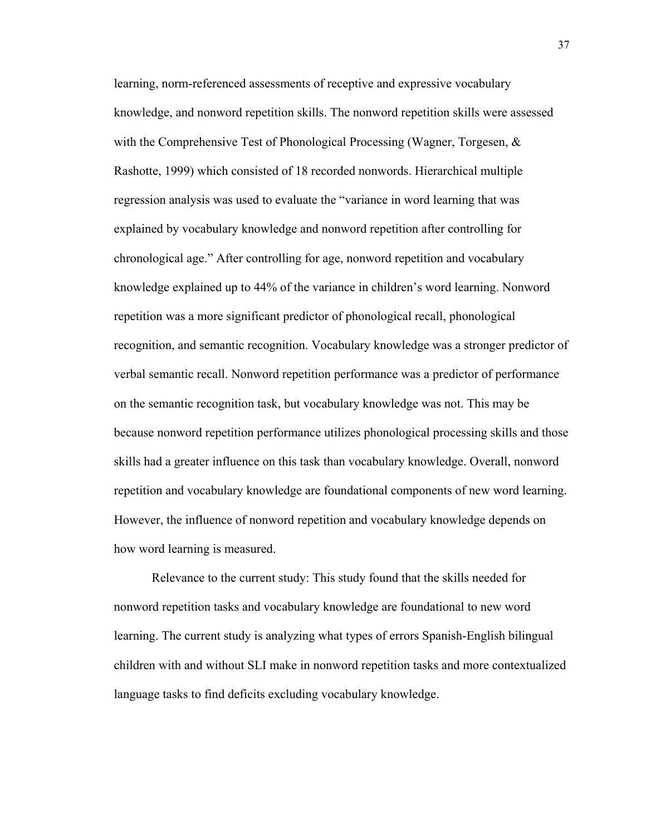learning, norm-referenced assessments of receptive and expressive vocabulary knowledge, and nonword repetition skills. The nonword repetition skills were assessed with the Comprehensive Test of Phonological Processing (Wagner, Torgesen, & Rashotte, 1999) which consisted of 18 recorded nonwords. Hierarchical multiple regression analysis was used to evaluate the "variance in word learning that was explained by vocabulary knowledge and nonword repetition after controlling for chronological age." After controlling for age, nonword repetition and vocabulary knowledge explained up to 44% of the variance in children's word learning. Nonword repetition was a more significant predictor of phonological recall, phonological recognition, and semantic recognition. Vocabulary knowledge was a stronger predictor of verbal semantic recall. Nonword repetition performance was a predictor of performance on the semantic recognition task, but vocabulary knowledge was not. This may be because nonword repetition performance utilizes phonological processing skills and those skills had a greater influence on this task than vocabulary knowledge. Overall, nonword repetition and vocabulary knowledge are foundational components of new word learning. However, the influence of nonword repetition and vocabulary knowledge depends on how word learning is measured.

Relevance to the current study: This study found that the skills needed for nonword repetition tasks and vocabulary knowledge are foundational to new word learning. The current study is analyzing what types of errors Spanish-English bilingual children with and without SLI make in nonword repetition tasks and more contextualized language tasks to find deficits excluding vocabulary knowledge.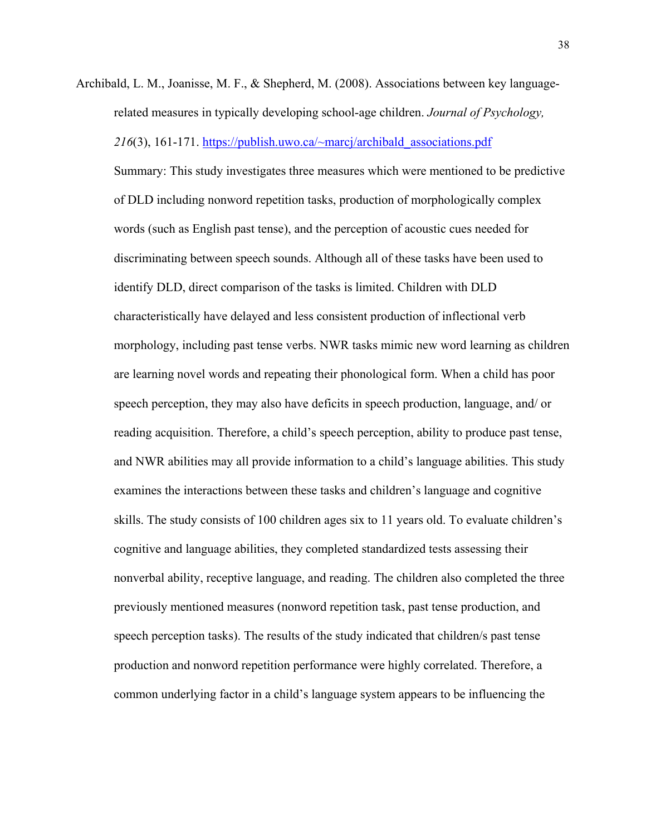Archibald, L. M., Joanisse, M. F., & Shepherd, M. (2008). Associations between key languagerelated measures in typically developing school-age children. *Journal of Psychology,*  216<sup>(3)</sup>, 161-171. https://publish.uwo.ca/~marcj/archibald\_associations.pdf

Summary: This study investigates three measures which were mentioned to be predictive of DLD including nonword repetition tasks, production of morphologically complex words (such as English past tense), and the perception of acoustic cues needed for discriminating between speech sounds. Although all of these tasks have been used to identify DLD, direct comparison of the tasks is limited. Children with DLD characteristically have delayed and less consistent production of inflectional verb morphology, including past tense verbs. NWR tasks mimic new word learning as children are learning novel words and repeating their phonological form. When a child has poor speech perception, they may also have deficits in speech production, language, and/ or reading acquisition. Therefore, a child's speech perception, ability to produce past tense, and NWR abilities may all provide information to a child's language abilities. This study examines the interactions between these tasks and children's language and cognitive skills. The study consists of 100 children ages six to 11 years old. To evaluate children's cognitive and language abilities, they completed standardized tests assessing their nonverbal ability, receptive language, and reading. The children also completed the three previously mentioned measures (nonword repetition task, past tense production, and speech perception tasks). The results of the study indicated that children/s past tense production and nonword repetition performance were highly correlated. Therefore, a common underlying factor in a child's language system appears to be influencing the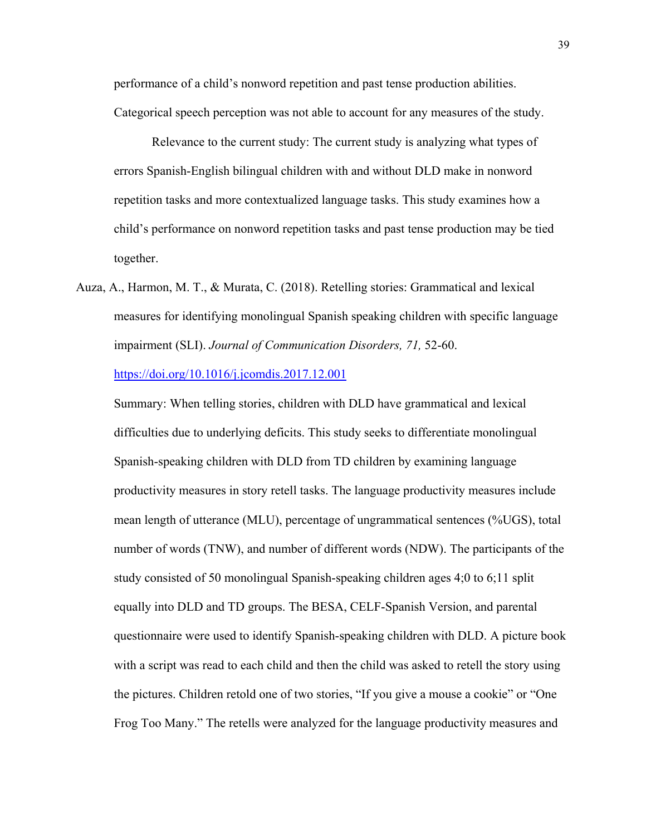performance of a child's nonword repetition and past tense production abilities. Categorical speech perception was not able to account for any measures of the study.

Relevance to the current study: The current study is analyzing what types of errors Spanish-English bilingual children with and without DLD make in nonword repetition tasks and more contextualized language tasks. This study examines how a child's performance on nonword repetition tasks and past tense production may be tied together.

Auza, A., Harmon, M. T., & Murata, C. (2018). Retelling stories: Grammatical and lexical measures for identifying monolingual Spanish speaking children with specific language impairment (SLI). *Journal of Communication Disorders, 71,* 52-60.

<https://doi.org/10.1016/j.jcomdis.2017.12.001>

Summary: When telling stories, children with DLD have grammatical and lexical difficulties due to underlying deficits. This study seeks to differentiate monolingual Spanish-speaking children with DLD from TD children by examining language productivity measures in story retell tasks. The language productivity measures include mean length of utterance (MLU), percentage of ungrammatical sentences (%UGS), total number of words (TNW), and number of different words (NDW). The participants of the study consisted of 50 monolingual Spanish-speaking children ages 4;0 to 6;11 split equally into DLD and TD groups. The BESA, CELF-Spanish Version, and parental questionnaire were used to identify Spanish-speaking children with DLD. A picture book with a script was read to each child and then the child was asked to retell the story using the pictures. Children retold one of two stories, "If you give a mouse a cookie" or "One Frog Too Many." The retells were analyzed for the language productivity measures and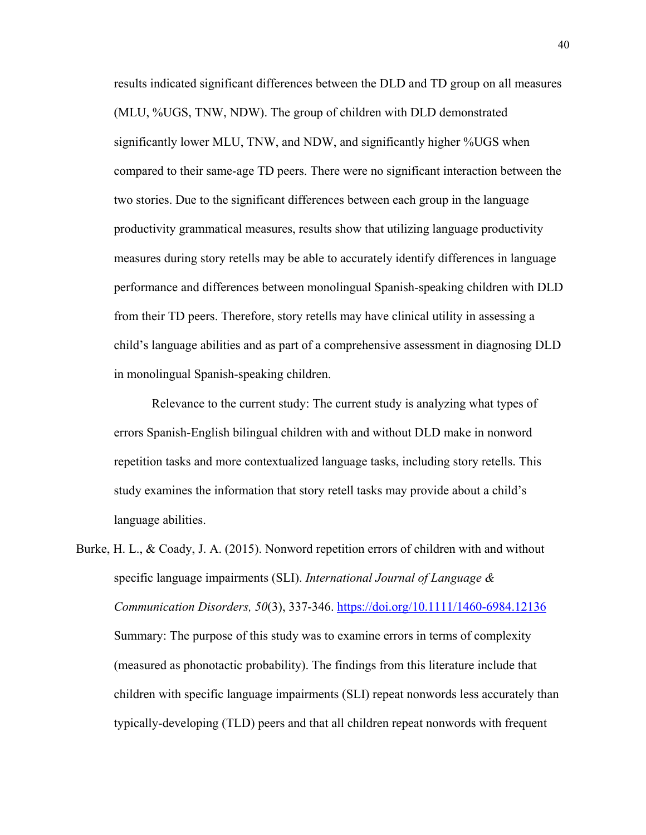results indicated significant differences between the DLD and TD group on all measures (MLU, %UGS, TNW, NDW). The group of children with DLD demonstrated significantly lower MLU, TNW, and NDW, and significantly higher %UGS when compared to their same-age TD peers. There were no significant interaction between the two stories. Due to the significant differences between each group in the language productivity grammatical measures, results show that utilizing language productivity measures during story retells may be able to accurately identify differences in language performance and differences between monolingual Spanish-speaking children with DLD from their TD peers. Therefore, story retells may have clinical utility in assessing a child's language abilities and as part of a comprehensive assessment in diagnosing DLD in monolingual Spanish-speaking children.

Relevance to the current study: The current study is analyzing what types of errors Spanish-English bilingual children with and without DLD make in nonword repetition tasks and more contextualized language tasks, including story retells. This study examines the information that story retell tasks may provide about a child's language abilities.

Burke, H. L., & Coady, J. A. (2015). Nonword repetition errors of children with and without specific language impairments (SLI). *International Journal of Language & Communication Disorders, 50*(3), 337-346.<https://doi.org/10.1111/1460-6984.12136> Summary: The purpose of this study was to examine errors in terms of complexity (measured as phonotactic probability). The findings from this literature include that children with specific language impairments (SLI) repeat nonwords less accurately than typically-developing (TLD) peers and that all children repeat nonwords with frequent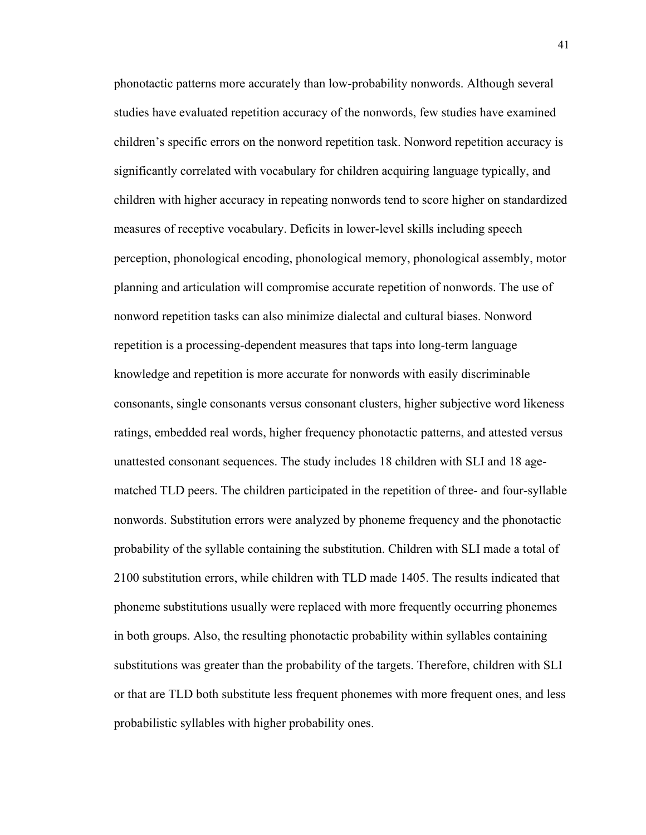phonotactic patterns more accurately than low-probability nonwords. Although several studies have evaluated repetition accuracy of the nonwords, few studies have examined children's specific errors on the nonword repetition task. Nonword repetition accuracy is significantly correlated with vocabulary for children acquiring language typically, and children with higher accuracy in repeating nonwords tend to score higher on standardized measures of receptive vocabulary. Deficits in lower-level skills including speech perception, phonological encoding, phonological memory, phonological assembly, motor planning and articulation will compromise accurate repetition of nonwords. The use of nonword repetition tasks can also minimize dialectal and cultural biases. Nonword repetition is a processing-dependent measures that taps into long-term language knowledge and repetition is more accurate for nonwords with easily discriminable consonants, single consonants versus consonant clusters, higher subjective word likeness ratings, embedded real words, higher frequency phonotactic patterns, and attested versus unattested consonant sequences. The study includes 18 children with SLI and 18 agematched TLD peers. The children participated in the repetition of three- and four-syllable nonwords. Substitution errors were analyzed by phoneme frequency and the phonotactic probability of the syllable containing the substitution. Children with SLI made a total of 2100 substitution errors, while children with TLD made 1405. The results indicated that phoneme substitutions usually were replaced with more frequently occurring phonemes in both groups. Also, the resulting phonotactic probability within syllables containing substitutions was greater than the probability of the targets. Therefore, children with SLI or that are TLD both substitute less frequent phonemes with more frequent ones, and less probabilistic syllables with higher probability ones.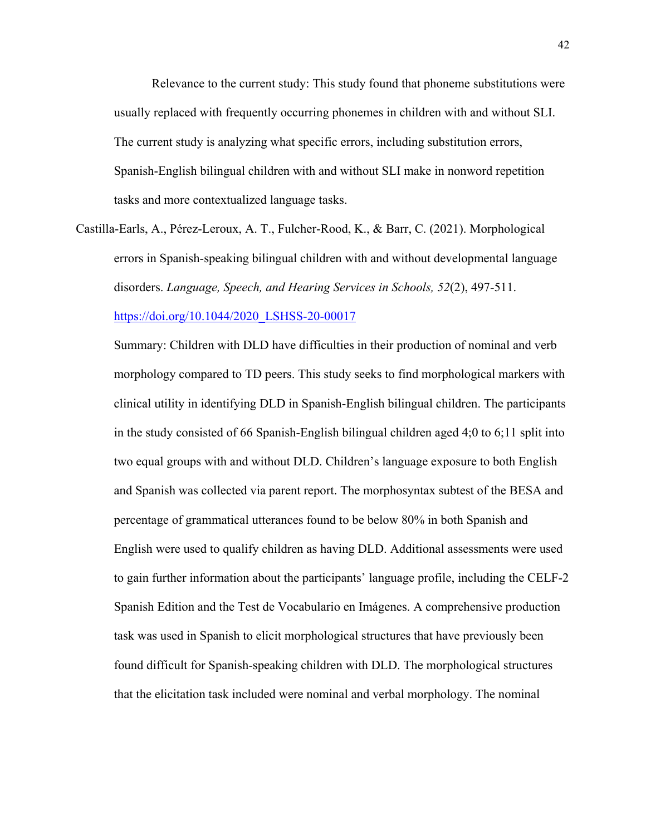Relevance to the current study: This study found that phoneme substitutions were usually replaced with frequently occurring phonemes in children with and without SLI. The current study is analyzing what specific errors, including substitution errors, Spanish-English bilingual children with and without SLI make in nonword repetition tasks and more contextualized language tasks.

Castilla-Earls, A., Pérez-Leroux, A. T., Fulcher-Rood, K., & Barr, C. (2021). Morphological errors in Spanish-speaking bilingual children with and without developmental language disorders. *Language, Speech, and Hearing Services in Schools, 52*(2), 497-511.

https://doi.org/10.1044/2020 LSHSS-20-00017

Summary: Children with DLD have difficulties in their production of nominal and verb morphology compared to TD peers. This study seeks to find morphological markers with clinical utility in identifying DLD in Spanish-English bilingual children. The participants in the study consisted of 66 Spanish-English bilingual children aged 4;0 to 6;11 split into two equal groups with and without DLD. Children's language exposure to both English and Spanish was collected via parent report. The morphosyntax subtest of the BESA and percentage of grammatical utterances found to be below 80% in both Spanish and English were used to qualify children as having DLD. Additional assessments were used to gain further information about the participants' language profile, including the CELF-2 Spanish Edition and the Test de Vocabulario en Imágenes. A comprehensive production task was used in Spanish to elicit morphological structures that have previously been found difficult for Spanish-speaking children with DLD. The morphological structures that the elicitation task included were nominal and verbal morphology. The nominal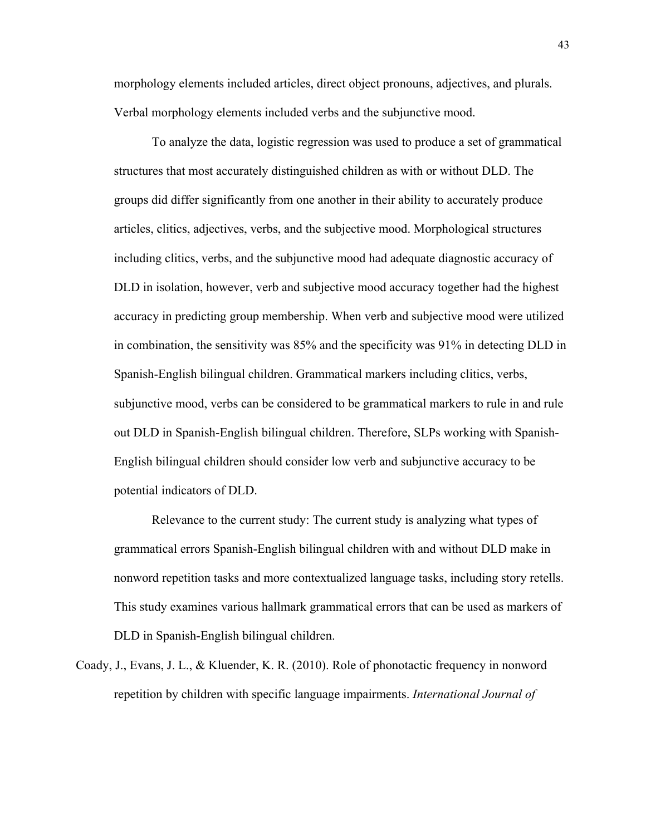morphology elements included articles, direct object pronouns, adjectives, and plurals. Verbal morphology elements included verbs and the subjunctive mood.

To analyze the data, logistic regression was used to produce a set of grammatical structures that most accurately distinguished children as with or without DLD. The groups did differ significantly from one another in their ability to accurately produce articles, clitics, adjectives, verbs, and the subjective mood. Morphological structures including clitics, verbs, and the subjunctive mood had adequate diagnostic accuracy of DLD in isolation, however, verb and subjective mood accuracy together had the highest accuracy in predicting group membership. When verb and subjective mood were utilized in combination, the sensitivity was 85% and the specificity was 91% in detecting DLD in Spanish-English bilingual children. Grammatical markers including clitics, verbs, subjunctive mood, verbs can be considered to be grammatical markers to rule in and rule out DLD in Spanish-English bilingual children. Therefore, SLPs working with Spanish-English bilingual children should consider low verb and subjunctive accuracy to be potential indicators of DLD.

Relevance to the current study: The current study is analyzing what types of grammatical errors Spanish-English bilingual children with and without DLD make in nonword repetition tasks and more contextualized language tasks, including story retells. This study examines various hallmark grammatical errors that can be used as markers of DLD in Spanish-English bilingual children.

Coady, J., Evans, J. L., & Kluender, K. R. (2010). Role of phonotactic frequency in nonword repetition by children with specific language impairments. *International Journal of*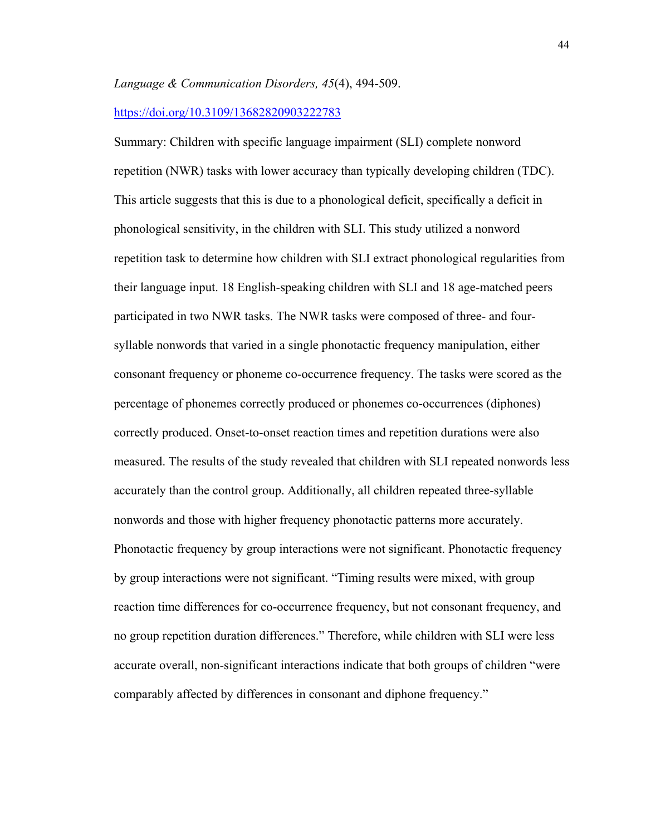## *Language & Communication Disorders, 45*(4), 494-509.

## <https://doi.org/10.3109/13682820903222783>

Summary: Children with specific language impairment (SLI) complete nonword repetition (NWR) tasks with lower accuracy than typically developing children (TDC). This article suggests that this is due to a phonological deficit, specifically a deficit in phonological sensitivity, in the children with SLI. This study utilized a nonword repetition task to determine how children with SLI extract phonological regularities from their language input. 18 English-speaking children with SLI and 18 age-matched peers participated in two NWR tasks. The NWR tasks were composed of three- and foursyllable nonwords that varied in a single phonotactic frequency manipulation, either consonant frequency or phoneme co-occurrence frequency. The tasks were scored as the percentage of phonemes correctly produced or phonemes co-occurrences (diphones) correctly produced. Onset-to-onset reaction times and repetition durations were also measured. The results of the study revealed that children with SLI repeated nonwords less accurately than the control group. Additionally, all children repeated three-syllable nonwords and those with higher frequency phonotactic patterns more accurately. Phonotactic frequency by group interactions were not significant. Phonotactic frequency by group interactions were not significant. "Timing results were mixed, with group reaction time differences for co-occurrence frequency, but not consonant frequency, and no group repetition duration differences." Therefore, while children with SLI were less accurate overall, non-significant interactions indicate that both groups of children "were comparably affected by differences in consonant and diphone frequency."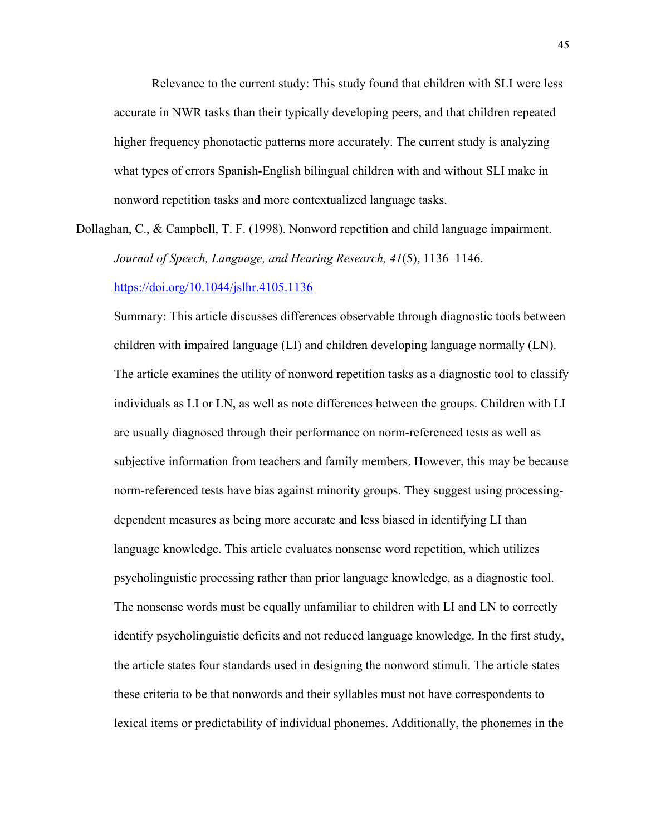Relevance to the current study: This study found that children with SLI were less accurate in NWR tasks than their typically developing peers, and that children repeated higher frequency phonotactic patterns more accurately. The current study is analyzing what types of errors Spanish-English bilingual children with and without SLI make in nonword repetition tasks and more contextualized language tasks.

Dollaghan, C., & Campbell, T. F. (1998). Nonword repetition and child language impairment. *Journal of Speech, Language, and Hearing Research, 41*(5), 1136–1146.

# <https://doi.org/10.1044/jslhr.4105.1136>

Summary: This article discusses differences observable through diagnostic tools between children with impaired language (LI) and children developing language normally (LN). The article examines the utility of nonword repetition tasks as a diagnostic tool to classify individuals as LI or LN, as well as note differences between the groups. Children with LI are usually diagnosed through their performance on norm-referenced tests as well as subjective information from teachers and family members. However, this may be because norm-referenced tests have bias against minority groups. They suggest using processingdependent measures as being more accurate and less biased in identifying LI than language knowledge. This article evaluates nonsense word repetition, which utilizes psycholinguistic processing rather than prior language knowledge, as a diagnostic tool. The nonsense words must be equally unfamiliar to children with LI and LN to correctly identify psycholinguistic deficits and not reduced language knowledge. In the first study, the article states four standards used in designing the nonword stimuli. The article states these criteria to be that nonwords and their syllables must not have correspondents to lexical items or predictability of individual phonemes. Additionally, the phonemes in the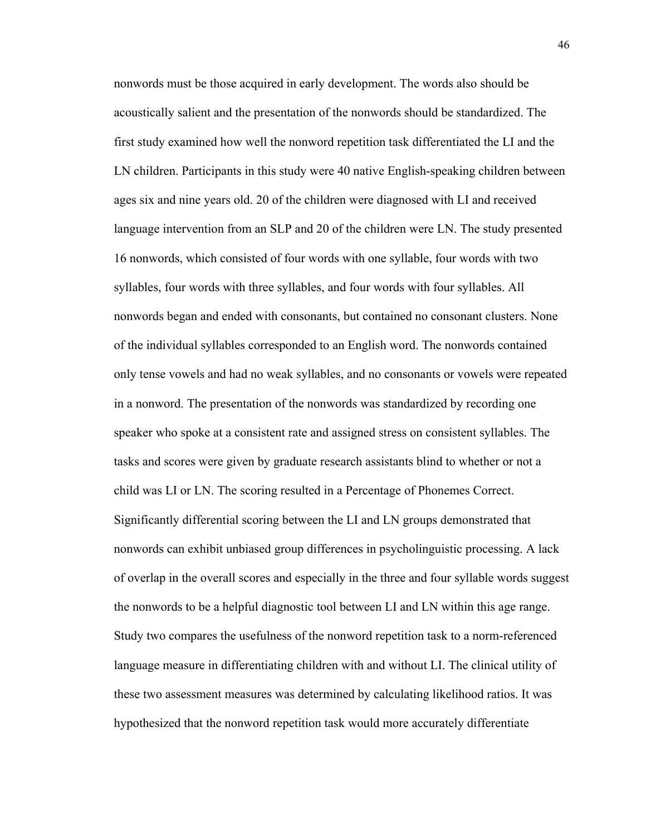nonwords must be those acquired in early development. The words also should be acoustically salient and the presentation of the nonwords should be standardized. The first study examined how well the nonword repetition task differentiated the LI and the LN children. Participants in this study were 40 native English-speaking children between ages six and nine years old. 20 of the children were diagnosed with LI and received language intervention from an SLP and 20 of the children were LN. The study presented 16 nonwords, which consisted of four words with one syllable, four words with two syllables, four words with three syllables, and four words with four syllables. All nonwords began and ended with consonants, but contained no consonant clusters. None of the individual syllables corresponded to an English word. The nonwords contained only tense vowels and had no weak syllables, and no consonants or vowels were repeated in a nonword. The presentation of the nonwords was standardized by recording one speaker who spoke at a consistent rate and assigned stress on consistent syllables. The tasks and scores were given by graduate research assistants blind to whether or not a child was LI or LN. The scoring resulted in a Percentage of Phonemes Correct. Significantly differential scoring between the LI and LN groups demonstrated that nonwords can exhibit unbiased group differences in psycholinguistic processing. A lack of overlap in the overall scores and especially in the three and four syllable words suggest the nonwords to be a helpful diagnostic tool between LI and LN within this age range. Study two compares the usefulness of the nonword repetition task to a norm-referenced language measure in differentiating children with and without LI. The clinical utility of these two assessment measures was determined by calculating likelihood ratios. It was hypothesized that the nonword repetition task would more accurately differentiate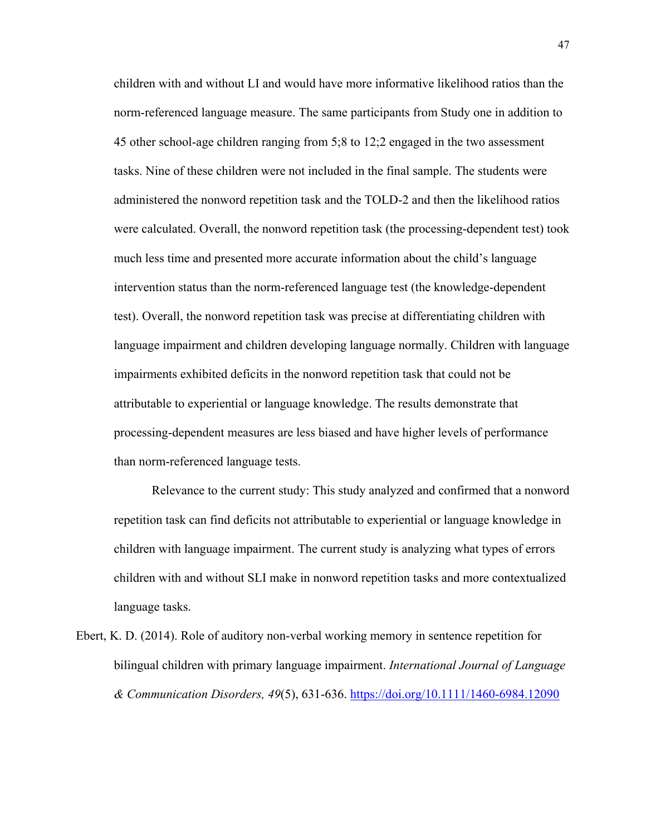children with and without LI and would have more informative likelihood ratios than the norm-referenced language measure. The same participants from Study one in addition to 45 other school-age children ranging from 5;8 to 12;2 engaged in the two assessment tasks. Nine of these children were not included in the final sample. The students were administered the nonword repetition task and the TOLD-2 and then the likelihood ratios were calculated. Overall, the nonword repetition task (the processing-dependent test) took much less time and presented more accurate information about the child's language intervention status than the norm-referenced language test (the knowledge-dependent test). Overall, the nonword repetition task was precise at differentiating children with language impairment and children developing language normally. Children with language impairments exhibited deficits in the nonword repetition task that could not be attributable to experiential or language knowledge. The results demonstrate that processing-dependent measures are less biased and have higher levels of performance than norm-referenced language tests.

Relevance to the current study: This study analyzed and confirmed that a nonword repetition task can find deficits not attributable to experiential or language knowledge in children with language impairment. The current study is analyzing what types of errors children with and without SLI make in nonword repetition tasks and more contextualized language tasks.

Ebert, K. D. (2014). Role of auditory non-verbal working memory in sentence repetition for bilingual children with primary language impairment. *International Journal of Language & Communication Disorders, 49*(5), 631-636.<https://doi.org/10.1111/1460-6984.12090>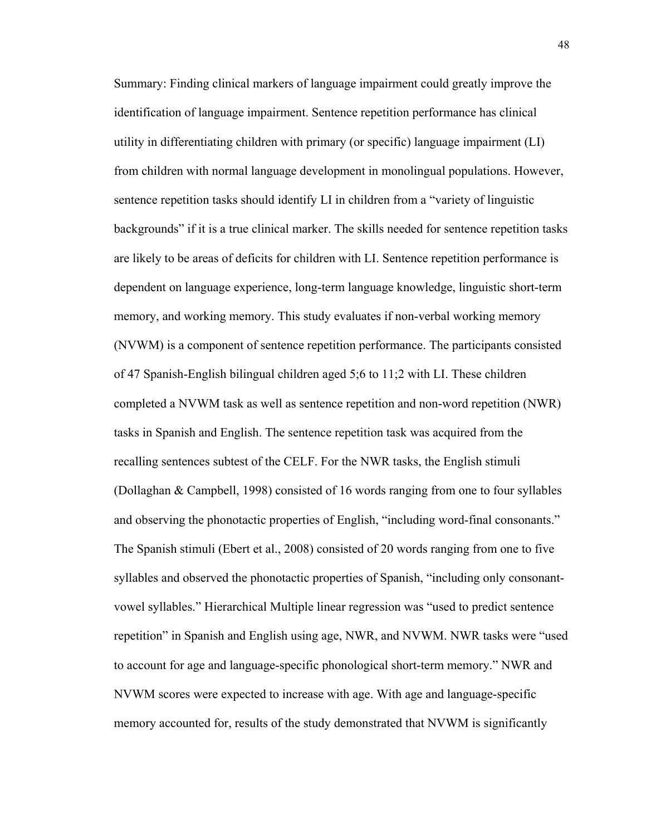Summary: Finding clinical markers of language impairment could greatly improve the identification of language impairment. Sentence repetition performance has clinical utility in differentiating children with primary (or specific) language impairment (LI) from children with normal language development in monolingual populations. However, sentence repetition tasks should identify LI in children from a "variety of linguistic backgrounds" if it is a true clinical marker. The skills needed for sentence repetition tasks are likely to be areas of deficits for children with LI. Sentence repetition performance is dependent on language experience, long-term language knowledge, linguistic short-term memory, and working memory. This study evaluates if non-verbal working memory (NVWM) is a component of sentence repetition performance. The participants consisted of 47 Spanish-English bilingual children aged 5;6 to 11;2 with LI. These children completed a NVWM task as well as sentence repetition and non-word repetition (NWR) tasks in Spanish and English. The sentence repetition task was acquired from the recalling sentences subtest of the CELF. For the NWR tasks, the English stimuli (Dollaghan & Campbell, 1998) consisted of 16 words ranging from one to four syllables and observing the phonotactic properties of English, "including word-final consonants." The Spanish stimuli (Ebert et al., 2008) consisted of 20 words ranging from one to five syllables and observed the phonotactic properties of Spanish, "including only consonantvowel syllables." Hierarchical Multiple linear regression was "used to predict sentence repetition" in Spanish and English using age, NWR, and NVWM. NWR tasks were "used to account for age and language-specific phonological short-term memory." NWR and NVWM scores were expected to increase with age. With age and language-specific memory accounted for, results of the study demonstrated that NVWM is significantly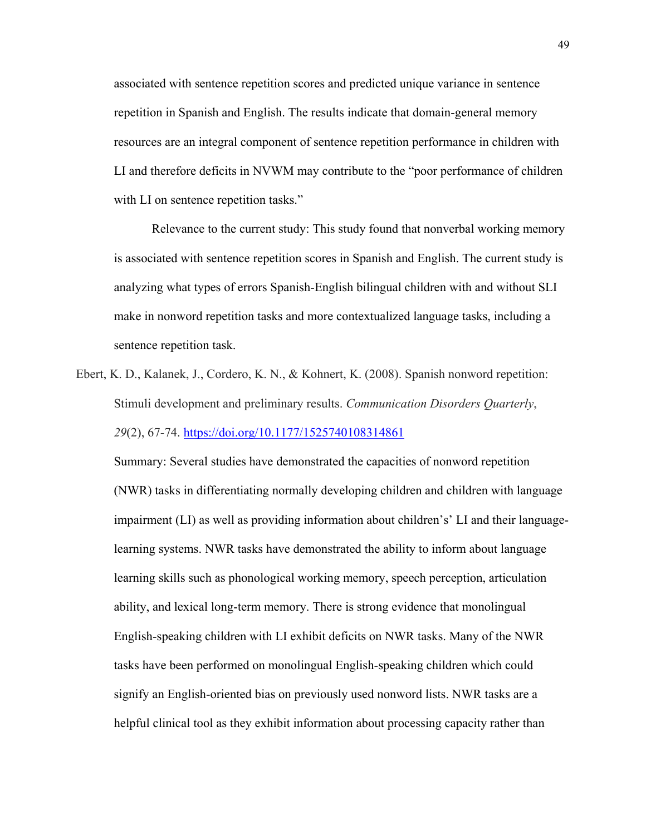associated with sentence repetition scores and predicted unique variance in sentence repetition in Spanish and English. The results indicate that domain-general memory resources are an integral component of sentence repetition performance in children with LI and therefore deficits in NVWM may contribute to the "poor performance of children with LI on sentence repetition tasks."

Relevance to the current study: This study found that nonverbal working memory is associated with sentence repetition scores in Spanish and English. The current study is analyzing what types of errors Spanish-English bilingual children with and without SLI make in nonword repetition tasks and more contextualized language tasks, including a sentence repetition task.

Ebert, K. D., Kalanek, J., Cordero, K. N., & Kohnert, K. (2008). Spanish nonword repetition: Stimuli development and preliminary results. *Communication Disorders Quarterly*, *29*(2), 67-74. <https://doi.org/10.1177/1525740108314861>

Summary: Several studies have demonstrated the capacities of nonword repetition (NWR) tasks in differentiating normally developing children and children with language impairment (LI) as well as providing information about children's' LI and their languagelearning systems. NWR tasks have demonstrated the ability to inform about language learning skills such as phonological working memory, speech perception, articulation ability, and lexical long-term memory. There is strong evidence that monolingual English-speaking children with LI exhibit deficits on NWR tasks. Many of the NWR tasks have been performed on monolingual English-speaking children which could signify an English-oriented bias on previously used nonword lists. NWR tasks are a helpful clinical tool as they exhibit information about processing capacity rather than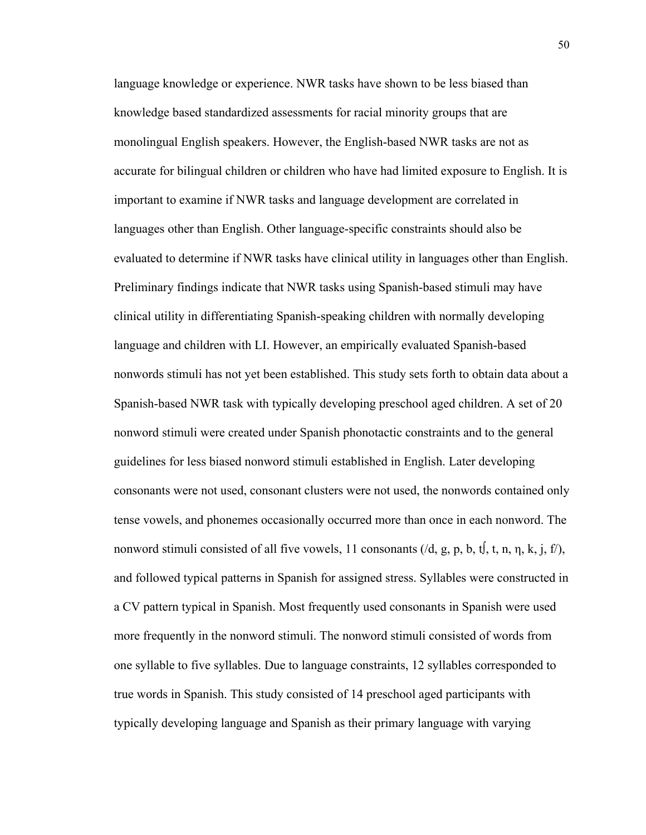language knowledge or experience. NWR tasks have shown to be less biased than knowledge based standardized assessments for racial minority groups that are monolingual English speakers. However, the English-based NWR tasks are not as accurate for bilingual children or children who have had limited exposure to English. It is important to examine if NWR tasks and language development are correlated in languages other than English. Other language-specific constraints should also be evaluated to determine if NWR tasks have clinical utility in languages other than English. Preliminary findings indicate that NWR tasks using Spanish-based stimuli may have clinical utility in differentiating Spanish-speaking children with normally developing language and children with LI. However, an empirically evaluated Spanish-based nonwords stimuli has not yet been established. This study sets forth to obtain data about a Spanish-based NWR task with typically developing preschool aged children. A set of 20 nonword stimuli were created under Spanish phonotactic constraints and to the general guidelines for less biased nonword stimuli established in English. Later developing consonants were not used, consonant clusters were not used, the nonwords contained only tense vowels, and phonemes occasionally occurred more than once in each nonword. The nonword stimuli consisted of all five vowels, 11 consonants ( $\langle d, g, p, b, t \rangle$ , t, n, n, k, j, f $\langle f \rangle$ ), and followed typical patterns in Spanish for assigned stress. Syllables were constructed in a CV pattern typical in Spanish. Most frequently used consonants in Spanish were used more frequently in the nonword stimuli. The nonword stimuli consisted of words from one syllable to five syllables. Due to language constraints, 12 syllables corresponded to true words in Spanish. This study consisted of 14 preschool aged participants with typically developing language and Spanish as their primary language with varying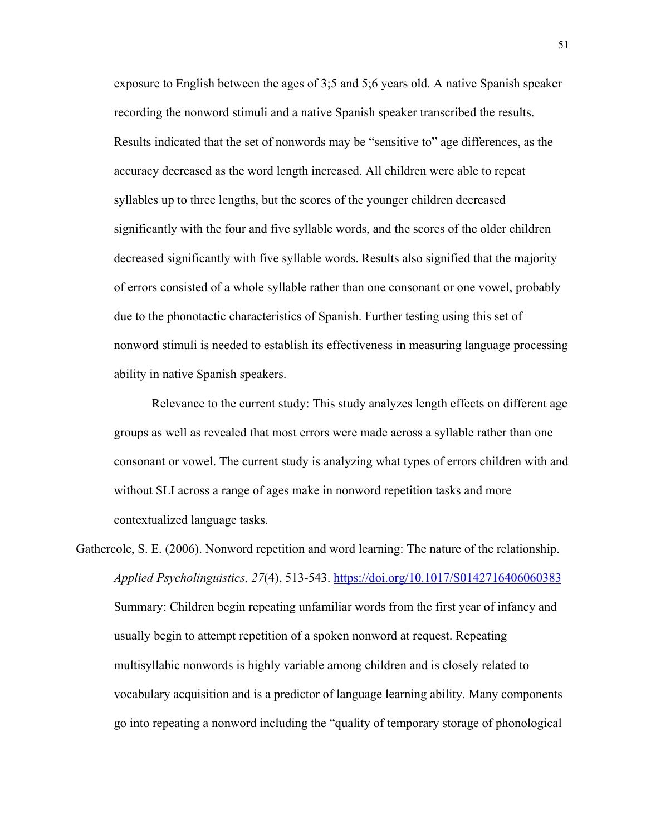exposure to English between the ages of 3;5 and 5;6 years old. A native Spanish speaker recording the nonword stimuli and a native Spanish speaker transcribed the results. Results indicated that the set of nonwords may be "sensitive to" age differences, as the accuracy decreased as the word length increased. All children were able to repeat syllables up to three lengths, but the scores of the younger children decreased significantly with the four and five syllable words, and the scores of the older children decreased significantly with five syllable words. Results also signified that the majority of errors consisted of a whole syllable rather than one consonant or one vowel, probably due to the phonotactic characteristics of Spanish. Further testing using this set of nonword stimuli is needed to establish its effectiveness in measuring language processing ability in native Spanish speakers.

Relevance to the current study: This study analyzes length effects on different age groups as well as revealed that most errors were made across a syllable rather than one consonant or vowel. The current study is analyzing what types of errors children with and without SLI across a range of ages make in nonword repetition tasks and more contextualized language tasks.

Gathercole, S. E. (2006). Nonword repetition and word learning: The nature of the relationship. *Applied Psycholinguistics, 27*(4), 513-543.<https://doi.org/10.1017/S0142716406060383> Summary: Children begin repeating unfamiliar words from the first year of infancy and usually begin to attempt repetition of a spoken nonword at request. Repeating multisyllabic nonwords is highly variable among children and is closely related to vocabulary acquisition and is a predictor of language learning ability. Many components go into repeating a nonword including the "quality of temporary storage of phonological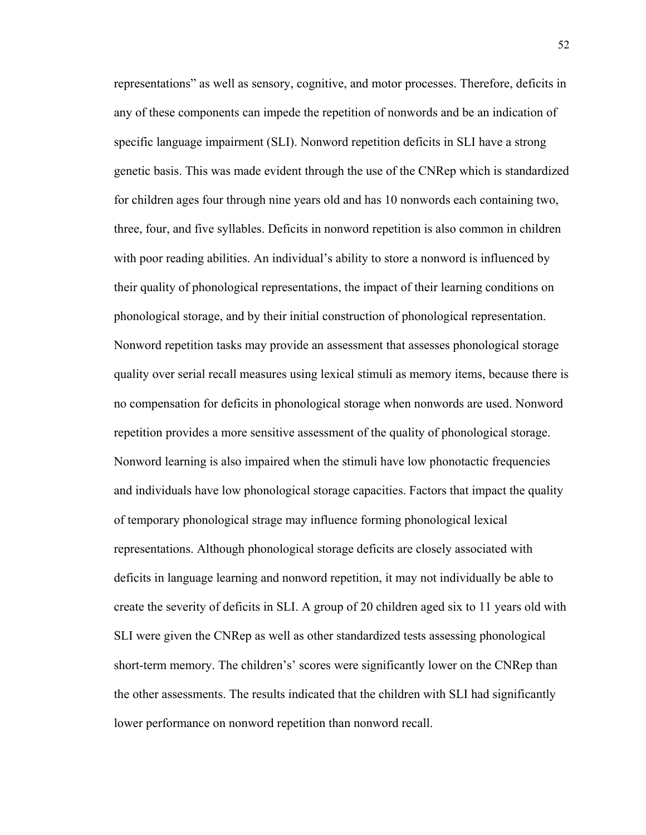representations" as well as sensory, cognitive, and motor processes. Therefore, deficits in any of these components can impede the repetition of nonwords and be an indication of specific language impairment (SLI). Nonword repetition deficits in SLI have a strong genetic basis. This was made evident through the use of the CNRep which is standardized for children ages four through nine years old and has 10 nonwords each containing two, three, four, and five syllables. Deficits in nonword repetition is also common in children with poor reading abilities. An individual's ability to store a nonword is influenced by their quality of phonological representations, the impact of their learning conditions on phonological storage, and by their initial construction of phonological representation. Nonword repetition tasks may provide an assessment that assesses phonological storage quality over serial recall measures using lexical stimuli as memory items, because there is no compensation for deficits in phonological storage when nonwords are used. Nonword repetition provides a more sensitive assessment of the quality of phonological storage. Nonword learning is also impaired when the stimuli have low phonotactic frequencies and individuals have low phonological storage capacities. Factors that impact the quality of temporary phonological strage may influence forming phonological lexical representations. Although phonological storage deficits are closely associated with deficits in language learning and nonword repetition, it may not individually be able to create the severity of deficits in SLI. A group of 20 children aged six to 11 years old with SLI were given the CNRep as well as other standardized tests assessing phonological short-term memory. The children's' scores were significantly lower on the CNRep than the other assessments. The results indicated that the children with SLI had significantly lower performance on nonword repetition than nonword recall.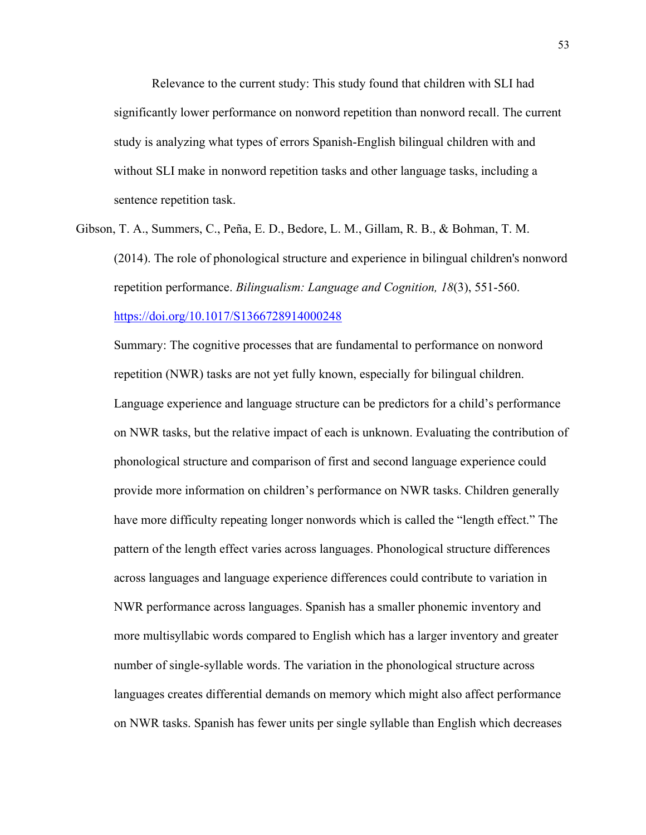Relevance to the current study: This study found that children with SLI had significantly lower performance on nonword repetition than nonword recall. The current study is analyzing what types of errors Spanish-English bilingual children with and without SLI make in nonword repetition tasks and other language tasks, including a sentence repetition task.

Gibson, T. A., Summers, C., Peña, E. D., Bedore, L. M., Gillam, R. B., & Bohman, T. M. (2014). The role of phonological structure and experience in bilingual children's nonword repetition performance. *Bilingualism: Language and Cognition, 18*(3), 551-560. <https://doi.org/10.1017/S1366728914000248>

Summary: The cognitive processes that are fundamental to performance on nonword repetition (NWR) tasks are not yet fully known, especially for bilingual children. Language experience and language structure can be predictors for a child's performance on NWR tasks, but the relative impact of each is unknown. Evaluating the contribution of phonological structure and comparison of first and second language experience could provide more information on children's performance on NWR tasks. Children generally have more difficulty repeating longer nonwords which is called the "length effect." The pattern of the length effect varies across languages. Phonological structure differences across languages and language experience differences could contribute to variation in NWR performance across languages. Spanish has a smaller phonemic inventory and more multisyllabic words compared to English which has a larger inventory and greater number of single-syllable words. The variation in the phonological structure across languages creates differential demands on memory which might also affect performance on NWR tasks. Spanish has fewer units per single syllable than English which decreases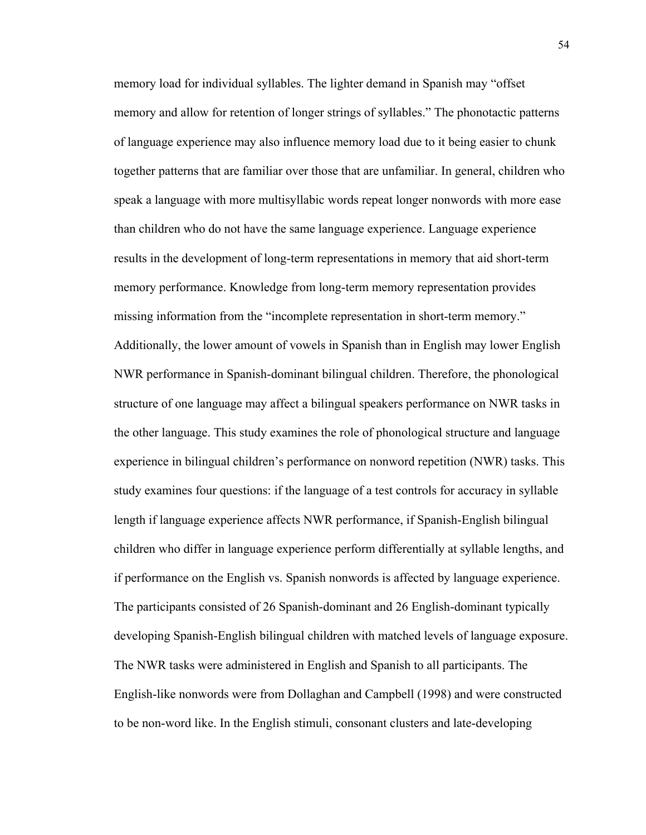memory load for individual syllables. The lighter demand in Spanish may "offset memory and allow for retention of longer strings of syllables." The phonotactic patterns of language experience may also influence memory load due to it being easier to chunk together patterns that are familiar over those that are unfamiliar. In general, children who speak a language with more multisyllabic words repeat longer nonwords with more ease than children who do not have the same language experience. Language experience results in the development of long-term representations in memory that aid short-term memory performance. Knowledge from long-term memory representation provides missing information from the "incomplete representation in short-term memory." Additionally, the lower amount of vowels in Spanish than in English may lower English NWR performance in Spanish-dominant bilingual children. Therefore, the phonological structure of one language may affect a bilingual speakers performance on NWR tasks in the other language. This study examines the role of phonological structure and language experience in bilingual children's performance on nonword repetition (NWR) tasks. This study examines four questions: if the language of a test controls for accuracy in syllable length if language experience affects NWR performance, if Spanish-English bilingual children who differ in language experience perform differentially at syllable lengths, and if performance on the English vs. Spanish nonwords is affected by language experience. The participants consisted of 26 Spanish-dominant and 26 English-dominant typically developing Spanish-English bilingual children with matched levels of language exposure. The NWR tasks were administered in English and Spanish to all participants. The English-like nonwords were from Dollaghan and Campbell (1998) and were constructed to be non-word like. In the English stimuli, consonant clusters and late-developing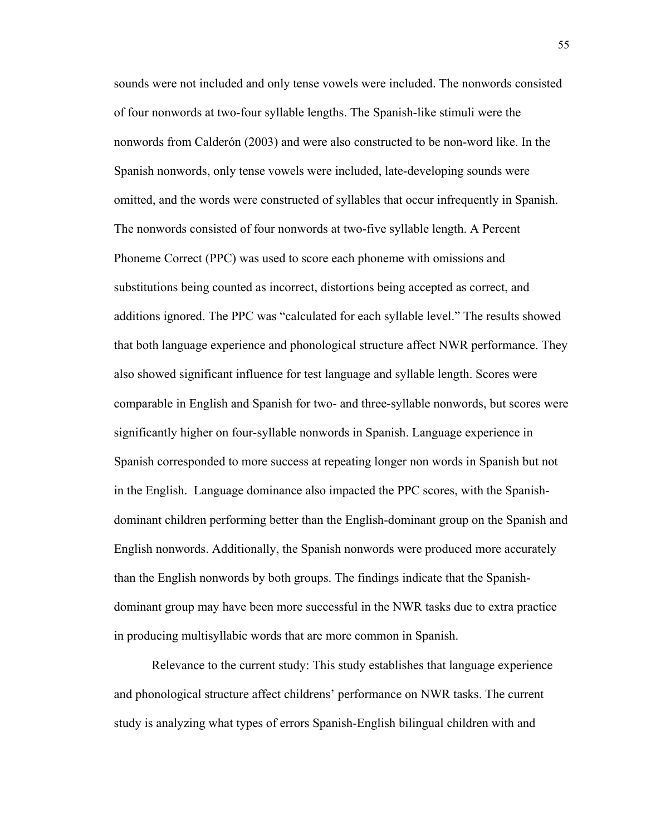sounds were not included and only tense vowels were included. The nonwords consisted of four nonwords at two-four syllable lengths. The Spanish-like stimuli were the nonwords from Calderón (2003) and were also constructed to be non-word like. In the Spanish nonwords, only tense vowels were included, late-developing sounds were omitted, and the words were constructed of syllables that occur infrequently in Spanish. The nonwords consisted of four nonwords at two-five syllable length. A Percent Phoneme Correct (PPC) was used to score each phoneme with omissions and substitutions being counted as incorrect, distortions being accepted as correct, and additions ignored. The PPC was "calculated for each syllable level." The results showed that both language experience and phonological structure affect NWR performance. They also showed significant influence for test language and syllable length. Scores were comparable in English and Spanish for two- and three-syllable nonwords, but scores were significantly higher on four-syllable nonwords in Spanish. Language experience in Spanish corresponded to more success at repeating longer non words in Spanish but not in the English. Language dominance also impacted the PPC scores, with the Spanishdominant children performing better than the English-dominant group on the Spanish and English nonwords. Additionally, the Spanish nonwords were produced more accurately than the English nonwords by both groups. The findings indicate that the Spanishdominant group may have been more successful in the NWR tasks due to extra practice in producing multisyllabic words that are more common in Spanish.

Relevance to the current study: This study establishes that language experience and phonological structure affect childrens' performance on NWR tasks. The current study is analyzing what types of errors Spanish-English bilingual children with and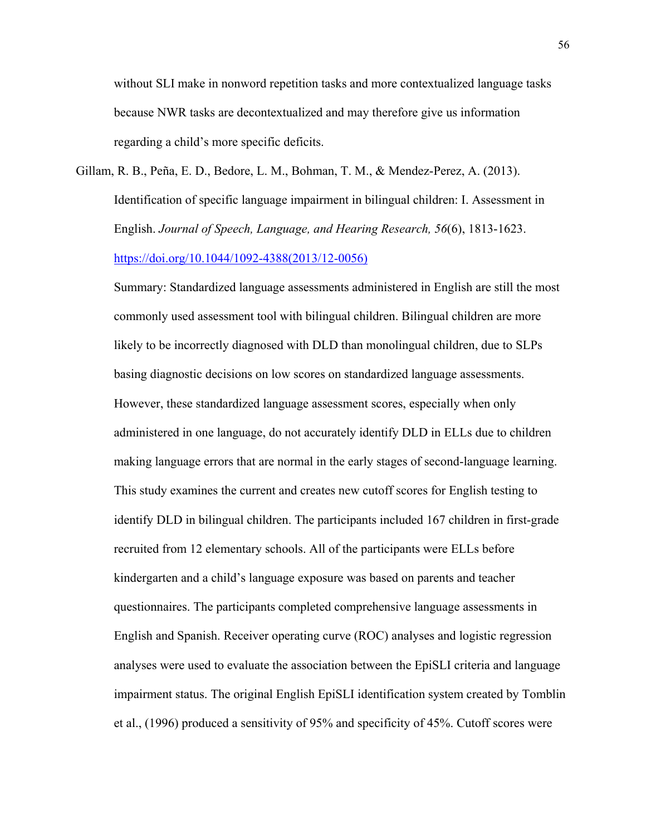without SLI make in nonword repetition tasks and more contextualized language tasks because NWR tasks are decontextualized and may therefore give us information regarding a child's more specific deficits.

Gillam, R. B., Peña, E. D., Bedore, L. M., Bohman, T. M., & Mendez-Perez, A. (2013). Identification of specific language impairment in bilingual children: I. Assessment in English. *Journal of Speech, Language, and Hearing Research, 56*(6), 1813-1623. [https://doi.org/10.1044/1092-4388\(2013/12-0056\)](https://doi.org/10.1044/1092-4388(2013/12-0056)) 

Summary: Standardized language assessments administered in English are still the most commonly used assessment tool with bilingual children. Bilingual children are more likely to be incorrectly diagnosed with DLD than monolingual children, due to SLPs basing diagnostic decisions on low scores on standardized language assessments. However, these standardized language assessment scores, especially when only administered in one language, do not accurately identify DLD in ELLs due to children making language errors that are normal in the early stages of second-language learning. This study examines the current and creates new cutoff scores for English testing to identify DLD in bilingual children. The participants included 167 children in first-grade recruited from 12 elementary schools. All of the participants were ELLs before kindergarten and a child's language exposure was based on parents and teacher questionnaires. The participants completed comprehensive language assessments in English and Spanish. Receiver operating curve (ROC) analyses and logistic regression analyses were used to evaluate the association between the EpiSLI criteria and language impairment status. The original English EpiSLI identification system created by Tomblin et al., (1996) produced a sensitivity of 95% and specificity of 45%. Cutoff scores were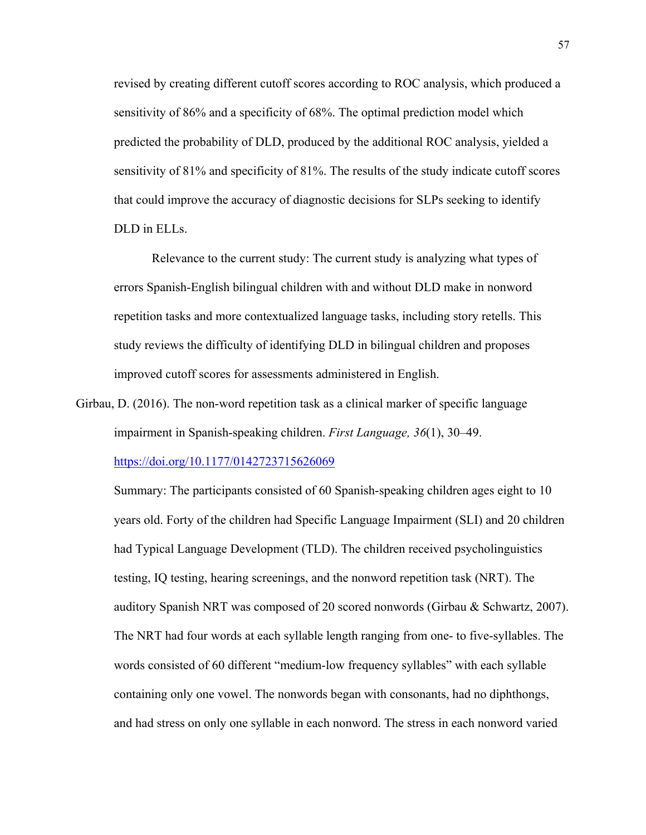revised by creating different cutoff scores according to ROC analysis, which produced a sensitivity of 86% and a specificity of 68%. The optimal prediction model which predicted the probability of DLD, produced by the additional ROC analysis, yielded a sensitivity of 81% and specificity of 81%. The results of the study indicate cutoff scores that could improve the accuracy of diagnostic decisions for SLPs seeking to identify DLD in ELLs.

Relevance to the current study: The current study is analyzing what types of errors Spanish-English bilingual children with and without DLD make in nonword repetition tasks and more contextualized language tasks, including story retells. This study reviews the difficulty of identifying DLD in bilingual children and proposes improved cutoff scores for assessments administered in English.

Girbau, D. (2016). The non-word repetition task as a clinical marker of specific language impairment in Spanish-speaking children. *First Language, 36*(1), 30–49.

<https://doi.org/10.1177/0142723715626069>

Summary: The participants consisted of 60 Spanish-speaking children ages eight to 10 years old. Forty of the children had Specific Language Impairment (SLI) and 20 children had Typical Language Development (TLD). The children received psycholinguistics testing, IQ testing, hearing screenings, and the nonword repetition task (NRT). The auditory Spanish NRT was composed of 20 scored nonwords (Girbau & Schwartz, 2007). The NRT had four words at each syllable length ranging from one- to five-syllables. The words consisted of 60 different "medium-low frequency syllables" with each syllable containing only one vowel. The nonwords began with consonants, had no diphthongs, and had stress on only one syllable in each nonword. The stress in each nonword varied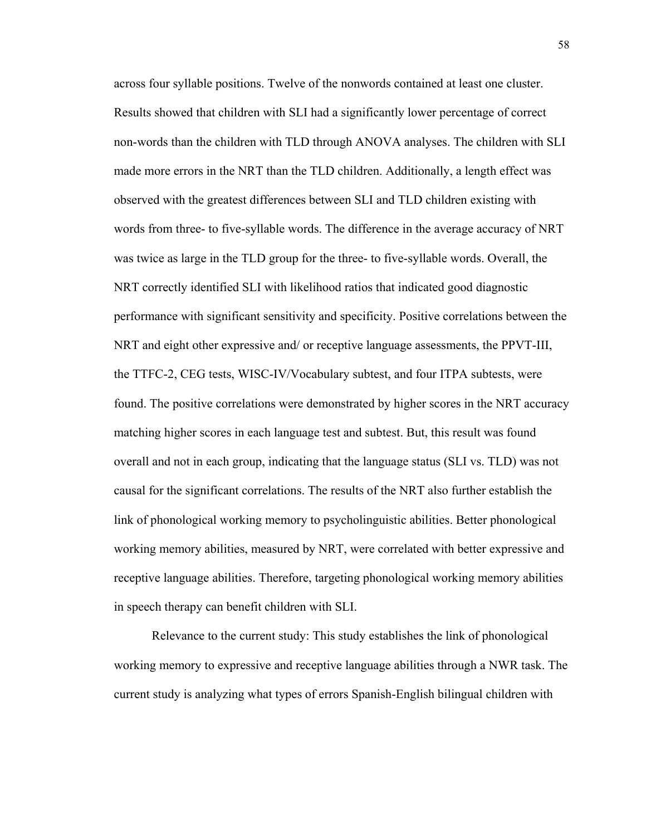across four syllable positions. Twelve of the nonwords contained at least one cluster. Results showed that children with SLI had a significantly lower percentage of correct non-words than the children with TLD through ANOVA analyses. The children with SLI made more errors in the NRT than the TLD children. Additionally, a length effect was observed with the greatest differences between SLI and TLD children existing with words from three- to five-syllable words. The difference in the average accuracy of NRT was twice as large in the TLD group for the three- to five-syllable words. Overall, the NRT correctly identified SLI with likelihood ratios that indicated good diagnostic performance with significant sensitivity and specificity. Positive correlations between the NRT and eight other expressive and/ or receptive language assessments, the PPVT-III, the TTFC-2, CEG tests, WISC-IV/Vocabulary subtest, and four ITPA subtests, were found. The positive correlations were demonstrated by higher scores in the NRT accuracy matching higher scores in each language test and subtest. But, this result was found overall and not in each group, indicating that the language status (SLI vs. TLD) was not causal for the significant correlations. The results of the NRT also further establish the link of phonological working memory to psycholinguistic abilities. Better phonological working memory abilities, measured by NRT, were correlated with better expressive and receptive language abilities. Therefore, targeting phonological working memory abilities in speech therapy can benefit children with SLI.

Relevance to the current study: This study establishes the link of phonological working memory to expressive and receptive language abilities through a NWR task. The current study is analyzing what types of errors Spanish-English bilingual children with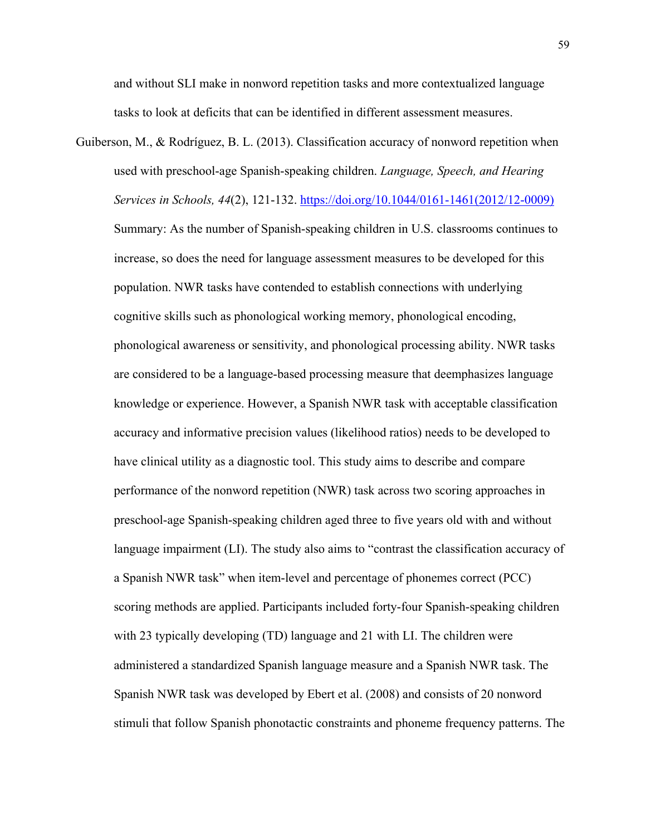and without SLI make in nonword repetition tasks and more contextualized language tasks to look at deficits that can be identified in different assessment measures.

Guiberson, M., & Rodríguez, B. L. (2013). Classification accuracy of nonword repetition when used with preschool-age Spanish-speaking children. *Language, Speech, and Hearing Services in Schools, 44*(2), 121-132. [https://doi.org/10.1044/0161-1461\(2012/12-0009\)](https://doi.org/10.1044/0161-1461(2012/12-0009))  Summary: As the number of Spanish-speaking children in U.S. classrooms continues to increase, so does the need for language assessment measures to be developed for this population. NWR tasks have contended to establish connections with underlying cognitive skills such as phonological working memory, phonological encoding, phonological awareness or sensitivity, and phonological processing ability. NWR tasks are considered to be a language-based processing measure that deemphasizes language knowledge or experience. However, a Spanish NWR task with acceptable classification accuracy and informative precision values (likelihood ratios) needs to be developed to have clinical utility as a diagnostic tool. This study aims to describe and compare performance of the nonword repetition (NWR) task across two scoring approaches in preschool-age Spanish-speaking children aged three to five years old with and without language impairment (LI). The study also aims to "contrast the classification accuracy of a Spanish NWR task" when item-level and percentage of phonemes correct (PCC) scoring methods are applied. Participants included forty-four Spanish-speaking children with 23 typically developing (TD) language and 21 with LI. The children were administered a standardized Spanish language measure and a Spanish NWR task. The Spanish NWR task was developed by Ebert et al. (2008) and consists of 20 nonword stimuli that follow Spanish phonotactic constraints and phoneme frequency patterns. The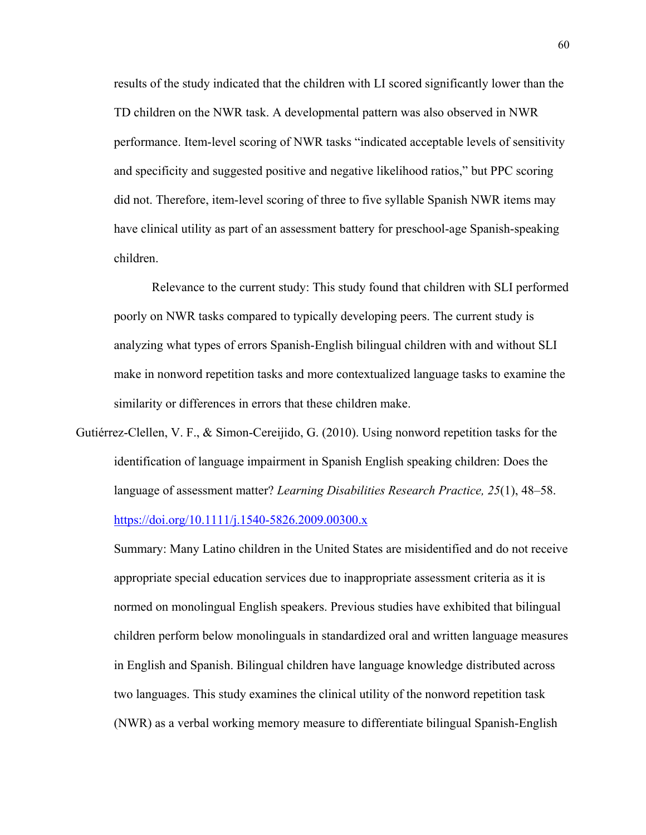results of the study indicated that the children with LI scored significantly lower than the TD children on the NWR task. A developmental pattern was also observed in NWR performance. Item-level scoring of NWR tasks "indicated acceptable levels of sensitivity and specificity and suggested positive and negative likelihood ratios," but PPC scoring did not. Therefore, item-level scoring of three to five syllable Spanish NWR items may have clinical utility as part of an assessment battery for preschool-age Spanish-speaking children.

Relevance to the current study: This study found that children with SLI performed poorly on NWR tasks compared to typically developing peers. The current study is analyzing what types of errors Spanish-English bilingual children with and without SLI make in nonword repetition tasks and more contextualized language tasks to examine the similarity or differences in errors that these children make.

Gutiérrez-Clellen, V. F., & Simon-Cereijido, G. (2010). Using nonword repetition tasks for the identification of language impairment in Spanish English speaking children: Does the language of assessment matter? *Learning Disabilities Research Practice, 25*(1), 48–58. <https://doi.org/10.1111/j.1540-5826.2009.00300.x>

Summary: Many Latino children in the United States are misidentified and do not receive appropriate special education services due to inappropriate assessment criteria as it is normed on monolingual English speakers. Previous studies have exhibited that bilingual children perform below monolinguals in standardized oral and written language measures in English and Spanish. Bilingual children have language knowledge distributed across two languages. This study examines the clinical utility of the nonword repetition task (NWR) as a verbal working memory measure to differentiate bilingual Spanish-English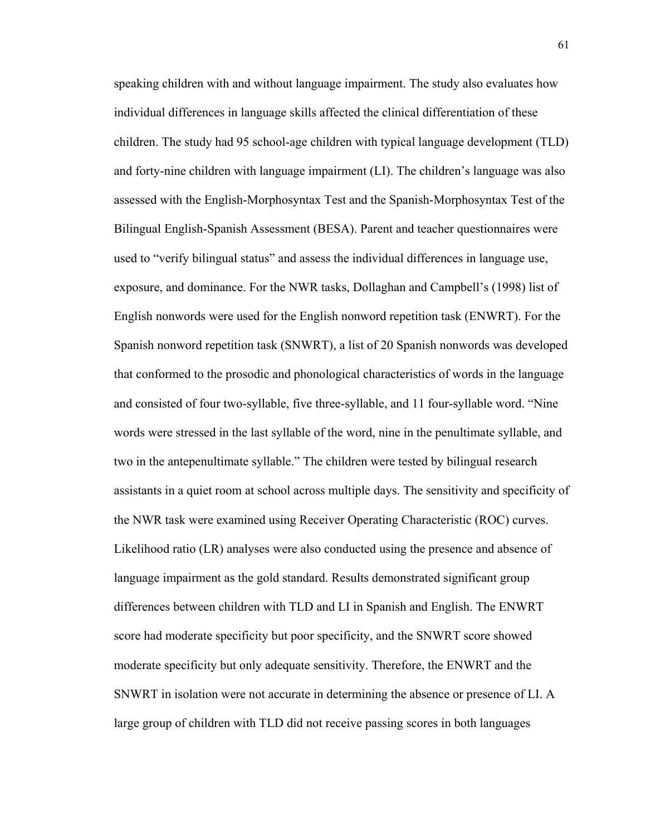speaking children with and without language impairment. The study also evaluates how individual differences in language skills affected the clinical differentiation of these children. The study had 95 school-age children with typical language development (TLD) and forty-nine children with language impairment (LI). The children's language was also assessed with the English-Morphosyntax Test and the Spanish-Morphosyntax Test of the Bilingual English-Spanish Assessment (BESA). Parent and teacher questionnaires were used to "verify bilingual status" and assess the individual differences in language use, exposure, and dominance. For the NWR tasks, Dollaghan and Campbell's (1998) list of English nonwords were used for the English nonword repetition task (ENWRT). For the Spanish nonword repetition task (SNWRT), a list of 20 Spanish nonwords was developed that conformed to the prosodic and phonological characteristics of words in the language and consisted of four two-syllable, five three-syllable, and 11 four-syllable word. "Nine words were stressed in the last syllable of the word, nine in the penultimate syllable, and two in the antepenultimate syllable." The children were tested by bilingual research assistants in a quiet room at school across multiple days. The sensitivity and specificity of the NWR task were examined using Receiver Operating Characteristic (ROC) curves. Likelihood ratio (LR) analyses were also conducted using the presence and absence of language impairment as the gold standard. Results demonstrated significant group differences between children with TLD and LI in Spanish and English. The ENWRT score had moderate specificity but poor specificity, and the SNWRT score showed moderate specificity but only adequate sensitivity. Therefore, the ENWRT and the SNWRT in isolation were not accurate in determining the absence or presence of LI. A large group of children with TLD did not receive passing scores in both languages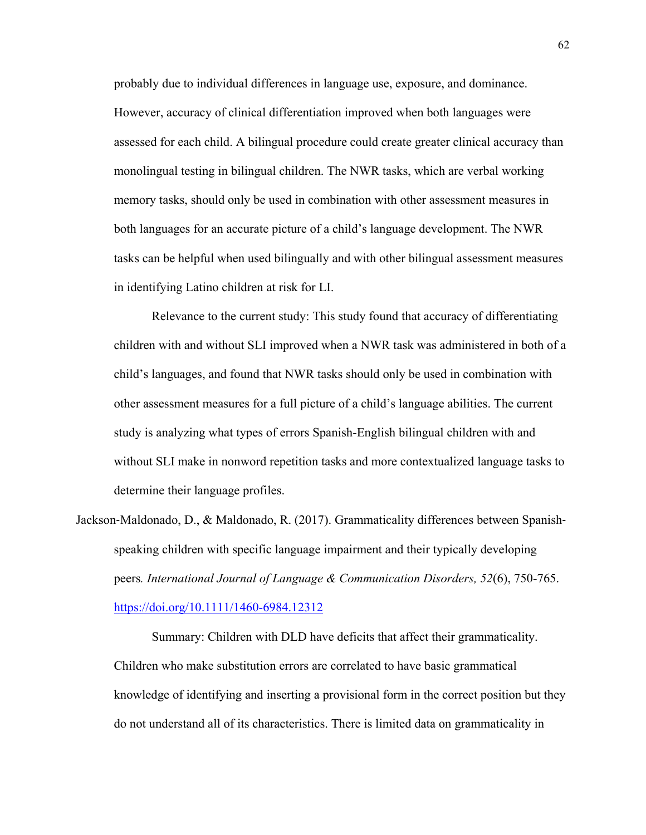probably due to individual differences in language use, exposure, and dominance. However, accuracy of clinical differentiation improved when both languages were assessed for each child. A bilingual procedure could create greater clinical accuracy than monolingual testing in bilingual children. The NWR tasks, which are verbal working memory tasks, should only be used in combination with other assessment measures in both languages for an accurate picture of a child's language development. The NWR tasks can be helpful when used bilingually and with other bilingual assessment measures in identifying Latino children at risk for LI.

Relevance to the current study: This study found that accuracy of differentiating children with and without SLI improved when a NWR task was administered in both of a child's languages, and found that NWR tasks should only be used in combination with other assessment measures for a full picture of a child's language abilities. The current study is analyzing what types of errors Spanish-English bilingual children with and without SLI make in nonword repetition tasks and more contextualized language tasks to determine their language profiles.

Jackson‐Maldonado, D., & Maldonado, R. (2017). Grammaticality differences between Spanish‐ speaking children with specific language impairment and their typically developing peers*. International Journal of Language & Communication Disorders, 52*(6), 750-765. <https://doi.org/10.1111/1460-6984.12312>

Summary: Children with DLD have deficits that affect their grammaticality. Children who make substitution errors are correlated to have basic grammatical knowledge of identifying and inserting a provisional form in the correct position but they do not understand all of its characteristics. There is limited data on grammaticality in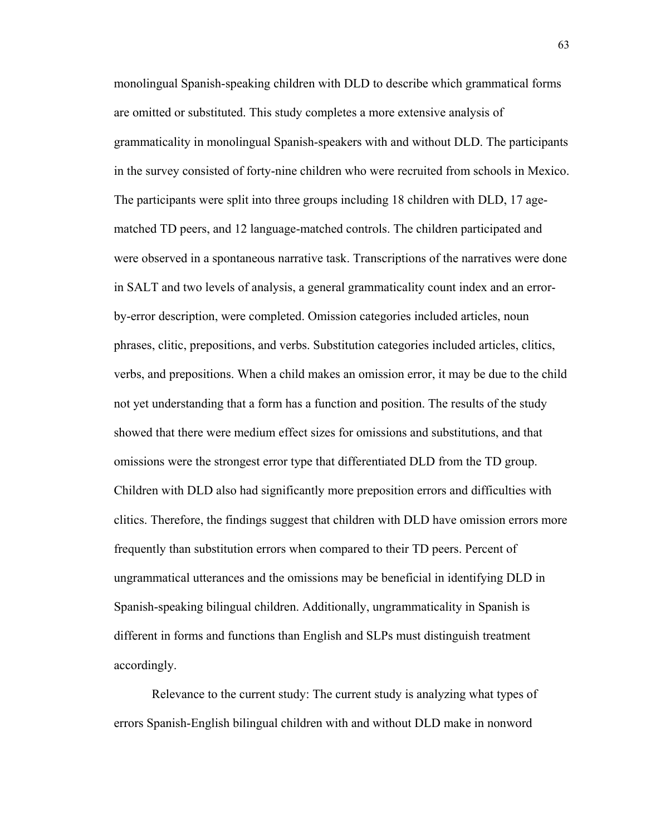monolingual Spanish-speaking children with DLD to describe which grammatical forms are omitted or substituted. This study completes a more extensive analysis of grammaticality in monolingual Spanish-speakers with and without DLD. The participants in the survey consisted of forty-nine children who were recruited from schools in Mexico. The participants were split into three groups including 18 children with DLD, 17 agematched TD peers, and 12 language-matched controls. The children participated and were observed in a spontaneous narrative task. Transcriptions of the narratives were done in SALT and two levels of analysis, a general grammaticality count index and an errorby-error description, were completed. Omission categories included articles, noun phrases, clitic, prepositions, and verbs. Substitution categories included articles, clitics, verbs, and prepositions. When a child makes an omission error, it may be due to the child not yet understanding that a form has a function and position. The results of the study showed that there were medium effect sizes for omissions and substitutions, and that omissions were the strongest error type that differentiated DLD from the TD group. Children with DLD also had significantly more preposition errors and difficulties with clitics. Therefore, the findings suggest that children with DLD have omission errors more frequently than substitution errors when compared to their TD peers. Percent of ungrammatical utterances and the omissions may be beneficial in identifying DLD in Spanish-speaking bilingual children. Additionally, ungrammaticality in Spanish is different in forms and functions than English and SLPs must distinguish treatment accordingly.

Relevance to the current study: The current study is analyzing what types of errors Spanish-English bilingual children with and without DLD make in nonword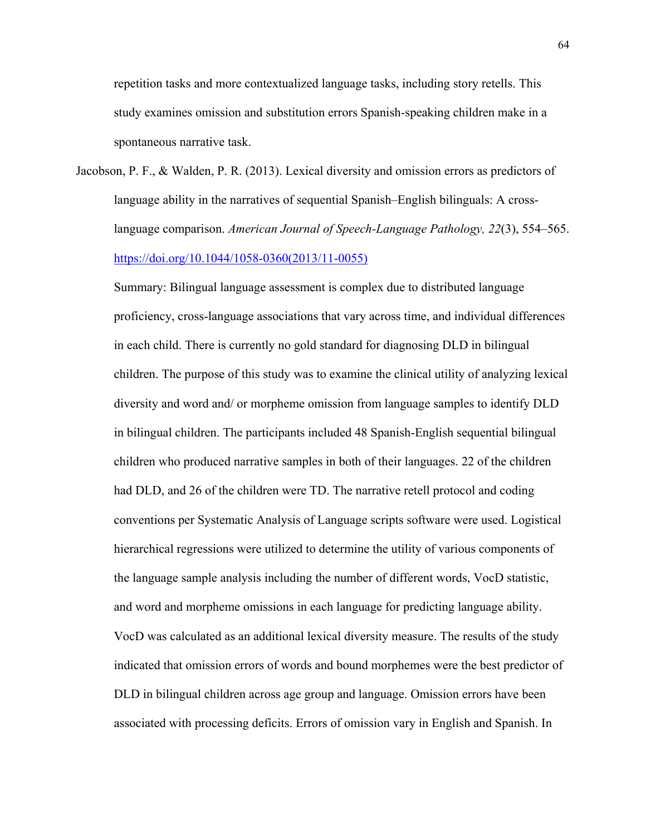repetition tasks and more contextualized language tasks, including story retells. This study examines omission and substitution errors Spanish-speaking children make in a spontaneous narrative task.

Jacobson, P. F., & Walden, P. R. (2013). Lexical diversity and omission errors as predictors of language ability in the narratives of sequential Spanish–English bilinguals: A crosslanguage comparison. *American Journal of Speech-Language Pathology, 22*(3), 554–565. [https://doi.org/10.1044/1058-0360\(2013/11-0055\)](https://doi.org/10.1044/1058-0360(2013/11-0055)) 

Summary: Bilingual language assessment is complex due to distributed language proficiency, cross-language associations that vary across time, and individual differences in each child. There is currently no gold standard for diagnosing DLD in bilingual children. The purpose of this study was to examine the clinical utility of analyzing lexical diversity and word and/ or morpheme omission from language samples to identify DLD in bilingual children. The participants included 48 Spanish-English sequential bilingual children who produced narrative samples in both of their languages. 22 of the children had DLD, and 26 of the children were TD. The narrative retell protocol and coding conventions per Systematic Analysis of Language scripts software were used. Logistical hierarchical regressions were utilized to determine the utility of various components of the language sample analysis including the number of different words, VocD statistic, and word and morpheme omissions in each language for predicting language ability. VocD was calculated as an additional lexical diversity measure. The results of the study indicated that omission errors of words and bound morphemes were the best predictor of DLD in bilingual children across age group and language. Omission errors have been associated with processing deficits. Errors of omission vary in English and Spanish. In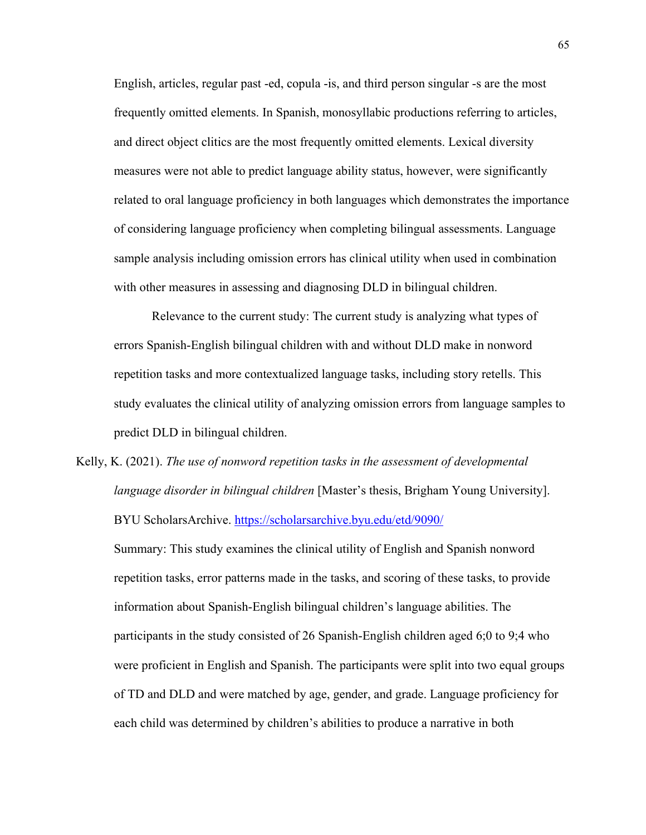English, articles, regular past -ed, copula -is, and third person singular -s are the most frequently omitted elements. In Spanish, monosyllabic productions referring to articles, and direct object clitics are the most frequently omitted elements. Lexical diversity measures were not able to predict language ability status, however, were significantly related to oral language proficiency in both languages which demonstrates the importance of considering language proficiency when completing bilingual assessments. Language sample analysis including omission errors has clinical utility when used in combination with other measures in assessing and diagnosing DLD in bilingual children.

Relevance to the current study: The current study is analyzing what types of errors Spanish-English bilingual children with and without DLD make in nonword repetition tasks and more contextualized language tasks, including story retells. This study evaluates the clinical utility of analyzing omission errors from language samples to predict DLD in bilingual children.

Kelly, K. (2021). *The use of nonword repetition tasks in the assessment of developmental language disorder in bilingual children* [Master's thesis, Brigham Young University]. BYU ScholarsArchive.<https://scholarsarchive.byu.edu/etd/9090/>

Summary: This study examines the clinical utility of English and Spanish nonword repetition tasks, error patterns made in the tasks, and scoring of these tasks, to provide information about Spanish-English bilingual children's language abilities. The participants in the study consisted of 26 Spanish-English children aged 6;0 to 9;4 who were proficient in English and Spanish. The participants were split into two equal groups of TD and DLD and were matched by age, gender, and grade. Language proficiency for each child was determined by children's abilities to produce a narrative in both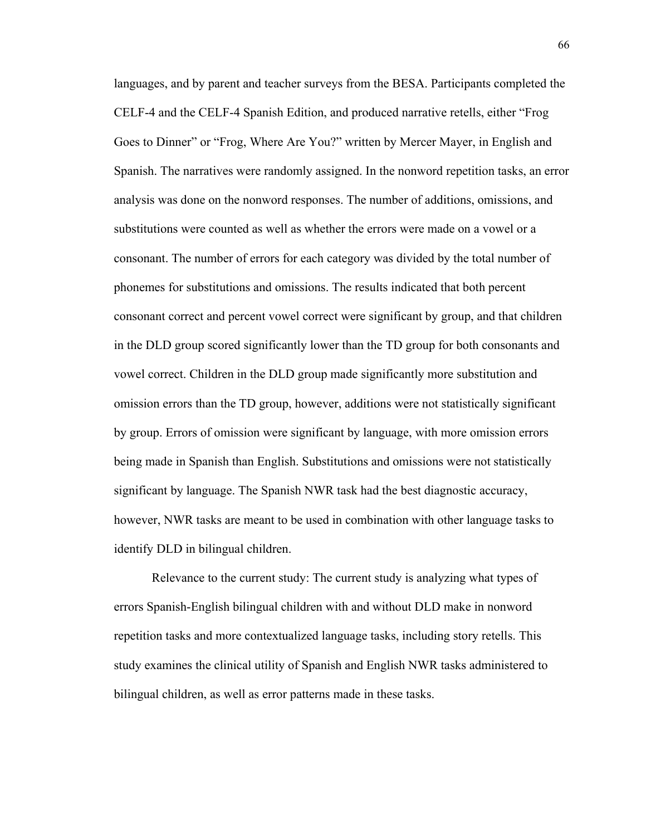languages, and by parent and teacher surveys from the BESA. Participants completed the CELF-4 and the CELF-4 Spanish Edition, and produced narrative retells, either "Frog Goes to Dinner" or "Frog, Where Are You?" written by Mercer Mayer, in English and Spanish. The narratives were randomly assigned. In the nonword repetition tasks, an error analysis was done on the nonword responses. The number of additions, omissions, and substitutions were counted as well as whether the errors were made on a vowel or a consonant. The number of errors for each category was divided by the total number of phonemes for substitutions and omissions. The results indicated that both percent consonant correct and percent vowel correct were significant by group, and that children in the DLD group scored significantly lower than the TD group for both consonants and vowel correct. Children in the DLD group made significantly more substitution and omission errors than the TD group, however, additions were not statistically significant by group. Errors of omission were significant by language, with more omission errors being made in Spanish than English. Substitutions and omissions were not statistically significant by language. The Spanish NWR task had the best diagnostic accuracy, however, NWR tasks are meant to be used in combination with other language tasks to identify DLD in bilingual children.

Relevance to the current study: The current study is analyzing what types of errors Spanish-English bilingual children with and without DLD make in nonword repetition tasks and more contextualized language tasks, including story retells. This study examines the clinical utility of Spanish and English NWR tasks administered to bilingual children, as well as error patterns made in these tasks.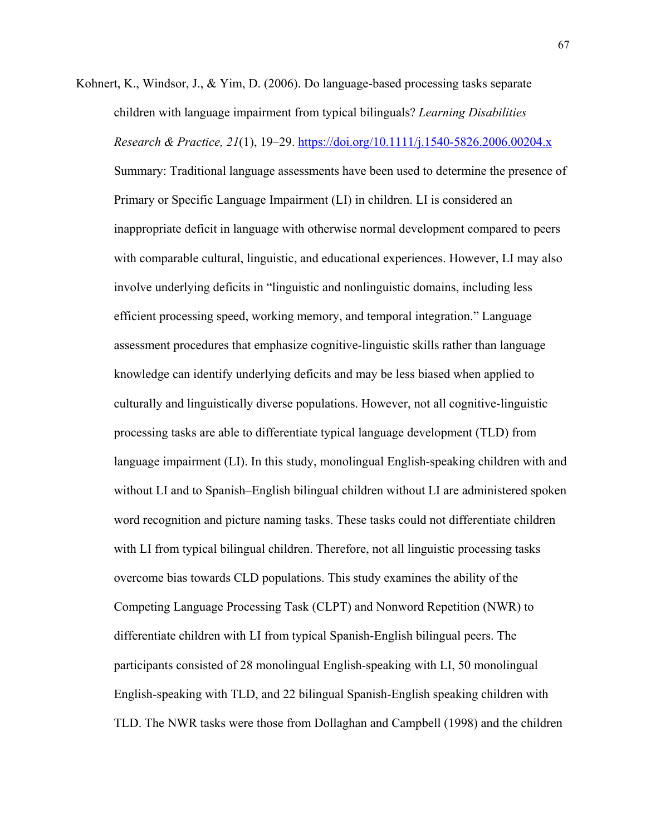Kohnert, K., Windsor, J., & Yim, D. (2006). Do language-based processing tasks separate children with language impairment from typical bilinguals? *Learning Disabilities Research & Practice, 21*(1), 19–29.<https://doi.org/10.1111/j.1540-5826.2006.00204.x> Summary: Traditional language assessments have been used to determine the presence of Primary or Specific Language Impairment (LI) in children. LI is considered an inappropriate deficit in language with otherwise normal development compared to peers with comparable cultural, linguistic, and educational experiences. However, LI may also involve underlying deficits in "linguistic and nonlinguistic domains, including less efficient processing speed, working memory, and temporal integration." Language assessment procedures that emphasize cognitive-linguistic skills rather than language knowledge can identify underlying deficits and may be less biased when applied to culturally and linguistically diverse populations. However, not all cognitive-linguistic processing tasks are able to differentiate typical language development (TLD) from language impairment (LI). In this study, monolingual English-speaking children with and without LI and to Spanish–English bilingual children without LI are administered spoken word recognition and picture naming tasks. These tasks could not differentiate children with LI from typical bilingual children. Therefore, not all linguistic processing tasks overcome bias towards CLD populations. This study examines the ability of the Competing Language Processing Task (CLPT) and Nonword Repetition (NWR) to differentiate children with LI from typical Spanish-English bilingual peers. The participants consisted of 28 monolingual English-speaking with LI, 50 monolingual English-speaking with TLD, and 22 bilingual Spanish-English speaking children with TLD. The NWR tasks were those from Dollaghan and Campbell (1998) and the children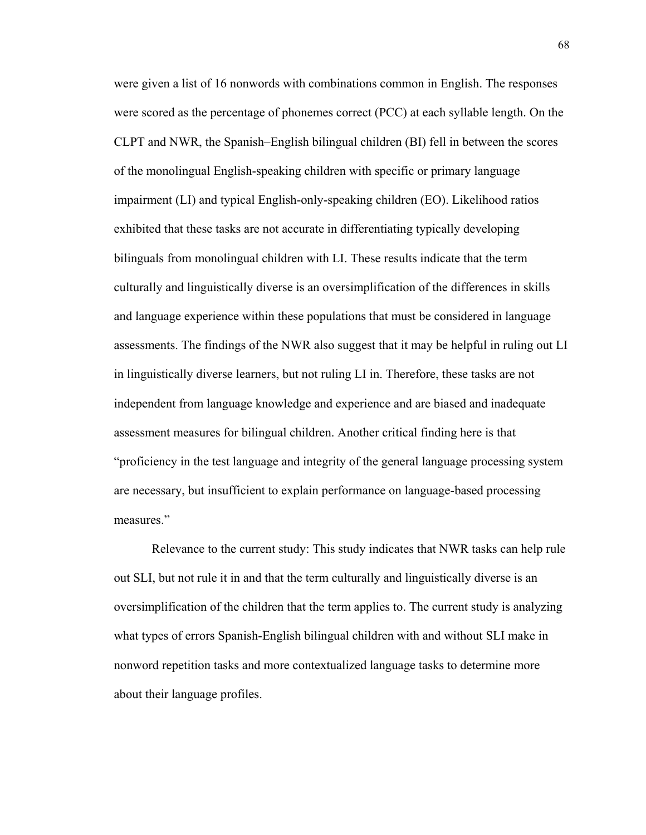were given a list of 16 nonwords with combinations common in English. The responses were scored as the percentage of phonemes correct (PCC) at each syllable length. On the CLPT and NWR, the Spanish–English bilingual children (BI) fell in between the scores of the monolingual English-speaking children with specific or primary language impairment (LI) and typical English-only-speaking children (EO). Likelihood ratios exhibited that these tasks are not accurate in differentiating typically developing bilinguals from monolingual children with LI. These results indicate that the term culturally and linguistically diverse is an oversimplification of the differences in skills and language experience within these populations that must be considered in language assessments. The findings of the NWR also suggest that it may be helpful in ruling out LI in linguistically diverse learners, but not ruling LI in. Therefore, these tasks are not independent from language knowledge and experience and are biased and inadequate assessment measures for bilingual children. Another critical finding here is that "proficiency in the test language and integrity of the general language processing system are necessary, but insufficient to explain performance on language-based processing measures."

Relevance to the current study: This study indicates that NWR tasks can help rule out SLI, but not rule it in and that the term culturally and linguistically diverse is an oversimplification of the children that the term applies to. The current study is analyzing what types of errors Spanish-English bilingual children with and without SLI make in nonword repetition tasks and more contextualized language tasks to determine more about their language profiles.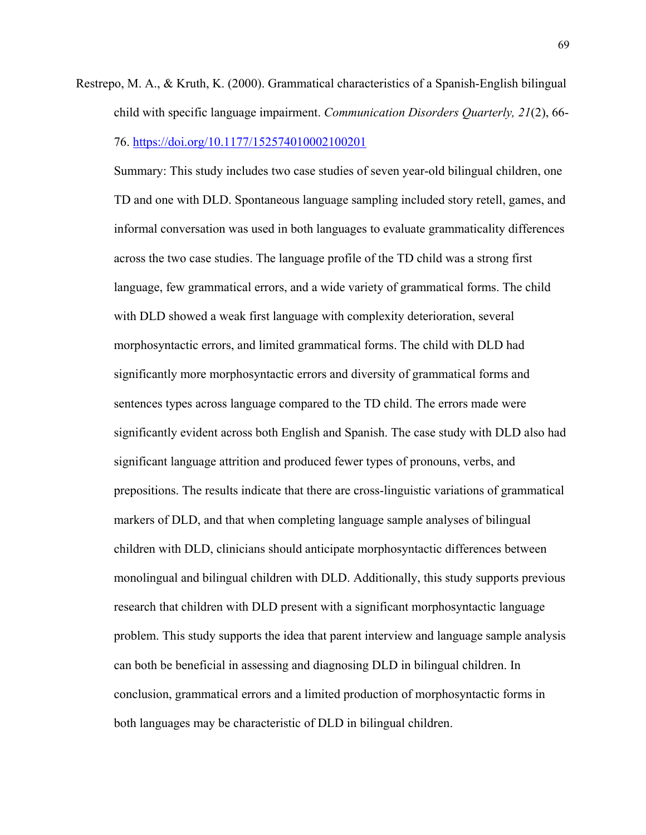Restrepo, M. A., & Kruth, K. (2000). Grammatical characteristics of a Spanish-English bilingual child with specific language impairment. *Communication Disorders Quarterly, 21*(2), 66- 76.<https://doi.org/10.1177/152574010002100201>

Summary: This study includes two case studies of seven year-old bilingual children, one TD and one with DLD. Spontaneous language sampling included story retell, games, and informal conversation was used in both languages to evaluate grammaticality differences across the two case studies. The language profile of the TD child was a strong first language, few grammatical errors, and a wide variety of grammatical forms. The child with DLD showed a weak first language with complexity deterioration, several morphosyntactic errors, and limited grammatical forms. The child with DLD had significantly more morphosyntactic errors and diversity of grammatical forms and sentences types across language compared to the TD child. The errors made were significantly evident across both English and Spanish. The case study with DLD also had significant language attrition and produced fewer types of pronouns, verbs, and prepositions. The results indicate that there are cross-linguistic variations of grammatical markers of DLD, and that when completing language sample analyses of bilingual children with DLD, clinicians should anticipate morphosyntactic differences between monolingual and bilingual children with DLD. Additionally, this study supports previous research that children with DLD present with a significant morphosyntactic language problem. This study supports the idea that parent interview and language sample analysis can both be beneficial in assessing and diagnosing DLD in bilingual children. In conclusion, grammatical errors and a limited production of morphosyntactic forms in both languages may be characteristic of DLD in bilingual children.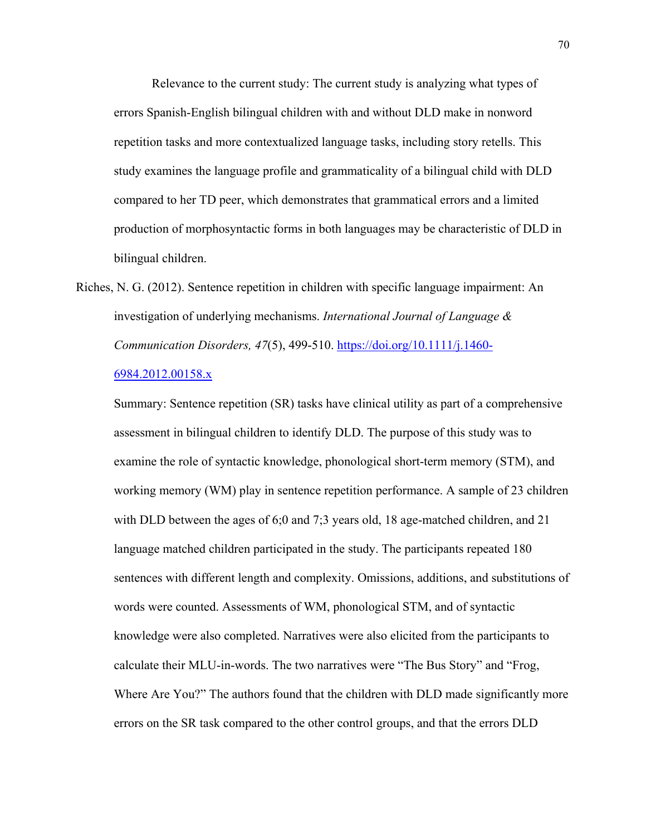Relevance to the current study: The current study is analyzing what types of errors Spanish-English bilingual children with and without DLD make in nonword repetition tasks and more contextualized language tasks, including story retells. This study examines the language profile and grammaticality of a bilingual child with DLD compared to her TD peer, which demonstrates that grammatical errors and a limited production of morphosyntactic forms in both languages may be characteristic of DLD in bilingual children.

Riches, N. G. (2012). Sentence repetition in children with specific language impairment: An investigation of underlying mechanisms. *International Journal of Language & Communication Disorders, 47*(5), 499-510. [https://doi.org/10.1111/j.1460-](https://doi.org/10.1111/j.1460-6984.2012.00158.x) [6984.2012.00158.x](https://doi.org/10.1111/j.1460-6984.2012.00158.x) 

Summary: Sentence repetition (SR) tasks have clinical utility as part of a comprehensive assessment in bilingual children to identify DLD. The purpose of this study was to examine the role of syntactic knowledge, phonological short-term memory (STM), and working memory (WM) play in sentence repetition performance. A sample of 23 children with DLD between the ages of 6;0 and 7;3 years old, 18 age-matched children, and 21 language matched children participated in the study. The participants repeated 180 sentences with different length and complexity. Omissions, additions, and substitutions of words were counted. Assessments of WM, phonological STM, and of syntactic knowledge were also completed. Narratives were also elicited from the participants to calculate their MLU-in-words. The two narratives were "The Bus Story" and "Frog, Where Are You?" The authors found that the children with DLD made significantly more errors on the SR task compared to the other control groups, and that the errors DLD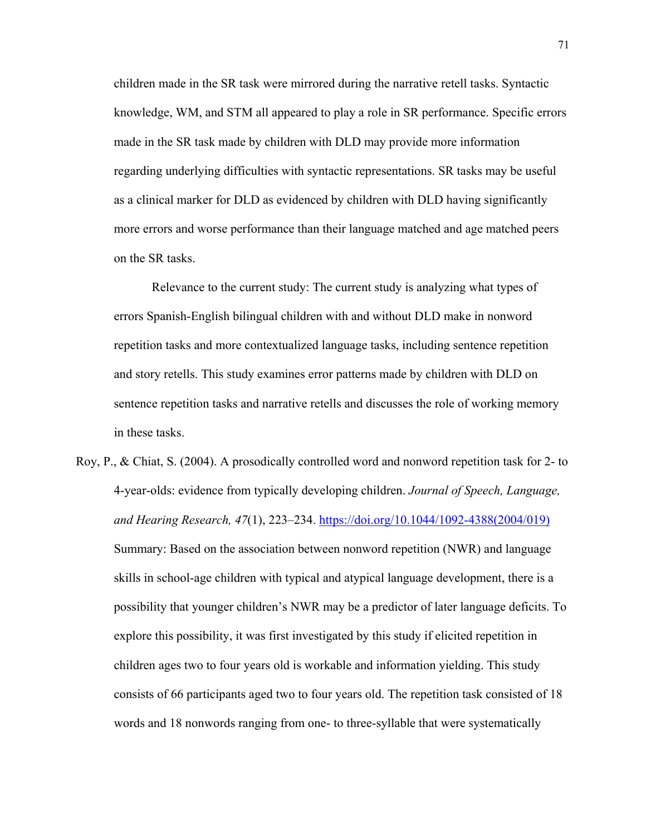children made in the SR task were mirrored during the narrative retell tasks. Syntactic knowledge, WM, and STM all appeared to play a role in SR performance. Specific errors made in the SR task made by children with DLD may provide more information regarding underlying difficulties with syntactic representations. SR tasks may be useful as a clinical marker for DLD as evidenced by children with DLD having significantly more errors and worse performance than their language matched and age matched peers on the SR tasks.

Relevance to the current study: The current study is analyzing what types of errors Spanish-English bilingual children with and without DLD make in nonword repetition tasks and more contextualized language tasks, including sentence repetition and story retells. This study examines error patterns made by children with DLD on sentence repetition tasks and narrative retells and discusses the role of working memory in these tasks.

Roy, P., & Chiat, S. (2004). A prosodically controlled word and nonword repetition task for 2- to 4-year-olds: evidence from typically developing children. *Journal of Speech, Language, and Hearing Research, 47*(1), 223–234. [https://doi.org/10.1044/1092-4388\(2004/019\)](https://doi.org/10.1044/1092-4388(2004/019))  Summary: Based on the association between nonword repetition (NWR) and language skills in school-age children with typical and atypical language development, there is a possibility that younger children's NWR may be a predictor of later language deficits. To explore this possibility, it was first investigated by this study if elicited repetition in children ages two to four years old is workable and information yielding. This study consists of 66 participants aged two to four years old. The repetition task consisted of 18 words and 18 nonwords ranging from one- to three-syllable that were systematically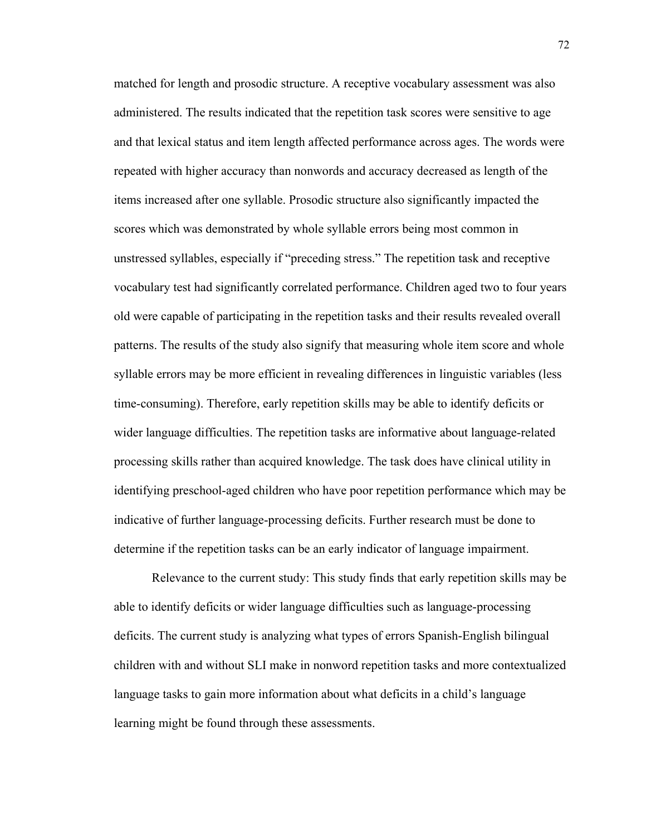matched for length and prosodic structure. A receptive vocabulary assessment was also administered. The results indicated that the repetition task scores were sensitive to age and that lexical status and item length affected performance across ages. The words were repeated with higher accuracy than nonwords and accuracy decreased as length of the items increased after one syllable. Prosodic structure also significantly impacted the scores which was demonstrated by whole syllable errors being most common in unstressed syllables, especially if "preceding stress." The repetition task and receptive vocabulary test had significantly correlated performance. Children aged two to four years old were capable of participating in the repetition tasks and their results revealed overall patterns. The results of the study also signify that measuring whole item score and whole syllable errors may be more efficient in revealing differences in linguistic variables (less time-consuming). Therefore, early repetition skills may be able to identify deficits or wider language difficulties. The repetition tasks are informative about language-related processing skills rather than acquired knowledge. The task does have clinical utility in identifying preschool-aged children who have poor repetition performance which may be indicative of further language-processing deficits. Further research must be done to determine if the repetition tasks can be an early indicator of language impairment.

Relevance to the current study: This study finds that early repetition skills may be able to identify deficits or wider language difficulties such as language-processing deficits. The current study is analyzing what types of errors Spanish-English bilingual children with and without SLI make in nonword repetition tasks and more contextualized language tasks to gain more information about what deficits in a child's language learning might be found through these assessments.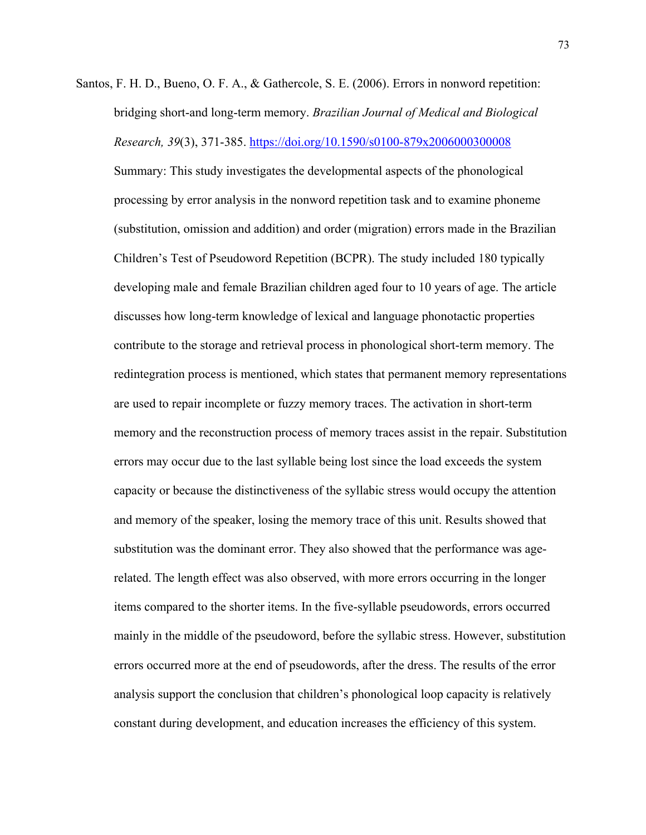Santos, F. H. D., Bueno, O. F. A., & Gathercole, S. E. (2006). Errors in nonword repetition: bridging short-and long-term memory. *Brazilian Journal of Medical and Biological Research, 39*(3), 371-385.<https://doi.org/10.1590/s0100-879x2006000300008> Summary: This study investigates the developmental aspects of the phonological processing by error analysis in the nonword repetition task and to examine phoneme (substitution, omission and addition) and order (migration) errors made in the Brazilian Children's Test of Pseudoword Repetition (BCPR). The study included 180 typically developing male and female Brazilian children aged four to 10 years of age. The article discusses how long-term knowledge of lexical and language phonotactic properties contribute to the storage and retrieval process in phonological short-term memory. The redintegration process is mentioned, which states that permanent memory representations are used to repair incomplete or fuzzy memory traces. The activation in short-term memory and the reconstruction process of memory traces assist in the repair. Substitution errors may occur due to the last syllable being lost since the load exceeds the system capacity or because the distinctiveness of the syllabic stress would occupy the attention and memory of the speaker, losing the memory trace of this unit. Results showed that substitution was the dominant error. They also showed that the performance was agerelated. The length effect was also observed, with more errors occurring in the longer items compared to the shorter items. In the five-syllable pseudowords, errors occurred mainly in the middle of the pseudoword, before the syllabic stress. However, substitution errors occurred more at the end of pseudowords, after the dress. The results of the error analysis support the conclusion that children's phonological loop capacity is relatively constant during development, and education increases the efficiency of this system.